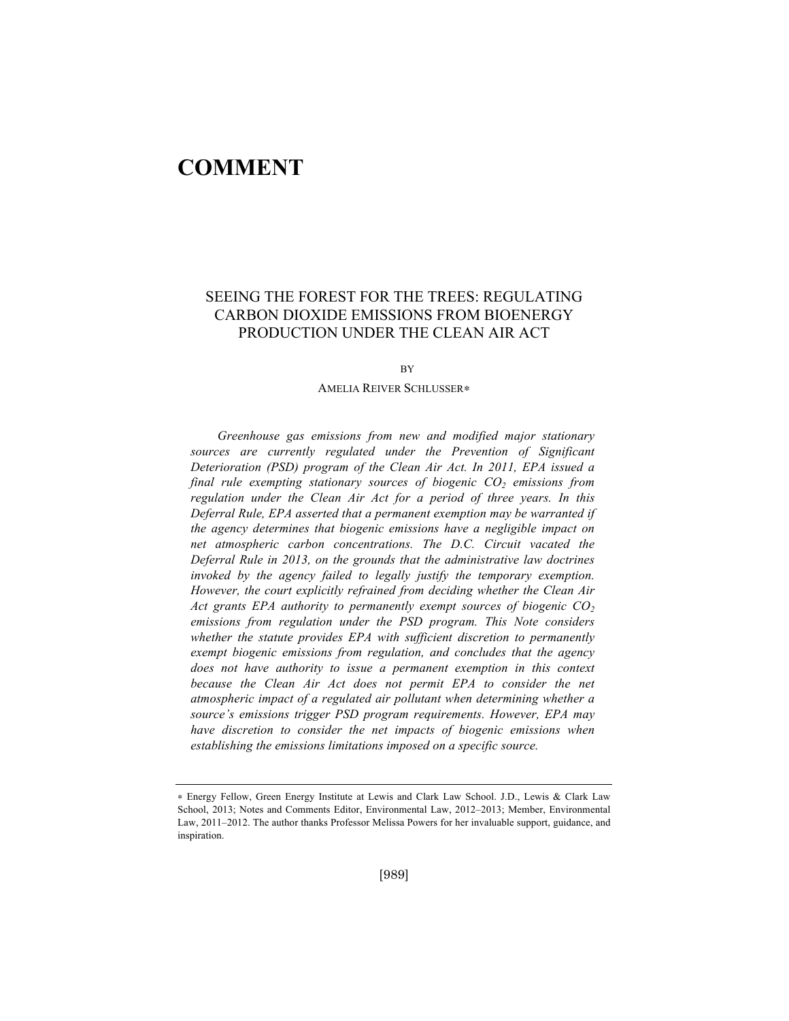# **COMMENT**

# SEEING THE FOREST FOR THE TREES: REGULATING CARBON DIOXIDE EMISSIONS FROM BIOENERGY PRODUCTION UNDER THE CLEAN AIR ACT

**BV** 

#### AMELIA REIVER SCHLUSSER!

*Greenhouse gas emissions from new and modified major stationary sources are currently regulated under the Prevention of Significant Deterioration (PSD) program of the Clean Air Act. In 2011, EPA issued a final rule exempting stationary sources of biogenic CO2 emissions from regulation under the Clean Air Act for a period of three years. In this Deferral Rule, EPA asserted that a permanent exemption may be warranted if the agency determines that biogenic emissions have a negligible impact on net atmospheric carbon concentrations. The D.C. Circuit vacated the Deferral Rule in 2013, on the grounds that the administrative law doctrines invoked by the agency failed to legally justify the temporary exemption. However, the court explicitly refrained from deciding whether the Clean Air Act grants EPA authority to permanently exempt sources of biogenic CO<sub>2</sub> emissions from regulation under the PSD program. This Note considers whether the statute provides EPA with sufficient discretion to permanently exempt biogenic emissions from regulation, and concludes that the agency does not have authority to issue a permanent exemption in this context because the Clean Air Act does not permit EPA to consider the net atmospheric impact of a regulated air pollutant when determining whether a source's emissions trigger PSD program requirements. However, EPA may have discretion to consider the net impacts of biogenic emissions when establishing the emissions limitations imposed on a specific source.*

<sup>!</sup> Energy Fellow, Green Energy Institute at Lewis and Clark Law School. J.D., Lewis & Clark Law School, 2013; Notes and Comments Editor, Environmental Law, 2012–2013; Member, Environmental Law, 2011–2012. The author thanks Professor Melissa Powers for her invaluable support, guidance, and inspiration.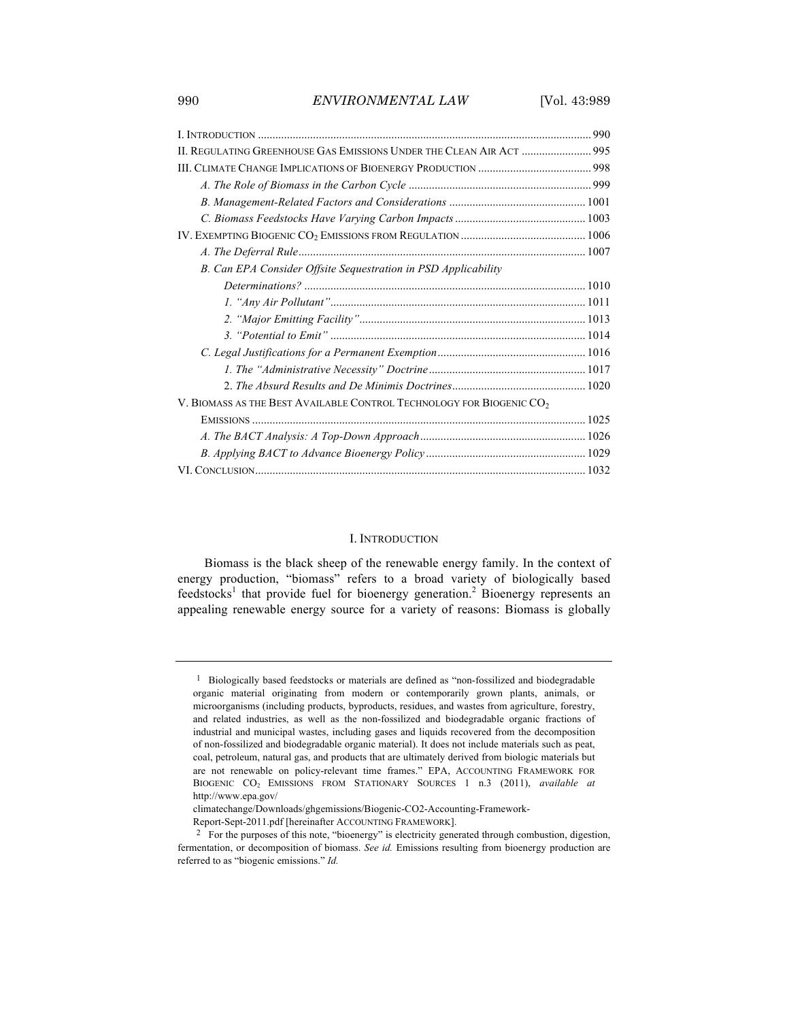990 *ENVIRONMENTAL LAW* [Vol. 43:989

| II. REGULATING GREENHOUSE GAS EMISSIONS UNDER THE CLEAN AIR ACT  995             |  |
|----------------------------------------------------------------------------------|--|
|                                                                                  |  |
|                                                                                  |  |
|                                                                                  |  |
|                                                                                  |  |
|                                                                                  |  |
|                                                                                  |  |
| B. Can EPA Consider Offsite Sequestration in PSD Applicability                   |  |
|                                                                                  |  |
|                                                                                  |  |
|                                                                                  |  |
|                                                                                  |  |
|                                                                                  |  |
|                                                                                  |  |
|                                                                                  |  |
| V. BIOMASS AS THE BEST AVAILABLE CONTROL TECHNOLOGY FOR BIOGENIC CO <sub>2</sub> |  |
|                                                                                  |  |
|                                                                                  |  |
|                                                                                  |  |
|                                                                                  |  |
|                                                                                  |  |

### I. INTRODUCTION

Biomass is the black sheep of the renewable energy family. In the context of energy production, "biomass" refers to a broad variety of biologically based  $f$ eedstocks<sup>1</sup> that provide fuel for bioenergy generation.<sup>2</sup> Bioenergy represents an appealing renewable energy source for a variety of reasons: Biomass is globally

<sup>1</sup> Biologically based feedstocks or materials are defined as "non-fossilized and biodegradable organic material originating from modern or contemporarily grown plants, animals, or microorganisms (including products, byproducts, residues, and wastes from agriculture, forestry, and related industries, as well as the non-fossilized and biodegradable organic fractions of industrial and municipal wastes, including gases and liquids recovered from the decomposition of non-fossilized and biodegradable organic material). It does not include materials such as peat, coal, petroleum, natural gas, and products that are ultimately derived from biologic materials but are not renewable on policy-relevant time frames." EPA, ACCOUNTING FRAMEWORK FOR BIOGENIC CO2 EMISSIONS FROM STATIONARY SOURCES 1 n.3 (2011), *available at* http://www.epa.gov/

climatechange/Downloads/ghgemissions/Biogenic-CO2-Accounting-Framework-

Report-Sept-2011.pdf [hereinafter ACCOUNTING FRAMEWORK].

<sup>2</sup> For the purposes of this note, "bioenergy" is electricity generated through combustion, digestion, fermentation, or decomposition of biomass. *See id.* Emissions resulting from bioenergy production are referred to as "biogenic emissions." *Id.*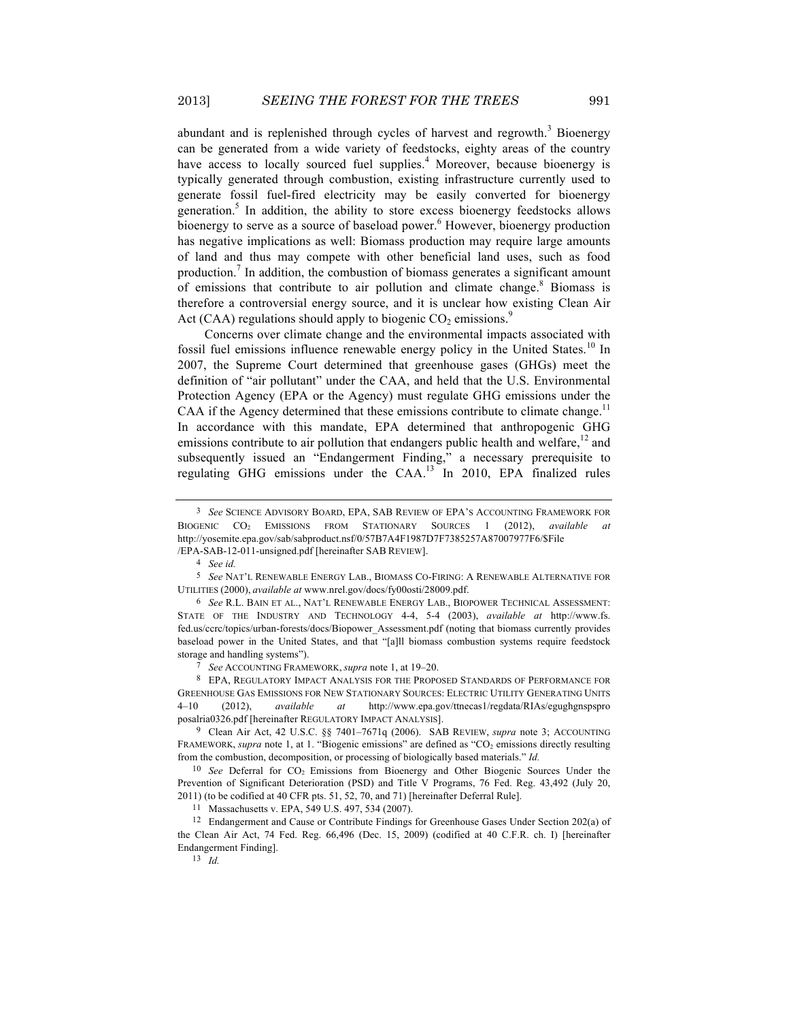abundant and is replenished through cycles of harvest and regrowth.<sup>3</sup> Bioenergy can be generated from a wide variety of feedstocks, eighty areas of the country have access to locally sourced fuel supplies.<sup>4</sup> Moreover, because bioenergy is typically generated through combustion, existing infrastructure currently used to generate fossil fuel-fired electricity may be easily converted for bioenergy generation.5 In addition, the ability to store excess bioenergy feedstocks allows bioenergy to serve as a source of baseload power.<sup>6</sup> However, bioenergy production has negative implications as well: Biomass production may require large amounts of land and thus may compete with other beneficial land uses, such as food production.<sup>7</sup> In addition, the combustion of biomass generates a significant amount of emissions that contribute to air pollution and climate change.<sup>8</sup> Biomass is therefore a controversial energy source, and it is unclear how existing Clean Air Act (CAA) regulations should apply to biogenic  $CO<sub>2</sub>$  emissions.<sup>9</sup>

Concerns over climate change and the environmental impacts associated with fossil fuel emissions influence renewable energy policy in the United States.<sup>10</sup> In 2007, the Supreme Court determined that greenhouse gases (GHGs) meet the definition of "air pollutant" under the CAA, and held that the U.S. Environmental Protection Agency (EPA or the Agency) must regulate GHG emissions under the CAA if the Agency determined that these emissions contribute to climate change.<sup>11</sup> In accordance with this mandate, EPA determined that anthropogenic GHG emissions contribute to air pollution that endangers public health and welfare, $^{12}$  and subsequently issued an "Endangerment Finding," a necessary prerequisite to regulating GHG emissions under the CAA.<sup>13</sup> In 2010, EPA finalized rules

7 *See* ACCOUNTING FRAMEWORK, *supra* note 1, at 19–20.

8 EPA, REGULATORY IMPACT ANALYSIS FOR THE PROPOSED STANDARDS OF PERFORMANCE FOR GREENHOUSE GAS EMISSIONS FOR NEW STATIONARY SOURCES: ELECTRIC UTILITY GENERATING UNITS 4*–*10 (2012), *available at* http://www.epa.gov/ttnecas1/regdata/RIAs/egughgnspspro posalria0326.pdf [hereinafter REGULATORY IMPACT ANALYSIS].

9 Clean Air Act, 42 U.S.C. §§ 7401–7671q (2006). SAB REVIEW, *supra* note 3; ACCOUNTING FRAMEWORK, *supra* note 1, at 1. "Biogenic emissions" are defined as "CO<sub>2</sub> emissions directly resulting from the combustion, decomposition, or processing of biologically based materials." *Id.*

<sup>10</sup> *See* Deferral for CO<sub>2</sub> Emissions from Bioenergy and Other Biogenic Sources Under the Prevention of Significant Deterioration (PSD) and Title V Programs, 76 Fed. Reg. 43,492 (July 20, 2011) (to be codified at 40 CFR pts. 51, 52, 70, and 71) [hereinafter Deferral Rule].

11 Massachusetts v. EPA, 549 U.S. 497, 534 (2007).

12 Endangerment and Cause or Contribute Findings for Greenhouse Gases Under Section 202(a) of the Clean Air Act, 74 Fed. Reg. 66,496 (Dec. 15, 2009) (codified at 40 C.F.R. ch. I) [hereinafter Endangerment Finding].

<sup>3</sup> *See* SCIENCE ADVISORY BOARD, EPA, SAB REVIEW OF EPA'S ACCOUNTING FRAMEWORK FOR BIOGENIC CO2 EMISSIONS FROM STATIONARY SOURCES 1 (2012), *available at* http://yosemite.epa.gov/sab/sabproduct.nsf/0/57B7A4F1987D7F7385257A87007977F6/\$File /EPA-SAB-12-011-unsigned.pdf [hereinafter SAB REVIEW].

<sup>4</sup> *See id.*

<sup>5</sup> *See* NAT'L RENEWABLE ENERGY LAB., BIOMASS CO-FIRING: A RENEWABLE ALTERNATIVE FOR UTILITIES (2000), *available at* www.nrel.gov/docs/fy00osti/28009.pdf.

<sup>6</sup> *See* R.L. BAIN ET AL., NAT'L RENEWABLE ENERGY LAB., BIOPOWER TECHNICAL ASSESSMENT: STATE OF THE INDUSTRY AND TECHNOLOGY 4-4, 5-4 (2003), *available at* http://www.fs. fed.us/ccrc/topics/urban-forests/docs/Biopower\_Assessment.pdf (noting that biomass currently provides baseload power in the United States, and that "[a]ll biomass combustion systems require feedstock storage and handling systems").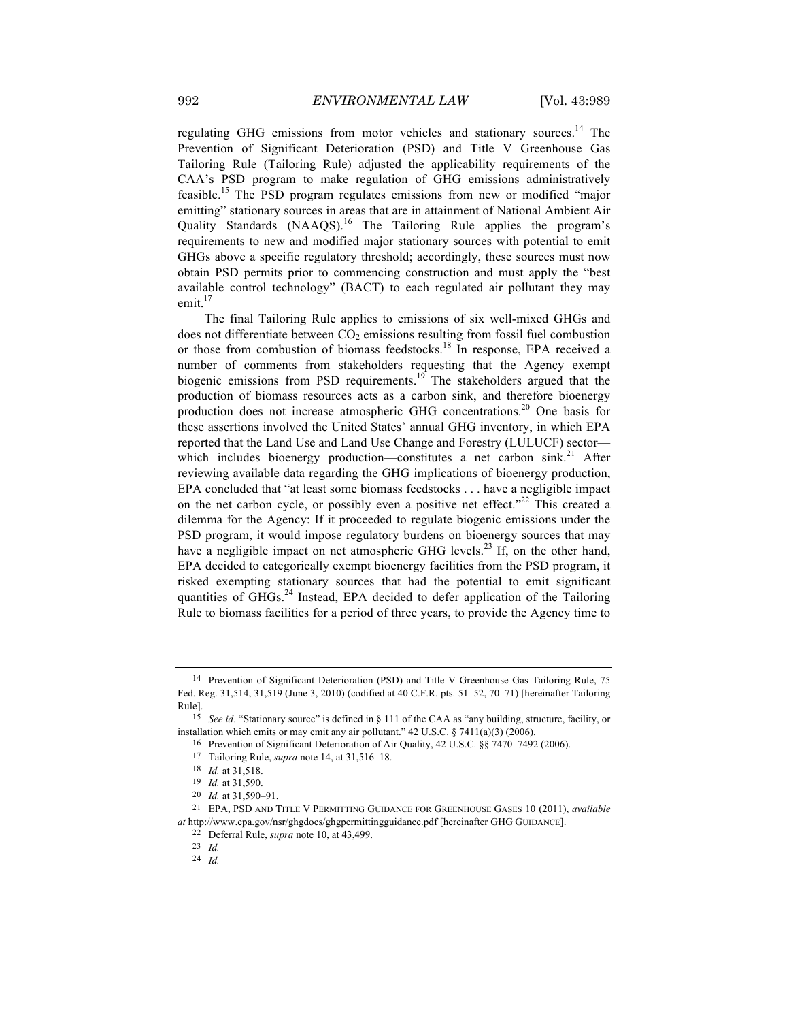regulating GHG emissions from motor vehicles and stationary sources.<sup>14</sup> The Prevention of Significant Deterioration (PSD) and Title V Greenhouse Gas Tailoring Rule (Tailoring Rule) adjusted the applicability requirements of the CAA's PSD program to make regulation of GHG emissions administratively feasible.<sup>15</sup> The PSD program regulates emissions from new or modified "major emitting" stationary sources in areas that are in attainment of National Ambient Air Quality Standards (NAAQS).<sup>16</sup> The Tailoring Rule applies the program's requirements to new and modified major stationary sources with potential to emit GHGs above a specific regulatory threshold; accordingly, these sources must now obtain PSD permits prior to commencing construction and must apply the "best available control technology" (BACT) to each regulated air pollutant they may emit. $17$ 

The final Tailoring Rule applies to emissions of six well-mixed GHGs and does not differentiate between  $CO<sub>2</sub>$  emissions resulting from fossil fuel combustion or those from combustion of biomass feedstocks.<sup>18</sup> In response, EPA received a number of comments from stakeholders requesting that the Agency exempt biogenic emissions from PSD requirements.<sup>19</sup> The stakeholders argued that the production of biomass resources acts as a carbon sink, and therefore bioenergy production does not increase atmospheric GHG concentrations.<sup>20</sup> One basis for these assertions involved the United States' annual GHG inventory, in which EPA reported that the Land Use and Land Use Change and Forestry (LULUCF) sector which includes bioenergy production—constitutes a net carbon sink.<sup>21</sup> After reviewing available data regarding the GHG implications of bioenergy production, EPA concluded that "at least some biomass feedstocks . . . have a negligible impact on the net carbon cycle, or possibly even a positive net effect."<sup>22</sup> This created a dilemma for the Agency: If it proceeded to regulate biogenic emissions under the PSD program, it would impose regulatory burdens on bioenergy sources that may have a negligible impact on net atmospheric GHG levels.<sup>23</sup> If, on the other hand, EPA decided to categorically exempt bioenergy facilities from the PSD program, it risked exempting stationary sources that had the potential to emit significant quantities of  $GHGs.<sup>24</sup>$  Instead, EPA decided to defer application of the Tailoring Rule to biomass facilities for a period of three years, to provide the Agency time to

<sup>14</sup> Prevention of Significant Deterioration (PSD) and Title V Greenhouse Gas Tailoring Rule, 75 Fed. Reg. 31,514, 31,519 (June 3, 2010) (codified at 40 C.F.R. pts. 51*–*52, 70*–*71) [hereinafter Tailoring Rule].

<sup>15</sup> *See id.* "Stationary source" is defined in § 111 of the CAA as "any building, structure, facility, or installation which emits or may emit any air pollutant." 42 U.S.C. § 7411(a)(3) (2006).

<sup>16</sup> Prevention of Significant Deterioration of Air Quality, 42 U.S.C. §§ 7470–7492 (2006).

<sup>17</sup> Tailoring Rule, *supra* note 14, at 31,516–18.

<sup>18</sup> *Id.* at 31,518.

<sup>19</sup> *Id.* at 31,590.

<sup>20</sup> *Id.* at 31,590–91.

<sup>21</sup> EPA, PSD AND TITLE V PERMITTING GUIDANCE FOR GREENHOUSE GASES 10 (2011), *available at* http://www.epa.gov/nsr/ghgdocs/ghgpermittingguidance.pdf [hereinafter GHG GUIDANCE].

<sup>22</sup> Deferral Rule, *supra* note 10, at 43,499.

<sup>23</sup> *Id.*

<sup>24</sup> *Id.*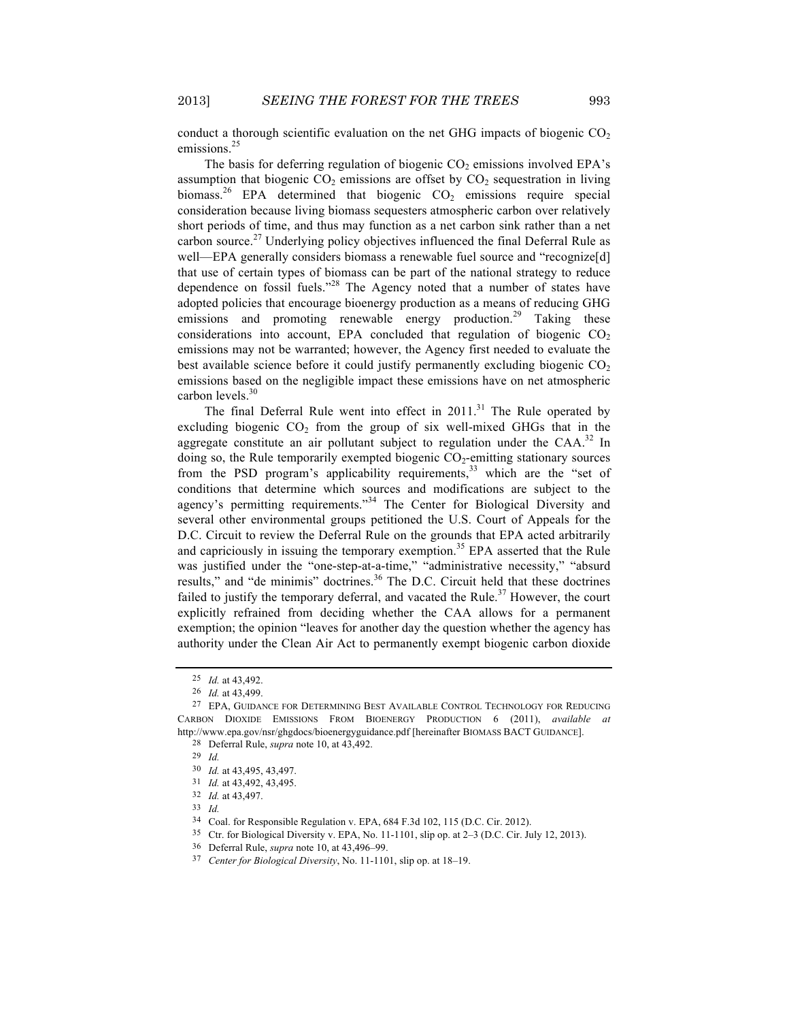conduct a thorough scientific evaluation on the net GHG impacts of biogenic  $CO<sub>2</sub>$ emissions.<sup>25</sup>

The basis for deferring regulation of biogenic  $CO<sub>2</sub>$  emissions involved EPA's assumption that biogenic  $CO<sub>2</sub>$  emissions are offset by  $CO<sub>2</sub>$  sequestration in living biomass.<sup>26</sup> EPA determined that biogenic  $CO<sub>2</sub>$  emissions require special consideration because living biomass sequesters atmospheric carbon over relatively short periods of time, and thus may function as a net carbon sink rather than a net carbon source.<sup>27</sup> Underlying policy objectives influenced the final Deferral Rule as well—EPA generally considers biomass a renewable fuel source and "recognize[d] that use of certain types of biomass can be part of the national strategy to reduce dependence on fossil fuels."<sup>28</sup> The Agency noted that a number of states have adopted policies that encourage bioenergy production as a means of reducing GHG emissions and promoting renewable energy production.<sup>29</sup> Taking these considerations into account, EPA concluded that regulation of biogenic  $CO<sub>2</sub>$ emissions may not be warranted; however, the Agency first needed to evaluate the best available science before it could justify permanently excluding biogenic  $CO<sub>2</sub>$ emissions based on the negligible impact these emissions have on net atmospheric carbon levels.<sup>30</sup>

The final Deferral Rule went into effect in  $2011$ .<sup>31</sup> The Rule operated by excluding biogenic  $CO<sub>2</sub>$  from the group of six well-mixed GHGs that in the aggregate constitute an air pollutant subject to regulation under the  $CAA$ <sup>32</sup> In doing so, the Rule temporarily exempted biogenic  $CO_2$ -emitting stationary sources from the PSD program's applicability requirements,  $33$  which are the "set of conditions that determine which sources and modifications are subject to the agency's permitting requirements."<sup>34</sup> The Center for Biological Diversity and several other environmental groups petitioned the U.S. Court of Appeals for the D.C. Circuit to review the Deferral Rule on the grounds that EPA acted arbitrarily and capriciously in issuing the temporary exemption.<sup>35</sup> EPA asserted that the Rule was justified under the "one-step-at-a-time," "administrative necessity," "absurd results," and "de minimis" doctrines.<sup>36</sup> The D.C. Circuit held that these doctrines failed to justify the temporary deferral, and vacated the Rule.<sup>37</sup> However, the court explicitly refrained from deciding whether the CAA allows for a permanent exemption; the opinion "leaves for another day the question whether the agency has authority under the Clean Air Act to permanently exempt biogenic carbon dioxide

<sup>25</sup> *Id.* at 43,492.

<sup>26</sup> *Id.* at 43,499.

<sup>27</sup> EPA, GUIDANCE FOR DETERMINING BEST AVAILABLE CONTROL TECHNOLOGY FOR REDUCING CARBON DIOXIDE EMISSIONS FROM BIOENERGY PRODUCTION 6 (2011), *available at* http://www.epa.gov/nsr/ghgdocs/bioenergyguidance.pdf [hereinafter BIOMASS BACT GUIDANCE].

<sup>28</sup> Deferral Rule, *supra* note 10, at 43,492.

<sup>29</sup> *Id.*

<sup>30</sup> *Id.* at 43,495, 43,497.

<sup>31</sup> *Id.* at 43,492, 43,495.

<sup>32</sup> *Id.* at 43,497.

<sup>33</sup> *Id.*

<sup>34</sup> Coal. for Responsible Regulation v. EPA, 684 F.3d 102, 115 (D.C. Cir. 2012).

<sup>35</sup> Ctr. for Biological Diversity v. EPA, No. 11-1101, slip op. at 2–3 (D.C. Cir. July 12, 2013).

<sup>36</sup> Deferral Rule, *supra* note 10, at 43,496–99.

<sup>37</sup> *Center for Biological Diversity*, No. 11-1101, slip op. at 18–19.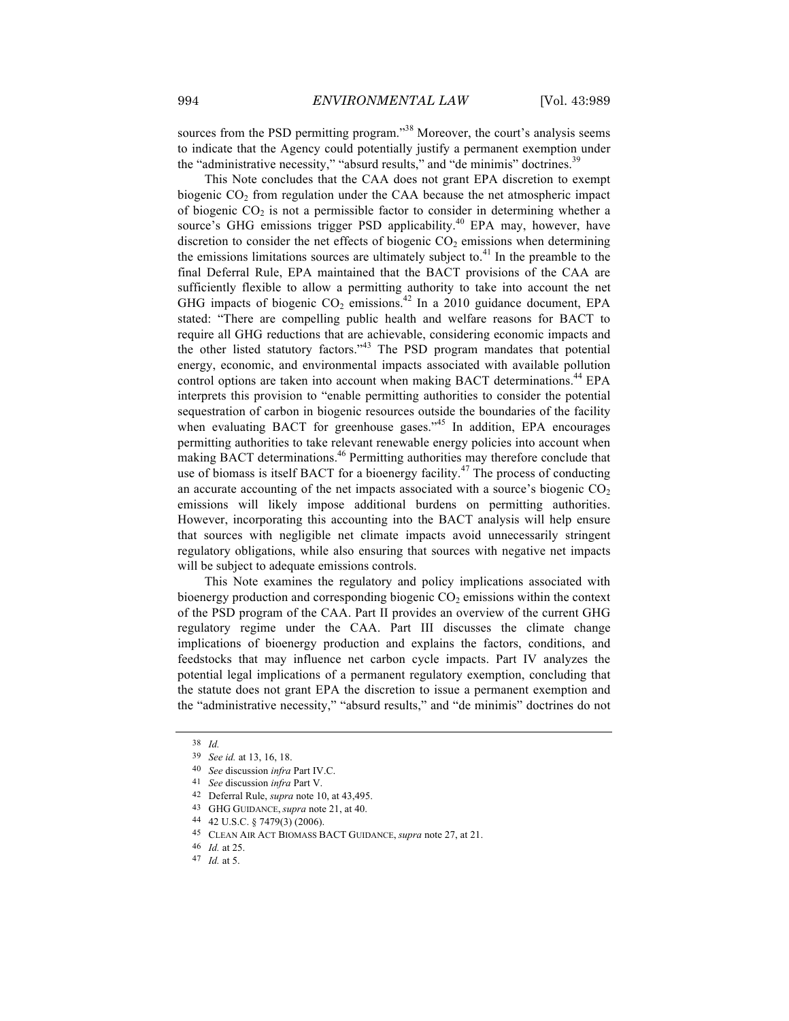sources from the PSD permitting program."<sup>38</sup> Moreover, the court's analysis seems to indicate that the Agency could potentially justify a permanent exemption under the "administrative necessity," "absurd results," and "de minimis" doctrines.<sup>39</sup>

This Note concludes that the CAA does not grant EPA discretion to exempt biogenic  $CO<sub>2</sub>$  from regulation under the CAA because the net atmospheric impact of biogenic  $CO<sub>2</sub>$  is not a permissible factor to consider in determining whether a source's GHG emissions trigger PSD applicability.<sup>40</sup> EPA may, however, have discretion to consider the net effects of biogenic  $CO<sub>2</sub>$  emissions when determining the emissions limitations sources are ultimately subject to. $41$  In the preamble to the final Deferral Rule, EPA maintained that the BACT provisions of the CAA are sufficiently flexible to allow a permitting authority to take into account the net GHG impacts of biogenic  $CO_2$  emissions.<sup>42</sup> In a 2010 guidance document, EPA stated: "There are compelling public health and welfare reasons for BACT to require all GHG reductions that are achievable, considering economic impacts and the other listed statutory factors."<sup>43</sup> The PSD program mandates that potential energy, economic, and environmental impacts associated with available pollution control options are taken into account when making BACT determinations.<sup>44</sup> EPA interprets this provision to "enable permitting authorities to consider the potential sequestration of carbon in biogenic resources outside the boundaries of the facility when evaluating BACT for greenhouse gases."<sup>45</sup> In addition, EPA encourages permitting authorities to take relevant renewable energy policies into account when making BACT determinations.<sup>46</sup> Permitting authorities may therefore conclude that use of biomass is itself BACT for a bioenergy facility.<sup>47</sup> The process of conducting an accurate accounting of the net impacts associated with a source's biogenic  $CO<sub>2</sub>$ emissions will likely impose additional burdens on permitting authorities. However, incorporating this accounting into the BACT analysis will help ensure that sources with negligible net climate impacts avoid unnecessarily stringent regulatory obligations, while also ensuring that sources with negative net impacts will be subject to adequate emissions controls.

This Note examines the regulatory and policy implications associated with bioenergy production and corresponding biogenic  $CO<sub>2</sub>$  emissions within the context of the PSD program of the CAA. Part II provides an overview of the current GHG regulatory regime under the CAA. Part III discusses the climate change implications of bioenergy production and explains the factors, conditions, and feedstocks that may influence net carbon cycle impacts. Part IV analyzes the potential legal implications of a permanent regulatory exemption, concluding that the statute does not grant EPA the discretion to issue a permanent exemption and the "administrative necessity," "absurd results," and "de minimis" doctrines do not

<sup>38</sup> *Id.*

<sup>39</sup> *See id.* at 13, 16, 18.

<sup>40</sup> *See* discussion *infra* Part IV.C.

<sup>41</sup> *See* discussion *infra* Part V.

<sup>42</sup> Deferral Rule, *supra* note 10, at 43,495.

<sup>43</sup> GHG GUIDANCE, *supra* note 21, at 40.

<sup>44</sup> 42 U.S.C. § 7479(3) (2006).

<sup>45</sup> CLEAN AIR ACT BIOMASS BACT GUIDANCE, *supra* note 27, at 21.

<sup>46</sup> *Id.* at 25.

<sup>47</sup> *Id.* at 5.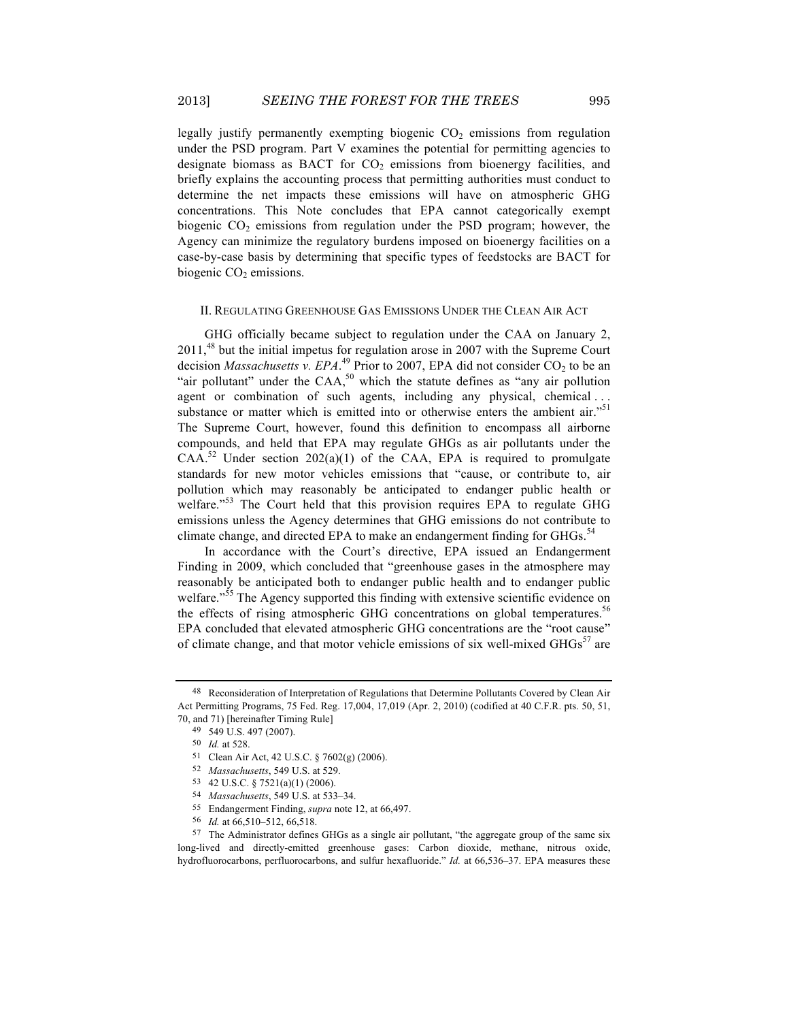legally justify permanently exempting biogenic  $CO<sub>2</sub>$  emissions from regulation under the PSD program. Part V examines the potential for permitting agencies to designate biomass as BACT for  $CO<sub>2</sub>$  emissions from bioenergy facilities, and briefly explains the accounting process that permitting authorities must conduct to determine the net impacts these emissions will have on atmospheric GHG concentrations. This Note concludes that EPA cannot categorically exempt biogenic  $CO<sub>2</sub>$  emissions from regulation under the PSD program; however, the Agency can minimize the regulatory burdens imposed on bioenergy facilities on a case-by-case basis by determining that specific types of feedstocks are BACT for biogenic  $CO<sub>2</sub>$  emissions.

#### II. REGULATING GREENHOUSE GAS EMISSIONS UNDER THE CLEAN AIR ACT

GHG officially became subject to regulation under the CAA on January 2, 2011,<sup>48</sup> but the initial impetus for regulation arose in 2007 with the Supreme Court decision *Massachusetts v. EPA*.<sup>49</sup> Prior to 2007, EPA did not consider  $CO_2$  to be an "air pollutant" under the  $CAA$ ,<sup>50</sup> which the statute defines as "any air pollution agent or combination of such agents, including any physical, chemical . . . substance or matter which is emitted into or otherwise enters the ambient air."<sup>51</sup> The Supreme Court, however, found this definition to encompass all airborne compounds, and held that EPA may regulate GHGs as air pollutants under the  $CAA$ <sup>52</sup> Under section 202(a)(1) of the CAA, EPA is required to promulgate standards for new motor vehicles emissions that "cause, or contribute to, air pollution which may reasonably be anticipated to endanger public health or welfare."<sup>53</sup> The Court held that this provision requires EPA to regulate GHG emissions unless the Agency determines that GHG emissions do not contribute to climate change, and directed EPA to make an endangerment finding for GHGs.<sup>54</sup>

In accordance with the Court's directive, EPA issued an Endangerment Finding in 2009, which concluded that "greenhouse gases in the atmosphere may reasonably be anticipated both to endanger public health and to endanger public welfare."<sup>55</sup> The Agency supported this finding with extensive scientific evidence on the effects of rising atmospheric GHG concentrations on global temperatures.<sup>56</sup> EPA concluded that elevated atmospheric GHG concentrations are the "root cause" of climate change, and that motor vehicle emissions of six well-mixed  $GHGs<sup>57</sup>$  are

<sup>48</sup> Reconsideration of Interpretation of Regulations that Determine Pollutants Covered by Clean Air Act Permitting Programs, 75 Fed. Reg. 17,004, 17,019 (Apr. 2, 2010) (codified at 40 C.F.R. pts. 50, 51, 70, and 71) [hereinafter Timing Rule]

<sup>49</sup> 549 U.S. 497 (2007).

<sup>50</sup> *Id.* at 528.

<sup>51</sup> Clean Air Act, 42 U.S.C. § 7602(g) (2006).

<sup>52</sup> *Massachusetts*, 549 U.S. at 529.

<sup>53</sup> 42 U.S.C. § 7521(a)(1) (2006).

<sup>54</sup> *Massachusetts*, 549 U.S. at 533–34.

<sup>55</sup> Endangerment Finding, *supra* note 12, at 66,497.

<sup>56</sup> *Id.* at 66,510–512, 66,518.

<sup>57</sup> The Administrator defines GHGs as a single air pollutant, "the aggregate group of the same six long-lived and directly-emitted greenhouse gases: Carbon dioxide, methane, nitrous oxide, hydrofluorocarbons, perfluorocarbons, and sulfur hexafluoride." *Id.* at 66,536–37. EPA measures these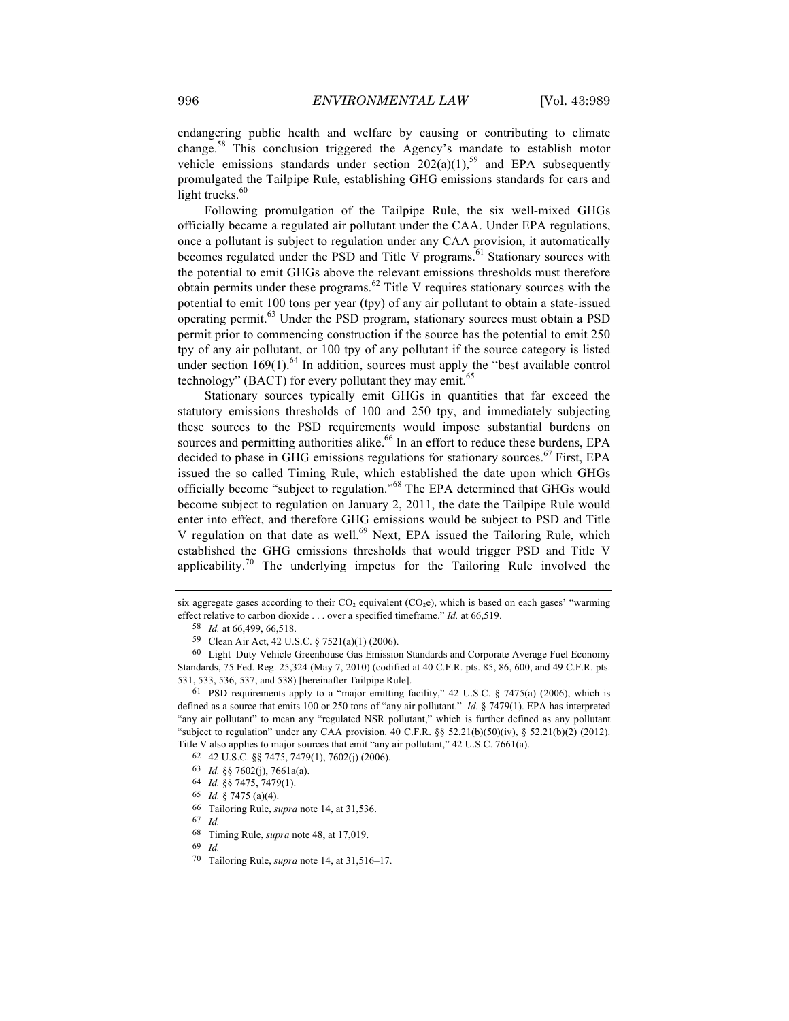endangering public health and welfare by causing or contributing to climate change.<sup>58</sup> This conclusion triggered the Agency's mandate to establish motor vehicle emissions standards under section  $202(a)(1)$ ,<sup>59</sup> and EPA subsequently promulgated the Tailpipe Rule, establishing GHG emissions standards for cars and light trucks. $60$ 

Following promulgation of the Tailpipe Rule, the six well-mixed GHGs officially became a regulated air pollutant under the CAA. Under EPA regulations, once a pollutant is subject to regulation under any CAA provision, it automatically becomes regulated under the PSD and Title V programs.<sup>61</sup> Stationary sources with the potential to emit GHGs above the relevant emissions thresholds must therefore obtain permits under these programs. $62$  Title V requires stationary sources with the potential to emit 100 tons per year (tpy) of any air pollutant to obtain a state-issued operating permit.<sup>63</sup> Under the PSD program, stationary sources must obtain a PSD permit prior to commencing construction if the source has the potential to emit 250 tpy of any air pollutant, or 100 tpy of any pollutant if the source category is listed under section  $169(1)$ .<sup>64</sup> In addition, sources must apply the "best available control" technology" (BACT) for every pollutant they may emit.<sup>65</sup>

Stationary sources typically emit GHGs in quantities that far exceed the statutory emissions thresholds of 100 and 250 tpy, and immediately subjecting these sources to the PSD requirements would impose substantial burdens on sources and permitting authorities alike.<sup>66</sup> In an effort to reduce these burdens, EPA decided to phase in GHG emissions regulations for stationary sources.<sup>67</sup> First, EPA issued the so called Timing Rule, which established the date upon which GHGs officially become "subject to regulation."<sup>68</sup> The EPA determined that GHGs would become subject to regulation on January 2, 2011, the date the Tailpipe Rule would enter into effect, and therefore GHG emissions would be subject to PSD and Title V regulation on that date as well.<sup>69</sup> Next, EPA issued the Tailoring Rule, which established the GHG emissions thresholds that would trigger PSD and Title V applicability.<sup>70</sup> The underlying impetus for the Tailoring Rule involved the

- 64 *Id.* §§ 7475, 7479(1).
- 65 *Id.* § 7475 (a)(4).
- 66 Tailoring Rule, *supra* note 14, at 31,536.
- 67 *Id.*
- 68 Timing Rule, *supra* note 48, at 17,019.
- 69 *Id.*
- 70 Tailoring Rule, *supra* note 14, at 31,516–17.

six aggregate gases according to their  $CO<sub>2</sub>$  equivalent ( $CO<sub>2</sub>e$ ), which is based on each gases' "warming effect relative to carbon dioxide . . . over a specified timeframe." *Id.* at 66,519.

<sup>58</sup> *Id.* at 66,499, 66,518.

<sup>59</sup> Clean Air Act, 42 U.S.C. § 7521(a)(1) (2006).

<sup>60</sup> Light–Duty Vehicle Greenhouse Gas Emission Standards and Corporate Average Fuel Economy Standards, 75 Fed. Reg. 25,324 (May 7, 2010) (codified at 40 C.F.R. pts. 85, 86, 600, and 49 C.F.R. pts. 531, 533, 536, 537, and 538) [hereinafter Tailpipe Rule].

<sup>61</sup> PSD requirements apply to a "major emitting facility," 42 U.S.C. § 7475(a) (2006), which is defined as a source that emits 100 or 250 tons of "any air pollutant." *Id.* § 7479(1). EPA has interpreted "any air pollutant" to mean any "regulated NSR pollutant," which is further defined as any pollutant "subject to regulation" under any CAA provision. 40 C.F.R. §§ 52.21(b)(50)(iv), § 52.21(b)(2) (2012). Title V also applies to major sources that emit "any air pollutant," 42 U.S.C. 7661(a).

<sup>62</sup> 42 U.S.C. §§ 7475, 7479(1), 7602(j) (2006).

<sup>63</sup> *Id.* §§ 7602(j), 7661a(a).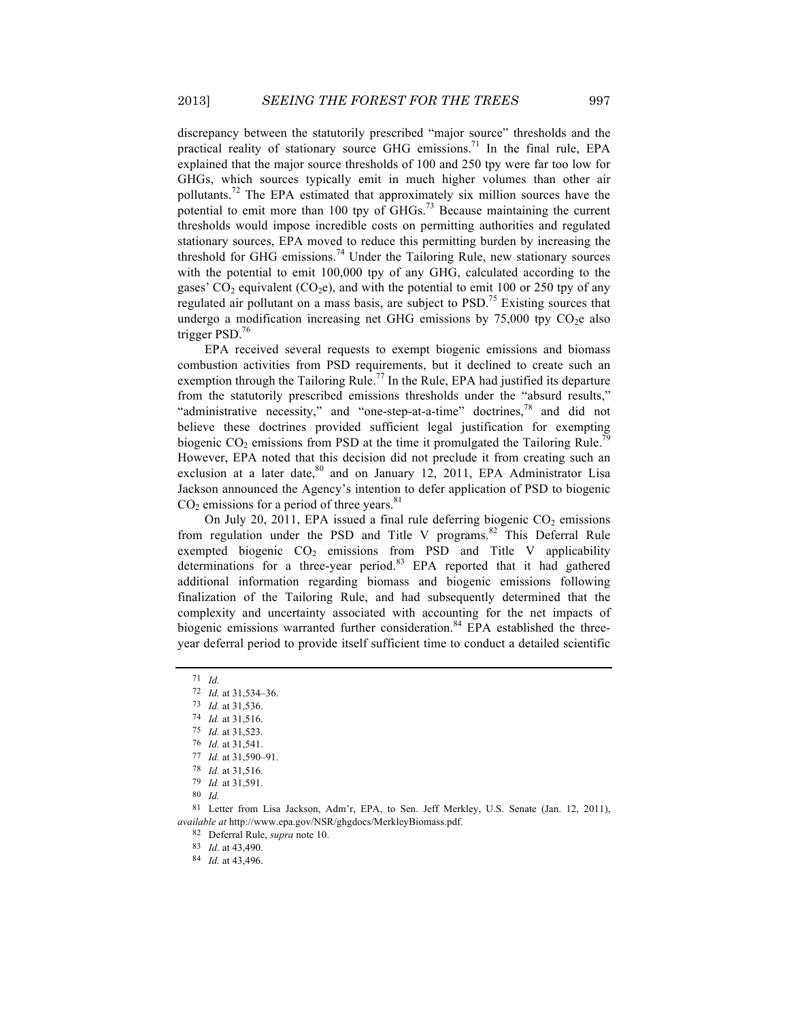discrepancy between the statutorily prescribed "major source" thresholds and the practical reality of stationary source GHG emissions.<sup>71</sup> In the final rule, EPA explained that the major source thresholds of 100 and 250 tpy were far too low for GHGs, which sources typically emit in much higher volumes than other air pollutants.<sup>72</sup> The EPA estimated that approximately six million sources have the potential to emit more than 100 tpy of GHGs.<sup>73</sup> Because maintaining the current thresholds would impose incredible costs on permitting authorities and regulated stationary sources, EPA moved to reduce this permitting burden by increasing the threshold for GHG emissions.<sup>74</sup> Under the Tailoring Rule, new stationary sources with the potential to emit 100,000 tpy of any GHG, calculated according to the gases'  $CO_2$  equivalent ( $CO_2e$ ), and with the potential to emit 100 or 250 tpy of any regulated air pollutant on a mass basis, are subject to  $PSD<sup>75</sup>$  Existing sources that undergo a modification increasing net GHG emissions by  $75,000$  tpy  $CO<sub>2</sub>e$  also trigger PSD.<sup>76</sup>

EPA received several requests to exempt biogenic emissions and biomass combustion activities from PSD requirements, but it declined to create such an exemption through the Tailoring Rule.<sup>77</sup> In the Rule, EPA had justified its departure from the statutorily prescribed emissions thresholds under the "absurd results," "administrative necessity," and "one-step-at-a-time" doctrines, $^{78}$  and did not believe these doctrines provided sufficient legal justification for exempting biogenic  $CO<sub>2</sub>$  emissions from PSD at the time it promulgated the Tailoring Rule.<sup>79</sup> However, EPA noted that this decision did not preclude it from creating such an exclusion at a later date, $80$  and on January 12, 2011, EPA Administrator Lisa Jackson announced the Agency's intention to defer application of PSD to biogenic  $CO<sub>2</sub>$  emissions for a period of three years.<sup>81</sup>

On July 20, 2011, EPA issued a final rule deferring biogenic  $CO<sub>2</sub>$  emissions from regulation under the PSD and Title V programs.<sup>82</sup> This Deferral Rule exempted biogenic  $CO<sub>2</sub>$  emissions from PSD and Title V applicability determinations for a three-year period.<sup>83</sup> EPA reported that it had gathered additional information regarding biomass and biogenic emissions following finalization of the Tailoring Rule, and had subsequently determined that the complexity and uncertainty associated with accounting for the net impacts of biogenic emissions warranted further consideration.<sup>84</sup> EPA established the threeyear deferral period to provide itself sufficient time to conduct a detailed scientific

81 Letter from Lisa Jackson, Adm'r, EPA, to Sen. Jeff Merkley, U.S. Senate (Jan. 12, 2011), *available at* http://www.epa.gov/NSR/ghgdocs/MerkleyBiomass.pdf.

82 Deferral Rule, *supra* note 10.

83 *Id.* at 43,490.

84 *Id.* at 43,496.

<sup>71</sup> *Id.*

<sup>72</sup> *Id.* at 31,534–36.

<sup>73</sup> *Id.* at 31,536.

<sup>74</sup> *Id.* at 31,516.

<sup>75</sup> *Id.* at 31,523.

<sup>76</sup> *Id.* at 31,541.

<sup>77</sup> *Id.* at 31,590–91.

<sup>78</sup> *Id.* at 31,516.

<sup>79</sup> *Id.* at 31,591.

<sup>80</sup> *Id.*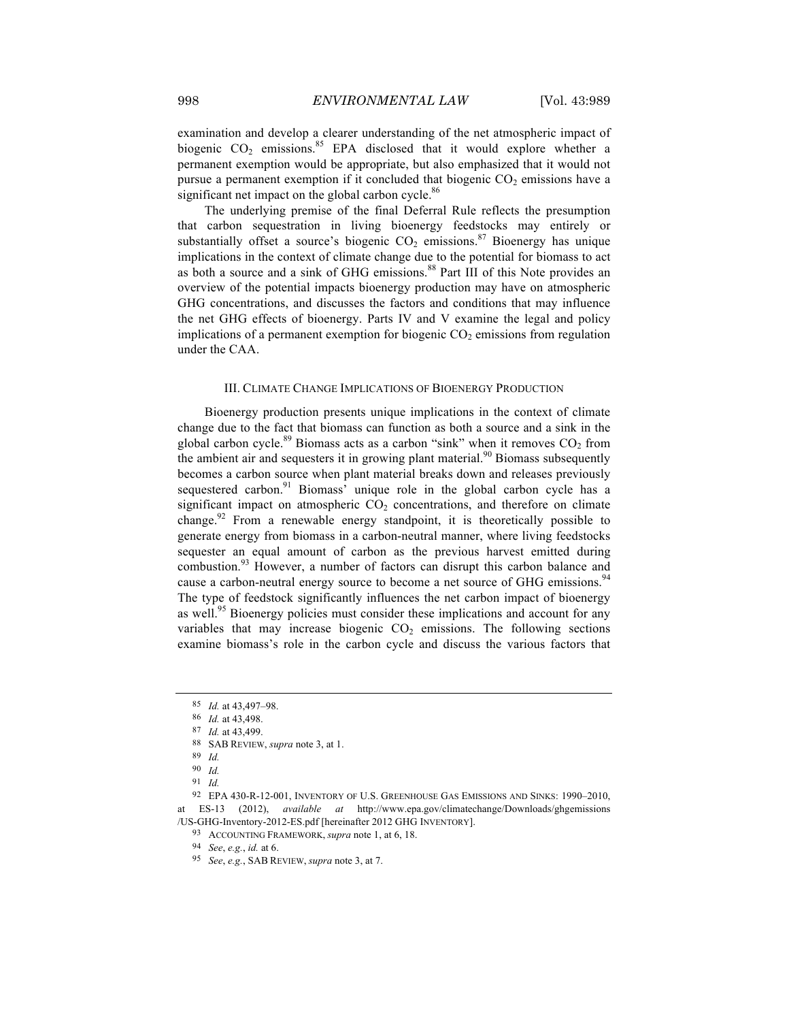examination and develop a clearer understanding of the net atmospheric impact of biogenic  $CO<sub>2</sub>$  emissions.<sup>85</sup> EPA disclosed that it would explore whether a permanent exemption would be appropriate, but also emphasized that it would not pursue a permanent exemption if it concluded that biogenic  $CO<sub>2</sub>$  emissions have a significant net impact on the global carbon cycle.<sup>86</sup>

The underlying premise of the final Deferral Rule reflects the presumption that carbon sequestration in living bioenergy feedstocks may entirely or substantially offset a source's biogenic  $CO<sub>2</sub>$  emissions.<sup>87</sup> Bioenergy has unique implications in the context of climate change due to the potential for biomass to act as both a source and a sink of GHG emissions.<sup>88</sup> Part III of this Note provides an overview of the potential impacts bioenergy production may have on atmospheric GHG concentrations, and discusses the factors and conditions that may influence the net GHG effects of bioenergy. Parts IV and V examine the legal and policy implications of a permanent exemption for biogenic  $CO<sub>2</sub>$  emissions from regulation under the CAA.

#### III. CLIMATE CHANGE IMPLICATIONS OF BIOENERGY PRODUCTION

Bioenergy production presents unique implications in the context of climate change due to the fact that biomass can function as both a source and a sink in the global carbon cycle.<sup>89</sup> Biomass acts as a carbon "sink" when it removes  $CO<sub>2</sub>$  from the ambient air and sequesters it in growing plant material.<sup>90</sup> Biomass subsequently becomes a carbon source when plant material breaks down and releases previously sequestered carbon.<sup>91</sup> Biomass' unique role in the global carbon cycle has a significant impact on atmospheric  $CO<sub>2</sub>$  concentrations, and therefore on climate change.<sup>92</sup> From a renewable energy standpoint, it is theoretically possible to generate energy from biomass in a carbon-neutral manner, where living feedstocks sequester an equal amount of carbon as the previous harvest emitted during combustion.<sup>93</sup> However, a number of factors can disrupt this carbon balance and cause a carbon-neutral energy source to become a net source of GHG emissions.<sup>94</sup> The type of feedstock significantly influences the net carbon impact of bioenergy as well.<sup>95</sup> Bioenergy policies must consider these implications and account for any variables that may increase biogenic  $CO<sub>2</sub>$  emissions. The following sections examine biomass's role in the carbon cycle and discuss the various factors that

<sup>85</sup> *Id.* at 43,497–98.

<sup>86</sup> *Id.* at 43,498.

<sup>87</sup> *Id.* at 43,499.

<sup>88</sup> SAB REVIEW, *supra* note 3, at 1.

<sup>89</sup> *Id.*

<sup>90</sup> *Id.*

<sup>91</sup> *Id.*

<sup>92</sup> EPA 430-R-12-001, INVENTORY OF U.S. GREENHOUSE GAS EMISSIONS AND SINKS: 1990*–*2010, at ES-13 (2012), *available at* http://www.epa.gov/climatechange/Downloads/ghgemissions /US-GHG-Inventory-2012-ES.pdf [hereinafter 2012 GHG INVENTORY].

<sup>93</sup> ACCOUNTING FRAMEWORK, *supra* note 1, at 6, 18.

<sup>94</sup> *See*, *e.g.*, *id.* at 6.

<sup>95</sup> *See*, *e.g.*, SAB REVIEW, *supra* note 3, at 7.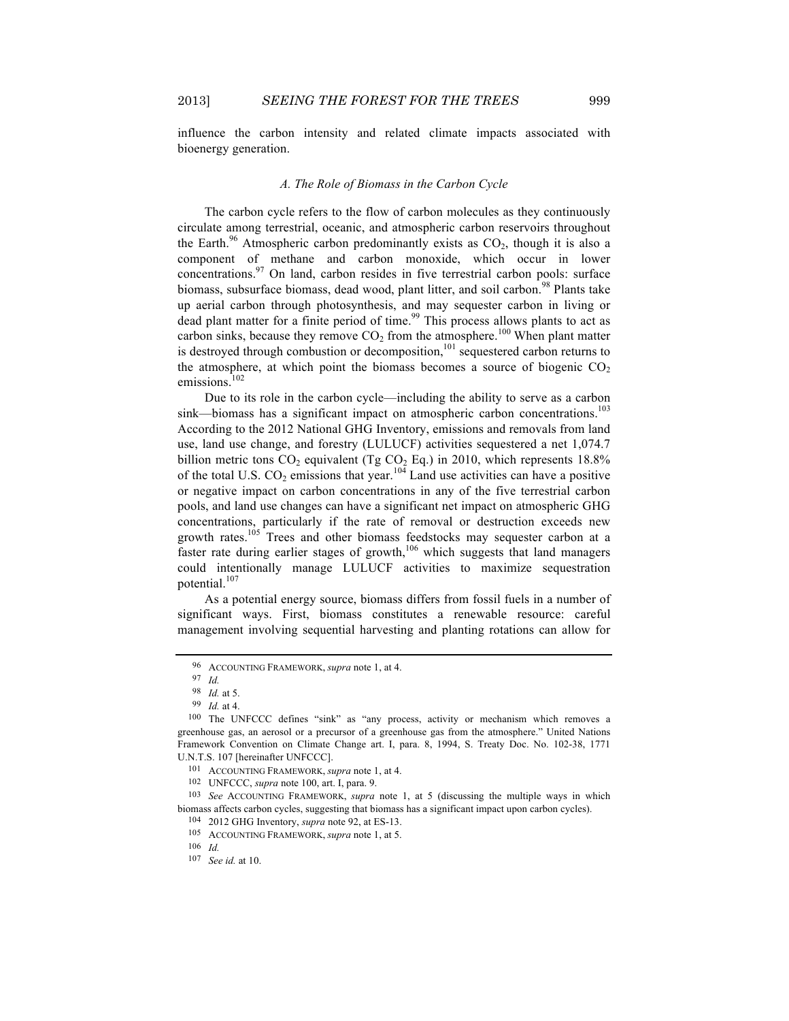influence the carbon intensity and related climate impacts associated with bioenergy generation.

#### *A. The Role of Biomass in the Carbon Cycle*

The carbon cycle refers to the flow of carbon molecules as they continuously circulate among terrestrial, oceanic, and atmospheric carbon reservoirs throughout the Earth.<sup>96</sup> Atmospheric carbon predominantly exists as  $CO<sub>2</sub>$ , though it is also a component of methane and carbon monoxide, which occur in lower concentrations.<sup>97</sup> On land, carbon resides in five terrestrial carbon pools: surface biomass, subsurface biomass, dead wood, plant litter, and soil carbon.<sup>98</sup> Plants take up aerial carbon through photosynthesis, and may sequester carbon in living or dead plant matter for a finite period of time. <sup>99</sup> This process allows plants to act as carbon sinks, because they remove  $CO<sub>2</sub>$  from the atmosphere.<sup>100</sup> When plant matter is destroyed through combustion or decomposition, $101$  sequestered carbon returns to the atmosphere, at which point the biomass becomes a source of biogenic  $CO<sub>2</sub>$ emissions.<sup>102</sup>

Due to its role in the carbon cycle—including the ability to serve as a carbon sink—biomass has a significant impact on atmospheric carbon concentrations.<sup>103</sup> According to the 2012 National GHG Inventory, emissions and removals from land use, land use change, and forestry (LULUCF) activities sequestered a net 1,074.7 billion metric tons  $CO_2$  equivalent (Tg  $CO_2$  Eq.) in 2010, which represents 18.8% of the total U.S.  $CO_2$  emissions that year.<sup>104</sup> Land use activities can have a positive or negative impact on carbon concentrations in any of the five terrestrial carbon pools, and land use changes can have a significant net impact on atmospheric GHG concentrations, particularly if the rate of removal or destruction exceeds new growth rates.<sup>105</sup> Trees and other biomass feedstocks may sequester carbon at a faster rate during earlier stages of growth,<sup>106</sup> which suggests that land managers could intentionally manage LULUCF activities to maximize sequestration potential.<sup>107</sup>

As a potential energy source, biomass differs from fossil fuels in a number of significant ways. First, biomass constitutes a renewable resource: careful management involving sequential harvesting and planting rotations can allow for

<sup>96</sup> ACCOUNTING FRAMEWORK, *supra* note 1, at 4.

<sup>97</sup> *Id.*

<sup>98</sup> *Id.* at 5.

<sup>99</sup> *Id.* at 4.

<sup>100</sup> The UNFCCC defines "sink" as "any process, activity or mechanism which removes a greenhouse gas, an aerosol or a precursor of a greenhouse gas from the atmosphere." United Nations Framework Convention on Climate Change art. I, para. 8, 1994, S. Treaty Doc. No. 102-38, 1771 U.N.T.S. 107 [hereinafter UNFCCC].

<sup>101</sup> ACCOUNTING FRAMEWORK, *supra* note 1, at 4.

<sup>102</sup> UNFCCC, *supra* note 100, art. I, para. 9.

<sup>103</sup> *See* ACCOUNTING FRAMEWORK, *supra* note 1, at 5 (discussing the multiple ways in which biomass affects carbon cycles, suggesting that biomass has a significant impact upon carbon cycles).

<sup>104</sup> 2012 GHG Inventory, *supra* note 92, at ES-13.

<sup>105</sup> ACCOUNTING FRAMEWORK, *supra* note 1, at 5.

<sup>106</sup> *Id.*

<sup>107</sup> *See id.* at 10.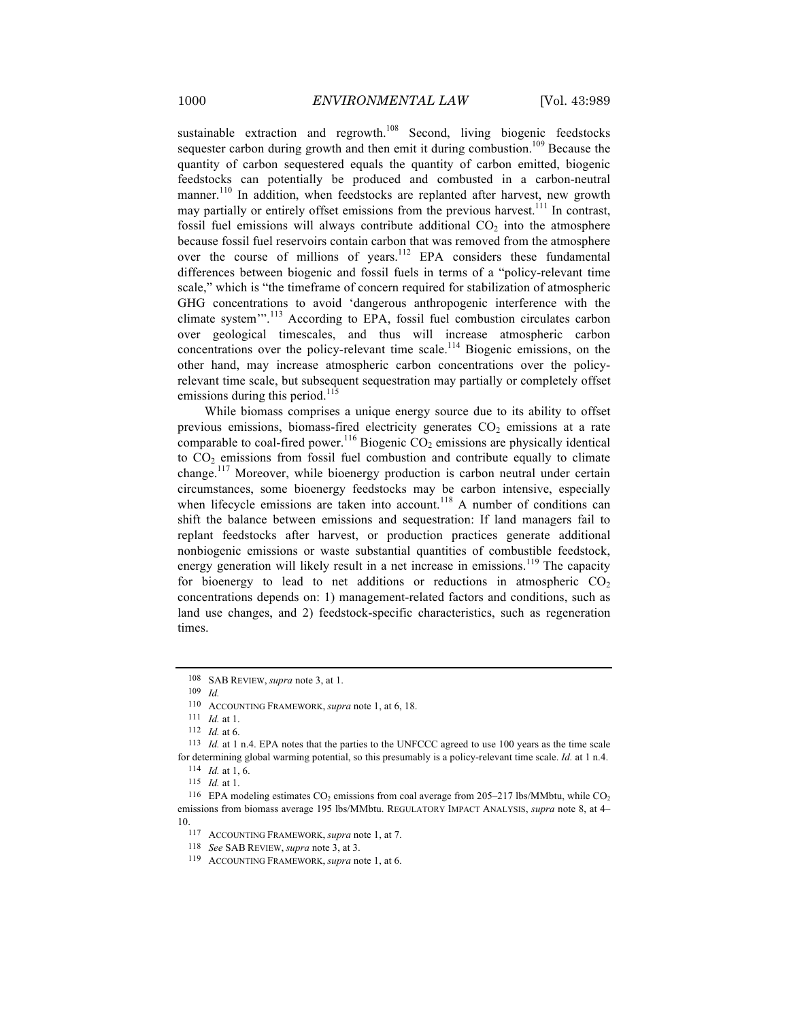sustainable extraction and regrowth.<sup>108</sup> Second, living biogenic feedstocks sequester carbon during growth and then emit it during combustion.<sup>109</sup> Because the quantity of carbon sequestered equals the quantity of carbon emitted, biogenic feedstocks can potentially be produced and combusted in a carbon-neutral manner.<sup>110</sup> In addition, when feedstocks are replanted after harvest, new growth may partially or entirely offset emissions from the previous harvest.<sup>111</sup> In contrast, fossil fuel emissions will always contribute additional  $CO<sub>2</sub>$  into the atmosphere because fossil fuel reservoirs contain carbon that was removed from the atmosphere over the course of millions of years.<sup>112</sup> EPA considers these fundamental differences between biogenic and fossil fuels in terms of a "policy-relevant time scale," which is "the timeframe of concern required for stabilization of atmospheric GHG concentrations to avoid 'dangerous anthropogenic interference with the climate system'". <sup>113</sup> According to EPA, fossil fuel combustion circulates carbon over geological timescales, and thus will increase atmospheric carbon concentrations over the policy-relevant time scale.<sup>114</sup> Biogenic emissions, on the other hand, may increase atmospheric carbon concentrations over the policyrelevant time scale, but subsequent sequestration may partially or completely offset emissions during this period.<sup>115</sup>

While biomass comprises a unique energy source due to its ability to offset previous emissions, biomass-fired electricity generates  $CO<sub>2</sub>$  emissions at a rate comparable to coal-fired power.<sup>116</sup> Biogenic  $CO<sub>2</sub>$  emissions are physically identical to  $CO<sub>2</sub>$  emissions from fossil fuel combustion and contribute equally to climate change.<sup>117</sup> Moreover, while bioenergy production is carbon neutral under certain circumstances, some bioenergy feedstocks may be carbon intensive, especially when lifecycle emissions are taken into account.<sup>118</sup> A number of conditions can shift the balance between emissions and sequestration: If land managers fail to replant feedstocks after harvest, or production practices generate additional nonbiogenic emissions or waste substantial quantities of combustible feedstock, energy generation will likely result in a net increase in emissions.<sup>119</sup> The capacity for bioenergy to lead to net additions or reductions in atmospheric  $CO<sub>2</sub>$ concentrations depends on: 1) management-related factors and conditions, such as land use changes, and 2) feedstock-specific characteristics, such as regeneration times.

<sup>108</sup> SAB REVIEW, *supra* note 3, at 1.

<sup>109</sup> *Id.*

<sup>110</sup> ACCOUNTING FRAMEWORK, *supra* note 1, at 6, 18.

<sup>111</sup> *Id.* at 1.

<sup>112</sup> *Id.* at 6.

<sup>113</sup> *Id.* at 1 n.4. EPA notes that the parties to the UNFCCC agreed to use 100 years as the time scale for determining global warming potential, so this presumably is a policy-relevant time scale. *Id.* at 1 n.4.

<sup>114</sup> *Id.* at 1, 6.

<sup>115</sup> *Id.* at 1.

<sup>&</sup>lt;sup>116</sup> EPA modeling estimates  $CO<sub>2</sub>$  emissions from coal average from 205–217 lbs/MMbtu, while  $CO<sub>2</sub>$ emissions from biomass average 195 lbs/MMbtu. REGULATORY IMPACT ANALYSIS, *supra* note 8, at 4*–* 10.

<sup>117</sup> ACCOUNTING FRAMEWORK, *supra* note 1, at 7.

<sup>118</sup> *See* SAB REVIEW, *supra* note 3, at 3.

<sup>119</sup> ACCOUNTING FRAMEWORK, *supra* note 1, at 6.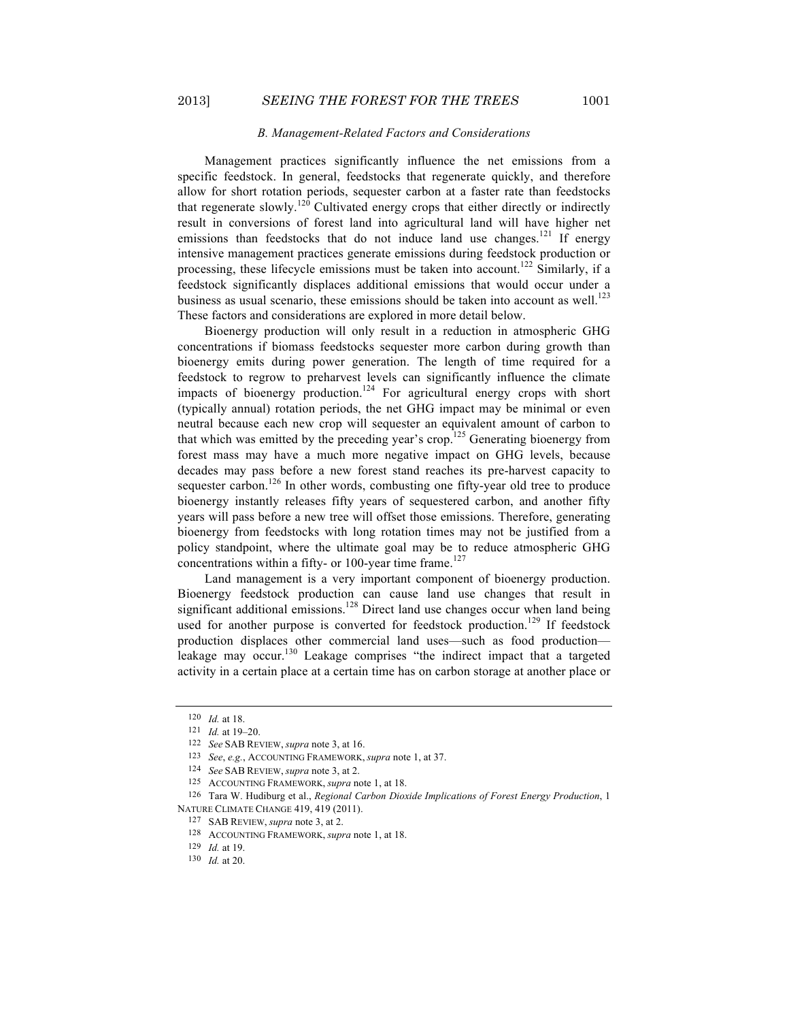#### *B. Management-Related Factors and Considerations*

Management practices significantly influence the net emissions from a specific feedstock. In general, feedstocks that regenerate quickly, and therefore allow for short rotation periods, sequester carbon at a faster rate than feedstocks that regenerate slowly.<sup>120</sup> Cultivated energy crops that either directly or indirectly result in conversions of forest land into agricultural land will have higher net emissions than feedstocks that do not induce land use changes.<sup>121</sup> If energy intensive management practices generate emissions during feedstock production or processing, these lifecycle emissions must be taken into account.<sup>122</sup> Similarly, if a feedstock significantly displaces additional emissions that would occur under a business as usual scenario, these emissions should be taken into account as well.<sup>123</sup> These factors and considerations are explored in more detail below.

Bioenergy production will only result in a reduction in atmospheric GHG concentrations if biomass feedstocks sequester more carbon during growth than bioenergy emits during power generation. The length of time required for a feedstock to regrow to preharvest levels can significantly influence the climate impacts of bioenergy production.<sup>124</sup> For agricultural energy crops with short (typically annual) rotation periods, the net GHG impact may be minimal or even neutral because each new crop will sequester an equivalent amount of carbon to that which was emitted by the preceding year's crop.<sup>125</sup> Generating bioenergy from forest mass may have a much more negative impact on GHG levels, because decades may pass before a new forest stand reaches its pre-harvest capacity to sequester carbon.<sup>126</sup> In other words, combusting one fifty-year old tree to produce bioenergy instantly releases fifty years of sequestered carbon, and another fifty years will pass before a new tree will offset those emissions. Therefore, generating bioenergy from feedstocks with long rotation times may not be justified from a policy standpoint, where the ultimate goal may be to reduce atmospheric GHG concentrations within a fifty- or 100-year time frame.<sup>127</sup>

Land management is a very important component of bioenergy production. Bioenergy feedstock production can cause land use changes that result in significant additional emissions.<sup>128</sup> Direct land use changes occur when land being used for another purpose is converted for feedstock production.<sup>129</sup> If feedstock production displaces other commercial land uses—such as food production leakage may occur.<sup>130</sup> Leakage comprises "the indirect impact that a targeted activity in a certain place at a certain time has on carbon storage at another place or

<sup>120</sup> *Id.* at 18.

<sup>121</sup> *Id.* at 19–20.

<sup>122</sup> *See* SAB REVIEW, *supra* note 3, at 16.

<sup>123</sup> *See*, *e.g.*, ACCOUNTING FRAMEWORK, *supra* note 1, at 37.

<sup>124</sup> *See* SAB REVIEW, *supra* note 3, at 2.

<sup>125</sup> ACCOUNTING FRAMEWORK, *supra* note 1, at 18.

<sup>126</sup> Tara W. Hudiburg et al., *Regional Carbon Dioxide Implications of Forest Energy Production*, 1 NATURE CLIMATE CHANGE 419, 419 (2011).

<sup>127</sup> SAB REVIEW, *supra* note 3, at 2.

<sup>128</sup> ACCOUNTING FRAMEWORK, *supra* note 1, at 18.

<sup>129</sup> *Id.* at 19.

<sup>130</sup> *Id.* at 20.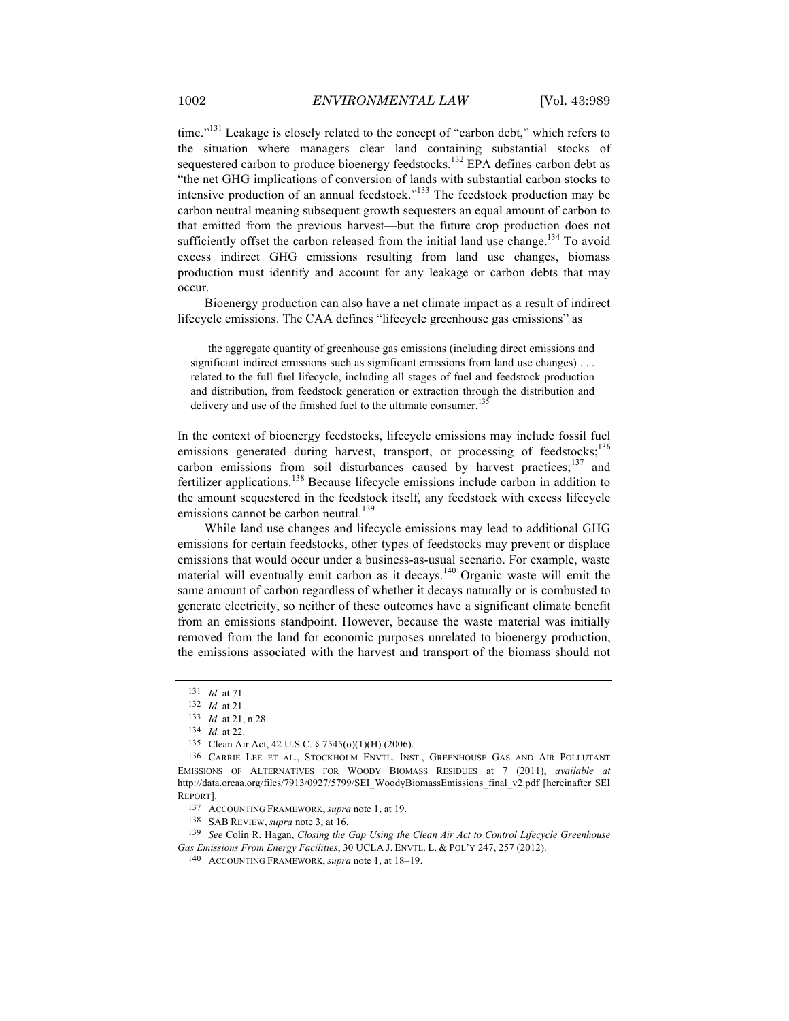time."<sup>131</sup> Leakage is closely related to the concept of "carbon debt," which refers to the situation where managers clear land containing substantial stocks of sequestered carbon to produce bioenergy feedstocks.<sup>132</sup> EPA defines carbon debt as "the net GHG implications of conversion of lands with substantial carbon stocks to intensive production of an annual feedstock."<sup>133</sup> The feedstock production may be carbon neutral meaning subsequent growth sequesters an equal amount of carbon to that emitted from the previous harvest—but the future crop production does not sufficiently offset the carbon released from the initial land use change.<sup>134</sup> To avoid excess indirect GHG emissions resulting from land use changes, biomass production must identify and account for any leakage or carbon debts that may occur.

Bioenergy production can also have a net climate impact as a result of indirect lifecycle emissions. The CAA defines "lifecycle greenhouse gas emissions" as

the aggregate quantity of greenhouse gas emissions (including direct emissions and significant indirect emissions such as significant emissions from land use changes)... related to the full fuel lifecycle, including all stages of fuel and feedstock production and distribution, from feedstock generation or extraction through the distribution and delivery and use of the finished fuel to the ultimate consumer.<sup>135</sup>

In the context of bioenergy feedstocks, lifecycle emissions may include fossil fuel emissions generated during harvest, transport, or processing of feedstocks;<sup>136</sup> carbon emissions from soil disturbances caused by harvest practices; $137$  and fertilizer applications.<sup>138</sup> Because lifecycle emissions include carbon in addition to the amount sequestered in the feedstock itself, any feedstock with excess lifecycle emissions cannot be carbon neutral.<sup>139</sup>

While land use changes and lifecycle emissions may lead to additional GHG emissions for certain feedstocks, other types of feedstocks may prevent or displace emissions that would occur under a business-as-usual scenario. For example, waste material will eventually emit carbon as it decays.<sup>140</sup> Organic waste will emit the same amount of carbon regardless of whether it decays naturally or is combusted to generate electricity, so neither of these outcomes have a significant climate benefit from an emissions standpoint. However, because the waste material was initially removed from the land for economic purposes unrelated to bioenergy production, the emissions associated with the harvest and transport of the biomass should not

137 ACCOUNTING FRAMEWORK, *supra* note 1, at 19.

139 *See* Colin R. Hagan, *Closing the Gap Using the Clean Air Act to Control Lifecycle Greenhouse Gas Emissions From Energy Facilities*, 30 UCLA J. ENVTL. L. & POL'Y 247, 257 (2012).

<sup>131</sup> *Id.* at 71.

<sup>132</sup> *Id.* at 21.

<sup>133</sup> *Id.* at 21, n.28.

<sup>134</sup> *Id.* at 22.

<sup>135</sup> Clean Air Act, 42 U.S.C. § 7545(o)(1)(H) (2006).

<sup>136</sup> CARRIE LEE ET AL., STOCKHOLM ENVTL. INST., GREENHOUSE GAS AND AIR POLLUTANT EMISSIONS OF ALTERNATIVES FOR WOODY BIOMASS RESIDUES at 7 (2011), *available at* http://data.orcaa.org/files/7913/0927/5799/SEI\_WoodyBiomassEmissions\_final\_v2.pdf [hereinafter SEI REPORT].

<sup>138</sup> SAB REVIEW, *supra* note 3, at 16.

<sup>140</sup> ACCOUNTING FRAMEWORK, *supra* note 1, at 18–19.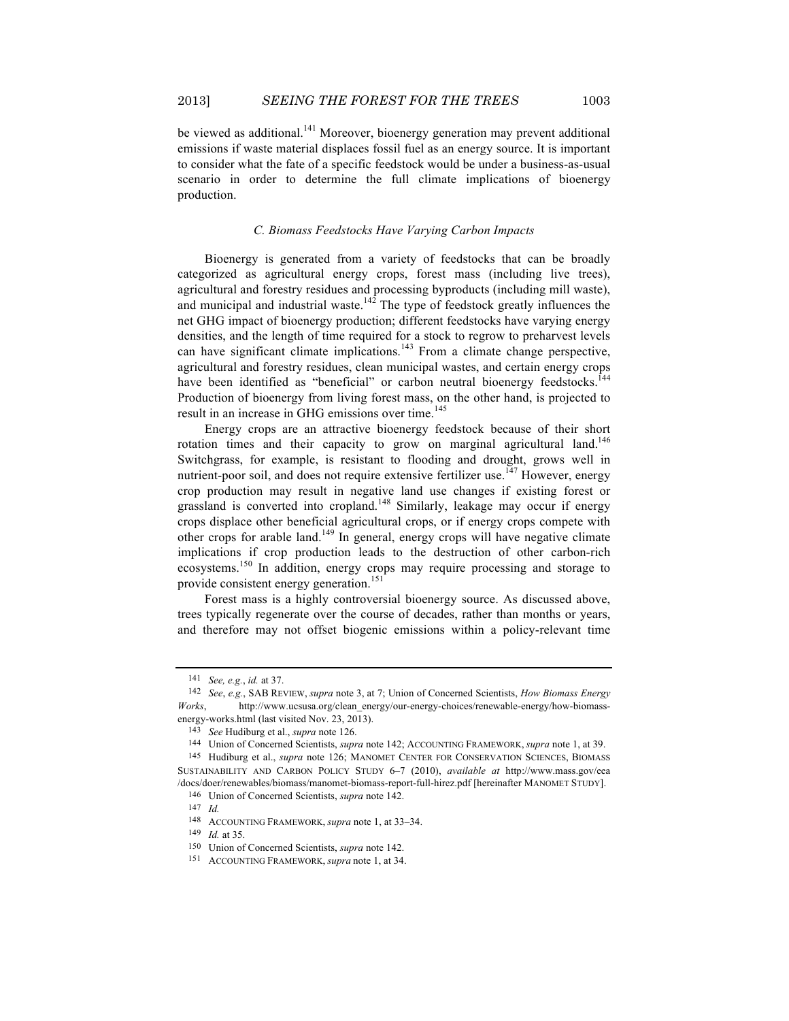be viewed as additional.<sup>141</sup> Moreover, bioenergy generation may prevent additional emissions if waste material displaces fossil fuel as an energy source. It is important to consider what the fate of a specific feedstock would be under a business-as-usual scenario in order to determine the full climate implications of bioenergy production.

#### *C. Biomass Feedstocks Have Varying Carbon Impacts*

Bioenergy is generated from a variety of feedstocks that can be broadly categorized as agricultural energy crops, forest mass (including live trees), agricultural and forestry residues and processing byproducts (including mill waste), and municipal and industrial waste. $142$  The type of feedstock greatly influences the net GHG impact of bioenergy production; different feedstocks have varying energy densities, and the length of time required for a stock to regrow to preharvest levels can have significant climate implications.<sup>143</sup> From a climate change perspective, agricultural and forestry residues, clean municipal wastes, and certain energy crops have been identified as "beneficial" or carbon neutral bioenergy feedstocks.<sup>144</sup> Production of bioenergy from living forest mass, on the other hand, is projected to result in an increase in GHG emissions over time.<sup>145</sup>

Energy crops are an attractive bioenergy feedstock because of their short rotation times and their capacity to grow on marginal agricultural land.<sup>146</sup> Switchgrass, for example, is resistant to flooding and drought, grows well in nutrient-poor soil, and does not require extensive fertilizer use.<sup>147</sup> However, energy crop production may result in negative land use changes if existing forest or grassland is converted into cropland.<sup>148</sup> Similarly, leakage may occur if energy crops displace other beneficial agricultural crops, or if energy crops compete with other crops for arable land.<sup>149</sup> In general, energy crops will have negative climate implications if crop production leads to the destruction of other carbon-rich ecosystems.<sup>150</sup> In addition, energy crops may require processing and storage to provide consistent energy generation.<sup>151</sup>

Forest mass is a highly controversial bioenergy source. As discussed above, trees typically regenerate over the course of decades, rather than months or years, and therefore may not offset biogenic emissions within a policy-relevant time

<sup>141</sup> *See, e.g.*, *id.* at 37.

<sup>142</sup> *See*, *e.g.*, SAB REVIEW, *supra* note 3, at 7; Union of Concerned Scientists, *How Biomass Energy Works*, http://www.ucsusa.org/clean\_energy/our-energy-choices/renewable-energy/how-biomassenergy-works.html (last visited Nov. 23, 2013).

<sup>143</sup> *See* Hudiburg et al., *supra* note 126.

<sup>144</sup> Union of Concerned Scientists, *supra* note 142; ACCOUNTING FRAMEWORK, *supra* note 1, at 39.

<sup>145</sup> Hudiburg et al., *supra* note 126; MANOMET CENTER FOR CONSERVATION SCIENCES, BIOMASS SUSTAINABILITY AND CARBON POLICY STUDY 6–7 (2010), *available at* http://www.mass.gov/eea /docs/doer/renewables/biomass/manomet-biomass-report-full-hirez.pdf [hereinafter MANOMET STUDY].

<sup>146</sup> Union of Concerned Scientists, *supra* note 142.

<sup>147</sup> *Id.*

<sup>148</sup> ACCOUNTING FRAMEWORK, *supra* note 1, at 33–34.

<sup>149</sup> *Id.* at 35.

<sup>150</sup> Union of Concerned Scientists, *supra* note 142.

<sup>151</sup> ACCOUNTING FRAMEWORK, *supra* note 1, at 34.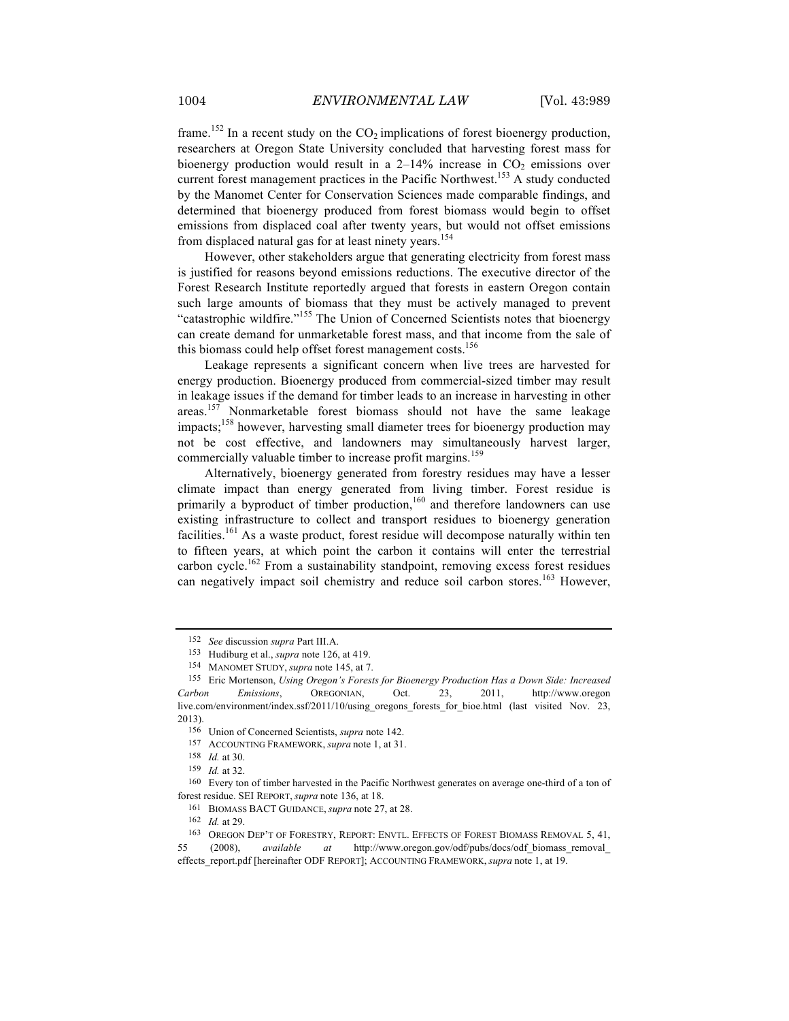frame.<sup>152</sup> In a recent study on the  $CO<sub>2</sub>$  implications of forest bioenergy production, researchers at Oregon State University concluded that harvesting forest mass for bioenergy production would result in a  $2-14\%$  increase in  $CO<sub>2</sub>$  emissions over current forest management practices in the Pacific Northwest.<sup>153</sup> A study conducted by the Manomet Center for Conservation Sciences made comparable findings, and determined that bioenergy produced from forest biomass would begin to offset emissions from displaced coal after twenty years, but would not offset emissions from displaced natural gas for at least ninety years.<sup>154</sup>

However, other stakeholders argue that generating electricity from forest mass is justified for reasons beyond emissions reductions. The executive director of the Forest Research Institute reportedly argued that forests in eastern Oregon contain such large amounts of biomass that they must be actively managed to prevent "catastrophic wildfire."<sup>155</sup> The Union of Concerned Scientists notes that bioenergy can create demand for unmarketable forest mass, and that income from the sale of this biomass could help offset forest management costs.<sup>156</sup>

Leakage represents a significant concern when live trees are harvested for energy production. Bioenergy produced from commercial-sized timber may result in leakage issues if the demand for timber leads to an increase in harvesting in other areas.<sup>157</sup> Nonmarketable forest biomass should not have the same leakage impacts;<sup>158</sup> however, harvesting small diameter trees for bioenergy production may not be cost effective, and landowners may simultaneously harvest larger, commercially valuable timber to increase profit margins.<sup>159</sup>

Alternatively, bioenergy generated from forestry residues may have a lesser climate impact than energy generated from living timber. Forest residue is primarily a byproduct of timber production,<sup>160</sup> and therefore landowners can use existing infrastructure to collect and transport residues to bioenergy generation facilities.<sup>161</sup> As a waste product, forest residue will decompose naturally within ten to fifteen years, at which point the carbon it contains will enter the terrestrial carbon cycle.<sup>162</sup> From a sustainability standpoint, removing excess forest residues can negatively impact soil chemistry and reduce soil carbon stores.<sup>163</sup> However,

<sup>152</sup> *See* discussion *supra* Part III.A.

<sup>153</sup> Hudiburg et al., *supra* note 126, at 419.

<sup>154</sup> MANOMET STUDY, *supra* note 145, at 7.

<sup>155</sup> Eric Mortenson, *Using Oregon's Forests for Bioenergy Production Has a Down Side: Increased Carbon Emissions*, OREGONIAN, Oct. 23, 2011, http://www.oregon live.com/environment/index.ssf/2011/10/using\_oregons\_forests\_for\_bioe.html (last visited Nov. 23, 2013).

<sup>156</sup> Union of Concerned Scientists, *supra* note 142.

<sup>157</sup> ACCOUNTING FRAMEWORK, *supra* note 1, at 31.

<sup>158</sup> *Id.* at 30.

<sup>159</sup> *Id.* at 32.

<sup>160</sup> Every ton of timber harvested in the Pacific Northwest generates on average one-third of a ton of forest residue. SEI REPORT, *supra* note 136, at 18.

<sup>161</sup> BIOMASS BACT GUIDANCE, *supra* note 27, at 28.

<sup>162</sup> *Id.* at 29.

<sup>163</sup> OREGON DEP'T OF FORESTRY, REPORT: ENVTL. EFFECTS OF FOREST BIOMASS REMOVAL 5, 41, 55 (2008), *available at* http://www.oregon.gov/odf/pubs/docs/odf\_biomass\_removal\_ effects\_report.pdf [hereinafter ODF REPORT]; ACCOUNTING FRAMEWORK, *supra* note 1, at 19.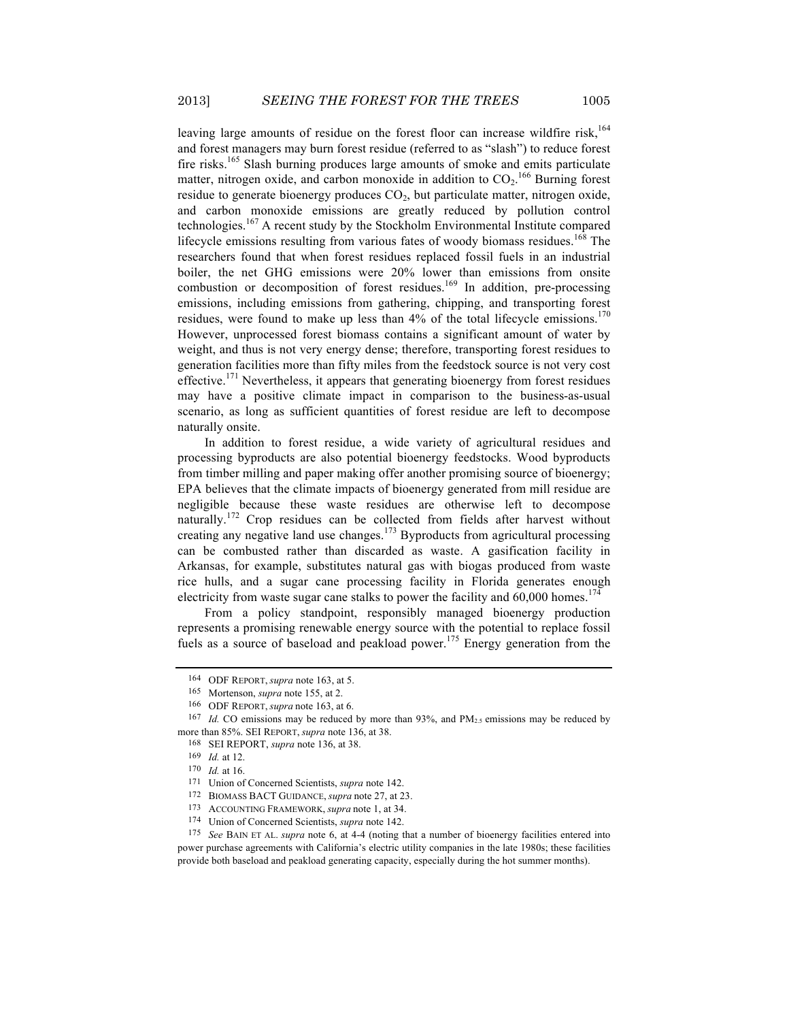leaving large amounts of residue on the forest floor can increase wildfire risk,<sup>164</sup> and forest managers may burn forest residue (referred to as "slash") to reduce forest fire risks.<sup>165</sup> Slash burning produces large amounts of smoke and emits particulate matter, nitrogen oxide, and carbon monoxide in addition to  $CO<sub>2</sub>$ .<sup>166</sup> Burning forest residue to generate bioenergy produces  $CO<sub>2</sub>$ , but particulate matter, nitrogen oxide, and carbon monoxide emissions are greatly reduced by pollution control technologies.<sup>167</sup> A recent study by the Stockholm Environmental Institute compared lifecycle emissions resulting from various fates of woody biomass residues.<sup>168</sup> The researchers found that when forest residues replaced fossil fuels in an industrial boiler, the net GHG emissions were 20% lower than emissions from onsite combustion or decomposition of forest residues.<sup>169</sup> In addition, pre-processing emissions, including emissions from gathering, chipping, and transporting forest residues, were found to make up less than  $4\%$  of the total lifecycle emissions.<sup>170</sup> However, unprocessed forest biomass contains a significant amount of water by weight, and thus is not very energy dense; therefore, transporting forest residues to generation facilities more than fifty miles from the feedstock source is not very cost effective.<sup>171</sup> Nevertheless, it appears that generating bioenergy from forest residues may have a positive climate impact in comparison to the business-as-usual scenario, as long as sufficient quantities of forest residue are left to decompose naturally onsite.

In addition to forest residue, a wide variety of agricultural residues and processing byproducts are also potential bioenergy feedstocks. Wood byproducts from timber milling and paper making offer another promising source of bioenergy; EPA believes that the climate impacts of bioenergy generated from mill residue are negligible because these waste residues are otherwise left to decompose naturally.<sup>172</sup> Crop residues can be collected from fields after harvest without creating any negative land use changes.<sup>173</sup> Byproducts from agricultural processing can be combusted rather than discarded as waste. A gasification facility in Arkansas, for example, substitutes natural gas with biogas produced from waste rice hulls, and a sugar cane processing facility in Florida generates enough electricity from waste sugar cane stalks to power the facility and  $60,000$  homes.<sup>174</sup>

From a policy standpoint, responsibly managed bioenergy production represents a promising renewable energy source with the potential to replace fossil fuels as a source of baseload and peakload power.<sup>175</sup> Energy generation from the

<sup>164</sup> ODF REPORT, *supra* note 163, at 5.

<sup>165</sup> Mortenson, *supra* note 155, at 2.

<sup>166</sup> ODF REPORT, *supra* note 163, at 6.

<sup>&</sup>lt;sup>167</sup> *Id.* CO emissions may be reduced by more than 93%, and  $PM<sub>25</sub>$  emissions may be reduced by more than 85%. SEI REPORT, *supra* note 136, at 38.

<sup>168</sup> SEI REPORT, *supra* note 136, at 38.

<sup>169</sup> *Id.* at 12.

<sup>170</sup> *Id.* at 16.

<sup>171</sup> Union of Concerned Scientists, *supra* note 142.

<sup>172</sup> BIOMASS BACT GUIDANCE, *supra* note 27, at 23.

<sup>173</sup> ACCOUNTING FRAMEWORK, *supra* note 1, at 34.

<sup>174</sup> Union of Concerned Scientists, *supra* note 142.

<sup>175</sup> *See* BAIN ET AL. *supra* note 6, at 4-4 (noting that a number of bioenergy facilities entered into power purchase agreements with California's electric utility companies in the late 1980s; these facilities provide both baseload and peakload generating capacity, especially during the hot summer months).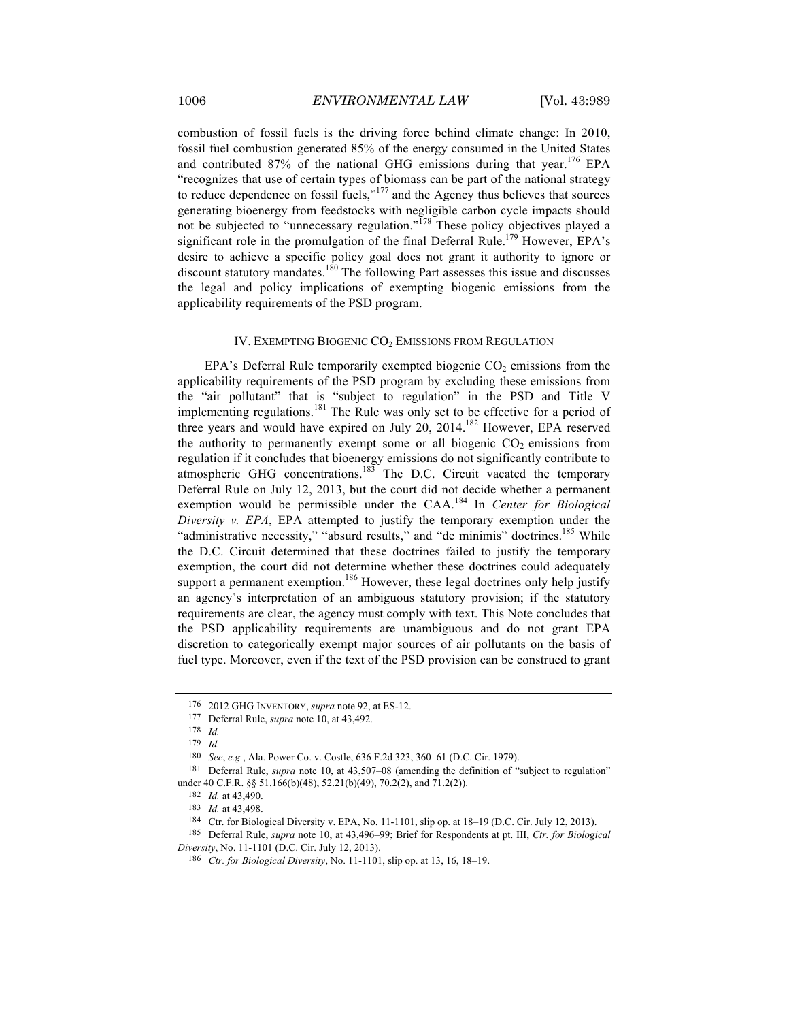combustion of fossil fuels is the driving force behind climate change: In 2010, fossil fuel combustion generated 85% of the energy consumed in the United States and contributed 87% of the national GHG emissions during that year.<sup>176</sup> EPA "recognizes that use of certain types of biomass can be part of the national strategy to reduce dependence on fossil fuels," $177$  and the Agency thus believes that sources generating bioenergy from feedstocks with negligible carbon cycle impacts should not be subjected to "unnecessary regulation."<sup>178</sup> These policy objectives played a significant role in the promulgation of the final Deferral Rule.<sup>179</sup> However, EPA's desire to achieve a specific policy goal does not grant it authority to ignore or discount statutory mandates.<sup>180</sup> The following Part assesses this issue and discusses the legal and policy implications of exempting biogenic emissions from the applicability requirements of the PSD program.

#### IV. EXEMPTING BIOGENIC CO<sub>2</sub> EMISSIONS FROM REGULATION

EPA's Deferral Rule temporarily exempted biogenic  $CO<sub>2</sub>$  emissions from the applicability requirements of the PSD program by excluding these emissions from the "air pollutant" that is "subject to regulation" in the PSD and Title V implementing regulations.<sup>181</sup> The Rule was only set to be effective for a period of three years and would have expired on July 20, 2014.<sup>182</sup> However, EPA reserved the authority to permanently exempt some or all biogenic  $CO<sub>2</sub>$  emissions from regulation if it concludes that bioenergy emissions do not significantly contribute to atmospheric GHG concentrations.<sup>183</sup> The D.C. Circuit vacated the temporary Deferral Rule on July 12, 2013, but the court did not decide whether a permanent exemption would be permissible under the CAA.<sup>184</sup> In *Center for Biological Diversity v. EPA*, EPA attempted to justify the temporary exemption under the "administrative necessity," "absurd results," and "de minimis" doctrines.<sup>185</sup> While the D.C. Circuit determined that these doctrines failed to justify the temporary exemption, the court did not determine whether these doctrines could adequately support a permanent exemption.<sup>186</sup> However, these legal doctrines only help justify an agency's interpretation of an ambiguous statutory provision; if the statutory requirements are clear, the agency must comply with text. This Note concludes that the PSD applicability requirements are unambiguous and do not grant EPA discretion to categorically exempt major sources of air pollutants on the basis of fuel type. Moreover, even if the text of the PSD provision can be construed to grant

<sup>176</sup> 2012 GHG INVENTORY, *supra* note 92, at ES-12.

<sup>177</sup> Deferral Rule, *supra* note 10, at 43,492.

<sup>178</sup> *Id.*

<sup>179</sup> *Id.*

<sup>180</sup> *See*, *e.g.*, Ala. Power Co. v. Costle, 636 F.2d 323, 360–61 (D.C. Cir. 1979).

<sup>181</sup> Deferral Rule, *supra* note 10, at 43,507–08 (amending the definition of "subject to regulation" under 40 C.F.R. §§ 51.166(b)(48), 52.21(b)(49), 70.2(2), and 71.2(2)).

<sup>182</sup> *Id.* at 43,490.

<sup>183</sup> *Id.* at 43,498.

<sup>184</sup> Ctr. for Biological Diversity v. EPA, No. 11-1101, slip op. at 18–19 (D.C. Cir. July 12, 2013).

<sup>185</sup> Deferral Rule, *supra* note 10, at 43,496–99; Brief for Respondents at pt. III, *Ctr. for Biological Diversity*, No. 11-1101 (D.C. Cir. July 12, 2013).

<sup>186</sup> *Ctr. for Biological Diversity*, No. 11-1101, slip op. at 13, 16, 18–19.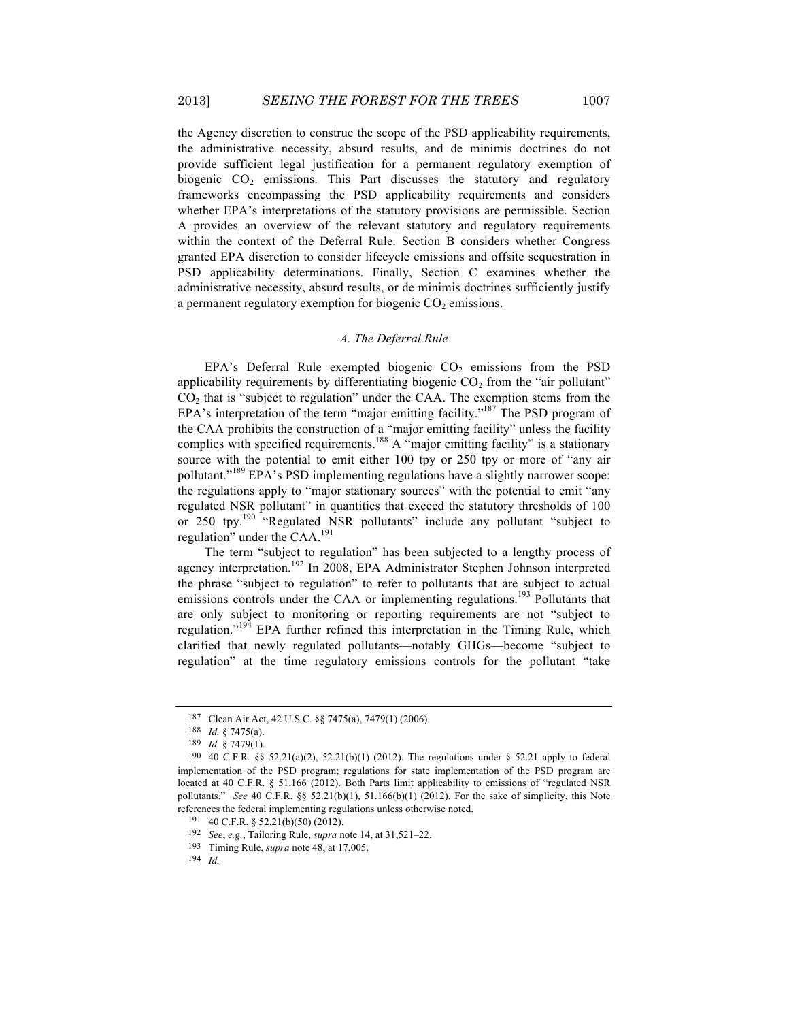the Agency discretion to construe the scope of the PSD applicability requirements, the administrative necessity, absurd results, and de minimis doctrines do not provide sufficient legal justification for a permanent regulatory exemption of biogenic  $CO<sub>2</sub>$  emissions. This Part discusses the statutory and regulatory frameworks encompassing the PSD applicability requirements and considers whether EPA's interpretations of the statutory provisions are permissible. Section A provides an overview of the relevant statutory and regulatory requirements within the context of the Deferral Rule. Section B considers whether Congress granted EPA discretion to consider lifecycle emissions and offsite sequestration in PSD applicability determinations. Finally, Section C examines whether the administrative necessity, absurd results, or de minimis doctrines sufficiently justify a permanent regulatory exemption for biogenic  $CO<sub>2</sub>$  emissions.

#### *A. The Deferral Rule*

 $EPA's$  Deferral Rule exempted biogenic  $CO<sub>2</sub>$  emissions from the PSD applicability requirements by differentiating biogenic  $CO<sub>2</sub>$  from the "air pollutant"  $CO<sub>2</sub>$  that is "subject to regulation" under the CAA. The exemption stems from the EPA's interpretation of the term "major emitting facility."<sup>187</sup> The PSD program of the CAA prohibits the construction of a "major emitting facility" unless the facility complies with specified requirements.<sup>188</sup> A "major emitting facility" is a stationary source with the potential to emit either 100 tpy or 250 tpy or more of "any air pollutant."<sup>189</sup> EPA's PSD implementing regulations have a slightly narrower scope: the regulations apply to "major stationary sources" with the potential to emit "any regulated NSR pollutant" in quantities that exceed the statutory thresholds of 100 or 250 tpy.<sup>190</sup> "Regulated NSR pollutants" include any pollutant "subject to regulation" under the CAA.<sup>191</sup>

The term "subject to regulation" has been subjected to a lengthy process of agency interpretation.<sup>192</sup> In 2008, EPA Administrator Stephen Johnson interpreted the phrase "subject to regulation" to refer to pollutants that are subject to actual emissions controls under the CAA or implementing regulations.<sup>193</sup> Pollutants that are only subject to monitoring or reporting requirements are not "subject to regulation."<sup>194</sup> EPA further refined this interpretation in the Timing Rule, which clarified that newly regulated pollutants—notably GHGs—become "subject to regulation" at the time regulatory emissions controls for the pollutant "take

<sup>187</sup> Clean Air Act, 42 U.S.C. §§ 7475(a), 7479(1) (2006).

<sup>188</sup> *Id.* § 7475(a).

<sup>189</sup> *Id.* § 7479(1).

<sup>190</sup> 40 C.F.R. §§ 52.21(a)(2), 52.21(b)(1) (2012). The regulations under § 52.21 apply to federal implementation of the PSD program; regulations for state implementation of the PSD program are located at 40 C.F.R. § 51.166 (2012). Both Parts limit applicability to emissions of "regulated NSR pollutants." *See* 40 C.F.R. §§ 52.21(b)(1), 51.166(b)(1) (2012). For the sake of simplicity, this Note references the federal implementing regulations unless otherwise noted.

<sup>191</sup> 40 C.F.R. § 52.21(b)(50) (2012).

<sup>192</sup> *See*, *e.g.*, Tailoring Rule, *supra* note 14, at 31,521–22.

<sup>193</sup> Timing Rule, *supra* note 48, at 17,005.

<sup>194</sup> *Id.*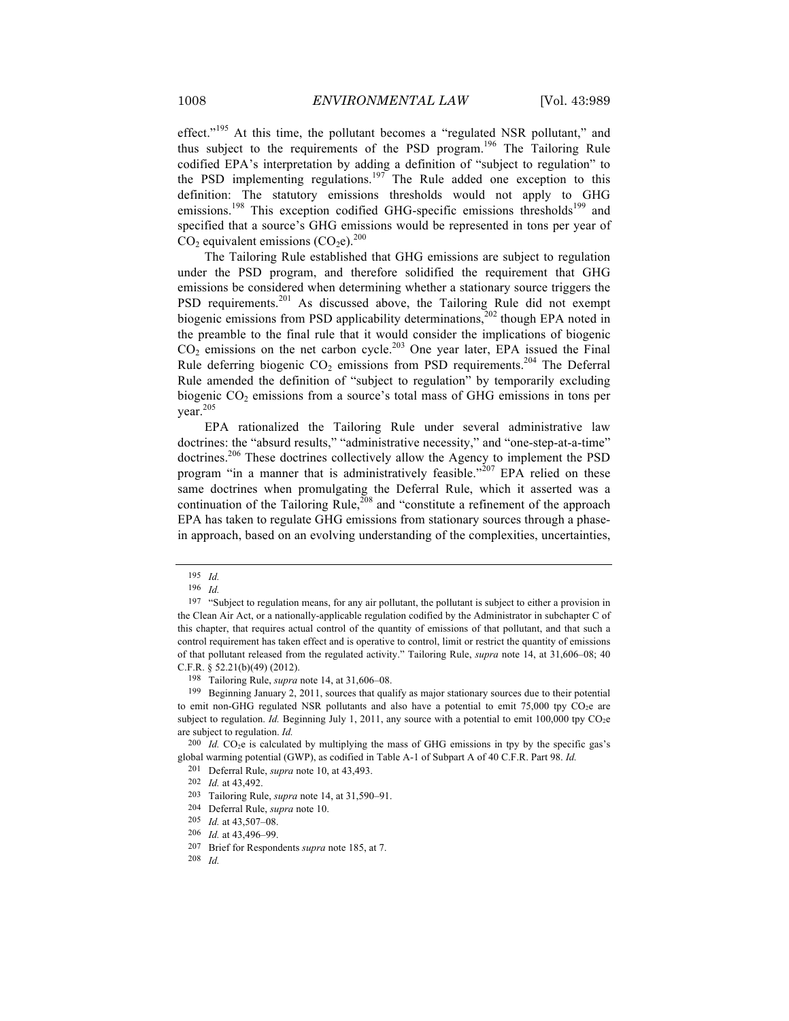effect."<sup>195</sup> At this time, the pollutant becomes a "regulated NSR pollutant," and thus subject to the requirements of the PSD program.<sup>196</sup> The Tailoring Rule codified EPA's interpretation by adding a definition of "subject to regulation" to the PSD implementing regulations.<sup>197</sup> The Rule added one exception to this definition: The statutory emissions thresholds would not apply to GHG emissions.<sup>198</sup> This exception codified GHG-specific emissions thresholds<sup>199</sup> and specified that a source's GHG emissions would be represented in tons per year of  $CO<sub>2</sub>$  equivalent emissions  $(CO<sub>2</sub>e)<sup>200</sup>$ 

The Tailoring Rule established that GHG emissions are subject to regulation under the PSD program, and therefore solidified the requirement that GHG emissions be considered when determining whether a stationary source triggers the PSD requirements.<sup>201</sup> As discussed above, the Tailoring Rule did not exempt biogenic emissions from PSD applicability determinations,<sup>202</sup> though EPA noted in the preamble to the final rule that it would consider the implications of biogenic  $CO<sub>2</sub>$  emissions on the net carbon cycle.<sup>203</sup> One year later, EPA issued the Final Rule deferring biogenic  $CO<sub>2</sub>$  emissions from PSD requirements.<sup>204</sup> The Deferral Rule amended the definition of "subject to regulation" by temporarily excluding biogenic  $CO<sub>2</sub>$  emissions from a source's total mass of GHG emissions in tons per year.<sup>205</sup>

EPA rationalized the Tailoring Rule under several administrative law doctrines: the "absurd results," "administrative necessity," and "one-step-at-a-time" doctrines.<sup>206</sup> These doctrines collectively allow the Agency to implement the PSD program "in a manner that is administratively feasible."<sup>207</sup> EPA relied on these same doctrines when promulgating the Deferral Rule, which it asserted was a continuation of the Tailoring Rule,<sup>208</sup> and "constitute a refinement of the approach EPA has taken to regulate GHG emissions from stationary sources through a phasein approach, based on an evolving understanding of the complexities, uncertainties,

<sup>195</sup> *Id.*

<sup>196</sup> *Id.*

<sup>&</sup>lt;sup>197</sup> "Subject to regulation means, for any air pollutant, the pollutant is subject to either a provision in the Clean Air Act, or a nationally-applicable regulation codified by the Administrator in subchapter C of this chapter, that requires actual control of the quantity of emissions of that pollutant, and that such a control requirement has taken effect and is operative to control, limit or restrict the quantity of emissions of that pollutant released from the regulated activity." Tailoring Rule, *supra* note 14, at 31,606–08; 40 C.F.R. § 52.21(b)(49) (2012).

<sup>198</sup> Tailoring Rule, *supra* note 14, at 31,606–08.

<sup>199</sup> Beginning January 2, 2011, sources that qualify as major stationary sources due to their potential to emit non-GHG regulated NSR pollutants and also have a potential to emit  $75,000$  tpy  $CO<sub>2</sub>e$  are subject to regulation. *Id.* Beginning July 1, 2011, any source with a potential to emit 100,000 tpy  $CO<sub>2</sub>e$ are subject to regulation. *Id.*

<sup>&</sup>lt;sup>200</sup> *Id.* CO<sub>2</sub>e is calculated by multiplying the mass of GHG emissions in tpy by the specific gas's global warming potential (GWP), as codified in Table A-1 of Subpart A of 40 C.F.R. Part 98. *Id.*

<sup>201</sup> Deferral Rule, *supra* note 10, at 43,493.

<sup>202</sup> *Id.* at 43,492.

<sup>203</sup> Tailoring Rule, *supra* note 14, at 31,590–91.

<sup>204</sup> Deferral Rule, *supra* note 10.

<sup>205</sup> *Id.* at 43,507–08.

<sup>206</sup> *Id.* at 43,496–99.

<sup>207</sup> Brief for Respondents *supra* note 185, at 7.

<sup>208</sup> *Id.*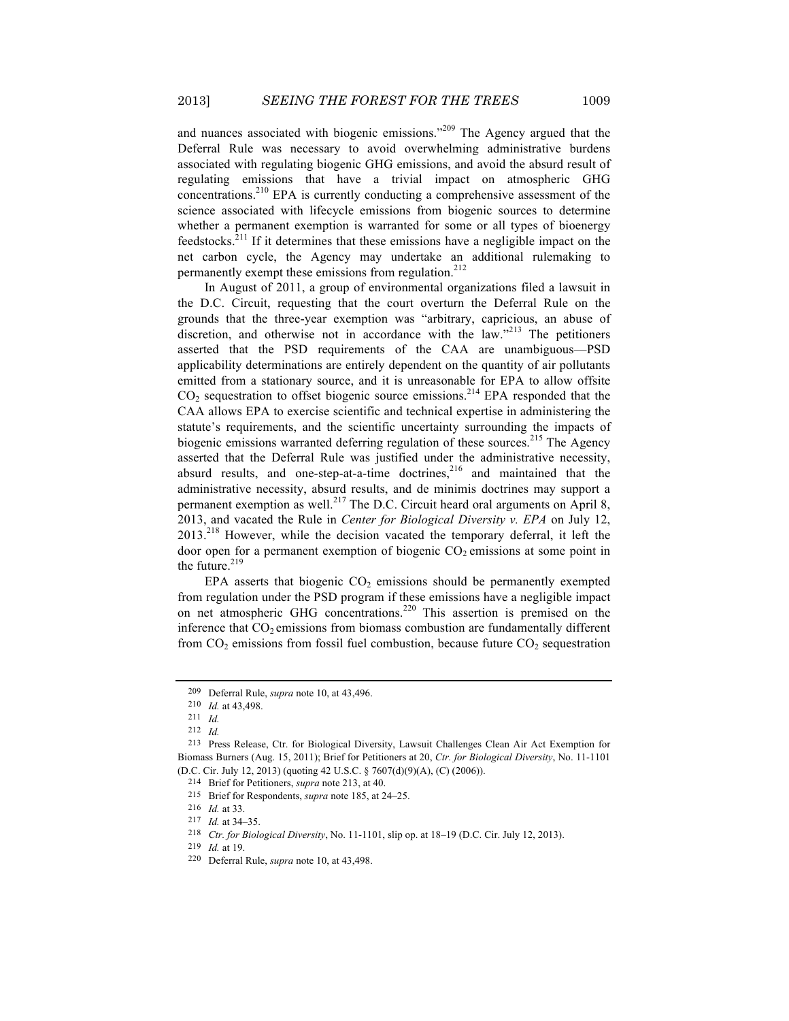and nuances associated with biogenic emissions."<sup>209</sup> The Agency argued that the Deferral Rule was necessary to avoid overwhelming administrative burdens associated with regulating biogenic GHG emissions, and avoid the absurd result of regulating emissions that have a trivial impact on atmospheric GHG concentrations.210 EPA is currently conducting a comprehensive assessment of the science associated with lifecycle emissions from biogenic sources to determine whether a permanent exemption is warranted for some or all types of bioenergy feedstocks.211 If it determines that these emissions have a negligible impact on the net carbon cycle, the Agency may undertake an additional rulemaking to permanently exempt these emissions from regulation.<sup>212</sup>

In August of 2011, a group of environmental organizations filed a lawsuit in the D.C. Circuit, requesting that the court overturn the Deferral Rule on the grounds that the three-year exemption was "arbitrary, capricious, an abuse of discretion, and otherwise not in accordance with the law."<sup>213</sup> The petitioners asserted that the PSD requirements of the CAA are unambiguous—PSD applicability determinations are entirely dependent on the quantity of air pollutants emitted from a stationary source, and it is unreasonable for EPA to allow offsite  $CO<sub>2</sub>$  sequestration to offset biogenic source emissions.<sup>214</sup> EPA responded that the CAA allows EPA to exercise scientific and technical expertise in administering the statute's requirements, and the scientific uncertainty surrounding the impacts of biogenic emissions warranted deferring regulation of these sources.<sup>215</sup> The Agency asserted that the Deferral Rule was justified under the administrative necessity, absurd results, and one-step-at-a-time doctrines, $216$  and maintained that the administrative necessity, absurd results, and de minimis doctrines may support a permanent exemption as well.<sup>217</sup> The D.C. Circuit heard oral arguments on April 8, 2013, and vacated the Rule in *Center for Biological Diversity v. EPA* on July 12,  $2013<sup>218</sup>$  However, while the decision vacated the temporary deferral, it left the door open for a permanent exemption of biogenic  $CO<sub>2</sub>$  emissions at some point in the future.<sup>219</sup>

EPA asserts that biogenic  $CO<sub>2</sub>$  emissions should be permanently exempted from regulation under the PSD program if these emissions have a negligible impact on net atmospheric GHG concentrations.<sup>220</sup> This assertion is premised on the inference that  $CO<sub>2</sub>$  emissions from biomass combustion are fundamentally different from  $CO<sub>2</sub>$  emissions from fossil fuel combustion, because future  $CO<sub>2</sub>$  sequestration

<sup>209</sup> Deferral Rule, *supra* note 10, at 43,496.

<sup>210</sup> *Id.* at 43,498.

<sup>211</sup> *Id.*

<sup>212</sup> *Id.*

<sup>213</sup> Press Release, Ctr. for Biological Diversity, Lawsuit Challenges Clean Air Act Exemption for Biomass Burners (Aug. 15, 2011); Brief for Petitioners at 20, *Ctr. for Biological Diversity*, No. 11-1101 (D.C. Cir. July 12, 2013) (quoting 42 U.S.C. § 7607(d)(9)(A), (C) (2006)).

<sup>214</sup> Brief for Petitioners, *supra* note 213, at 40.

<sup>215</sup> Brief for Respondents, *supra* note 185, at 24–25.

<sup>216</sup> *Id.* at 33.

<sup>217</sup> *Id.* at 34–35.

<sup>218</sup> *Ctr. for Biological Diversity*, No. 11-1101, slip op. at 18–19 (D.C. Cir. July 12, 2013).

<sup>219</sup> *Id.* at 19.

<sup>220</sup> Deferral Rule, *supra* note 10, at 43,498.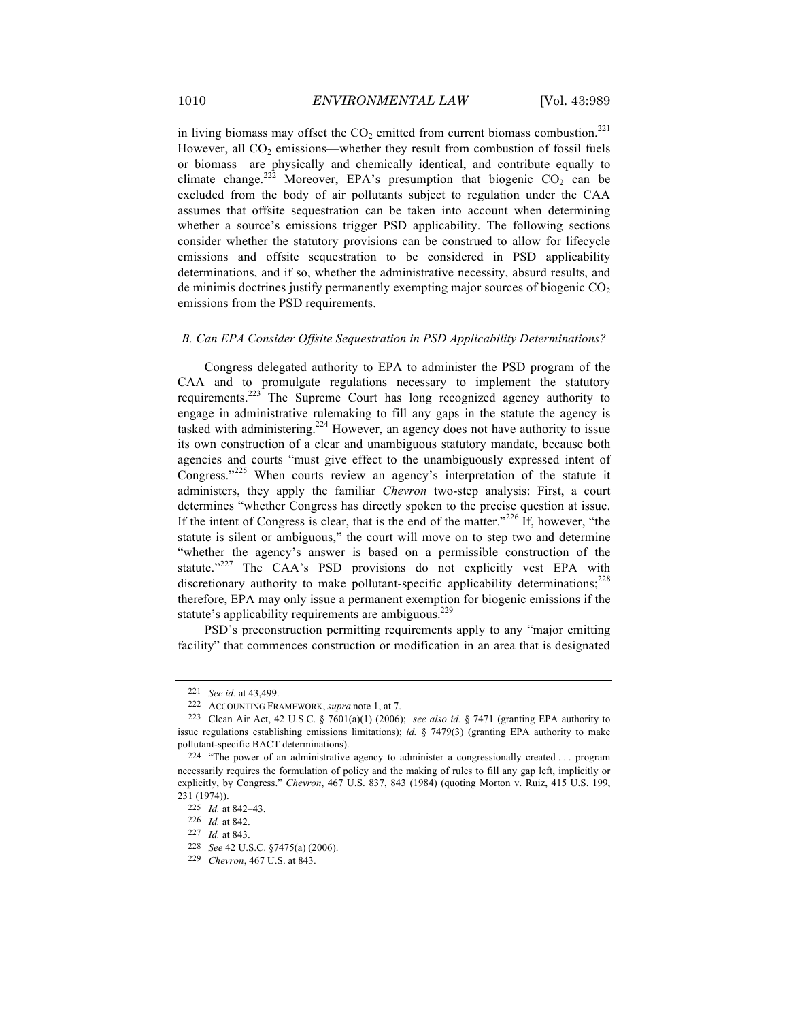in living biomass may offset the  $CO<sub>2</sub>$  emitted from current biomass combustion.<sup>221</sup> However, all  $CO<sub>2</sub>$  emissions—whether they result from combustion of fossil fuels or biomass—are physically and chemically identical, and contribute equally to climate change.<sup>222</sup> Moreover, EPA's presumption that biogenic  $CO<sub>2</sub>$  can be excluded from the body of air pollutants subject to regulation under the CAA assumes that offsite sequestration can be taken into account when determining whether a source's emissions trigger PSD applicability. The following sections consider whether the statutory provisions can be construed to allow for lifecycle emissions and offsite sequestration to be considered in PSD applicability determinations, and if so, whether the administrative necessity, absurd results, and de minimis doctrines justify permanently exempting major sources of biogenic  $CO<sub>2</sub>$ emissions from the PSD requirements.

#### *B. Can EPA Consider Offsite Sequestration in PSD Applicability Determinations?*

Congress delegated authority to EPA to administer the PSD program of the CAA and to promulgate regulations necessary to implement the statutory requirements.<sup>223</sup> The Supreme Court has long recognized agency authority to engage in administrative rulemaking to fill any gaps in the statute the agency is tasked with administering.<sup>224</sup> However, an agency does not have authority to issue its own construction of a clear and unambiguous statutory mandate, because both agencies and courts "must give effect to the unambiguously expressed intent of Congress."<sup>225</sup> When courts review an agency's interpretation of the statute it administers, they apply the familiar *Chevron* two-step analysis: First, a court determines "whether Congress has directly spoken to the precise question at issue. If the intent of Congress is clear, that is the end of the matter."<sup>226</sup> If, however, "the statute is silent or ambiguous," the court will move on to step two and determine "whether the agency's answer is based on a permissible construction of the statute."<sup>227</sup> The CAA's PSD provisions do not explicitly vest EPA with discretionary authority to make pollutant-specific applicability determinations; $^{228}$ therefore, EPA may only issue a permanent exemption for biogenic emissions if the statute's applicability requirements are ambiguous.<sup>229</sup>

PSD's preconstruction permitting requirements apply to any "major emitting facility" that commences construction or modification in an area that is designated

<sup>221</sup> *See id.* at 43,499.

<sup>222</sup> ACCOUNTING FRAMEWORK, *supra* note 1, at 7.

<sup>223</sup> Clean Air Act, 42 U.S.C. § 7601(a)(1) (2006); *see also id.* § 7471 (granting EPA authority to issue regulations establishing emissions limitations); *id.* § 7479(3) (granting EPA authority to make pollutant-specific BACT determinations).

<sup>224</sup> "The power of an administrative agency to administer a congressionally created . . . program necessarily requires the formulation of policy and the making of rules to fill any gap left, implicitly or explicitly, by Congress." *Chevron*, 467 U.S. 837, 843 (1984) (quoting Morton v. Ruiz, 415 U.S. 199, 231 (1974)).

<sup>225</sup> *Id.* at 842–43.

<sup>226</sup> *Id.* at 842.

<sup>227</sup> *Id.* at 843.

<sup>228</sup> *See* 42 U.S.C. §7475(a) (2006).

<sup>229</sup> *Chevron*, 467 U.S. at 843.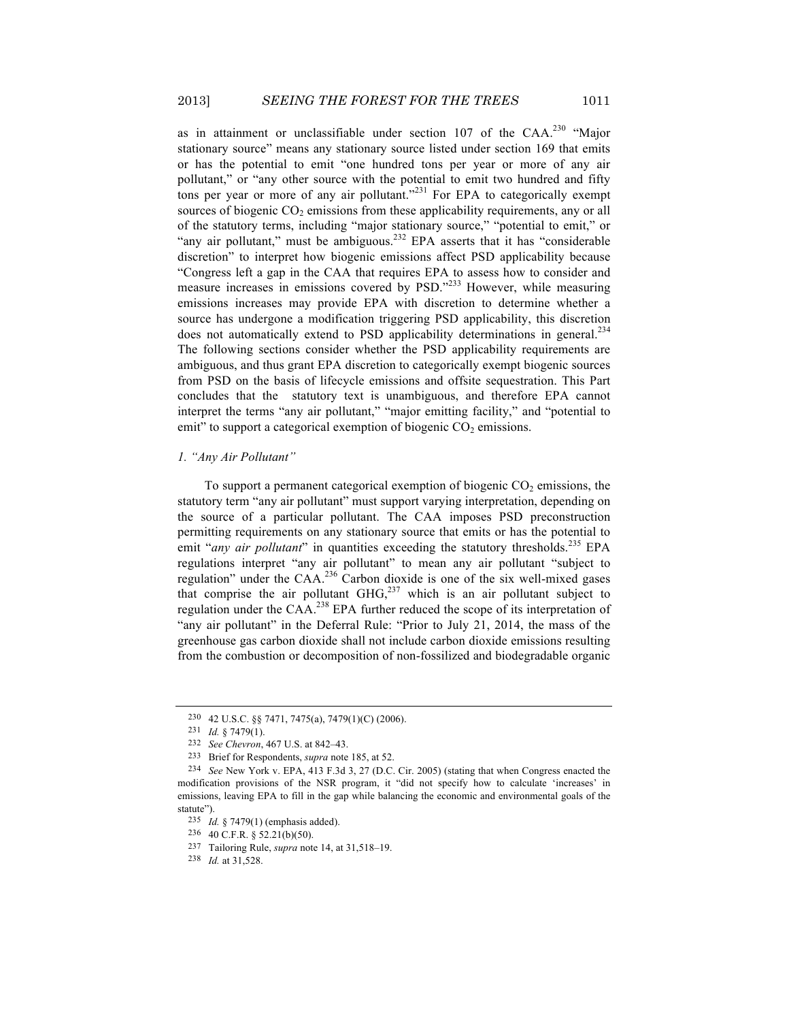as in attainment or unclassifiable under section 107 of the CAA.<sup>230</sup> "Major stationary source" means any stationary source listed under section 169 that emits or has the potential to emit "one hundred tons per year or more of any air pollutant," or "any other source with the potential to emit two hundred and fifty tons per year or more of any air pollutant."<sup>231</sup> For EPA to categorically exempt sources of biogenic  $CO<sub>2</sub>$  emissions from these applicability requirements, any or all of the statutory terms, including "major stationary source," "potential to emit," or "any air pollutant," must be ambiguous.<sup>232</sup> EPA asserts that it has "considerable discretion" to interpret how biogenic emissions affect PSD applicability because "Congress left a gap in the CAA that requires EPA to assess how to consider and measure increases in emissions covered by PSD."<sup>233</sup> However, while measuring emissions increases may provide EPA with discretion to determine whether a source has undergone a modification triggering PSD applicability, this discretion does not automatically extend to PSD applicability determinations in general.<sup>234</sup> The following sections consider whether the PSD applicability requirements are ambiguous, and thus grant EPA discretion to categorically exempt biogenic sources from PSD on the basis of lifecycle emissions and offsite sequestration. This Part concludes that the statutory text is unambiguous, and therefore EPA cannot interpret the terms "any air pollutant," "major emitting facility," and "potential to emit" to support a categorical exemption of biogenic  $CO<sub>2</sub>$  emissions.

#### *1. "Any Air Pollutant"*

To support a permanent categorical exemption of biogenic  $CO<sub>2</sub>$  emissions, the statutory term "any air pollutant" must support varying interpretation, depending on the source of a particular pollutant. The CAA imposes PSD preconstruction permitting requirements on any stationary source that emits or has the potential to emit "*any air pollutant*" in quantities exceeding the statutory thresholds.<sup>235</sup> EPA regulations interpret "any air pollutant" to mean any air pollutant "subject to regulation" under the CAA.<sup>236</sup> Carbon dioxide is one of the six well-mixed gases that comprise the air pollutant  $GHG<sub>,237</sub>$  which is an air pollutant subject to regulation under the CAA.<sup>238</sup> EPA further reduced the scope of its interpretation of "any air pollutant" in the Deferral Rule: "Prior to July 21, 2014, the mass of the greenhouse gas carbon dioxide shall not include carbon dioxide emissions resulting from the combustion or decomposition of non-fossilized and biodegradable organic

<sup>230</sup> 42 U.S.C. §§ 7471, 7475(a), 7479(1)(C) (2006).

<sup>231</sup> *Id.* § 7479(1).

<sup>232</sup> *See Chevron*, 467 U.S. at 842–43.

<sup>233</sup> Brief for Respondents, *supra* note 185, at 52.

<sup>234</sup> *See* New York v. EPA, 413 F.3d 3, 27 (D.C. Cir. 2005) (stating that when Congress enacted the modification provisions of the NSR program, it "did not specify how to calculate 'increases' in emissions, leaving EPA to fill in the gap while balancing the economic and environmental goals of the statute").

<sup>235</sup> *Id.* § 7479(1) (emphasis added).

<sup>236</sup> 40 C.F.R. § 52.21(b)(50).

<sup>237</sup> Tailoring Rule, *supra* note 14, at 31,518–19.

<sup>238</sup> *Id.* at 31,528.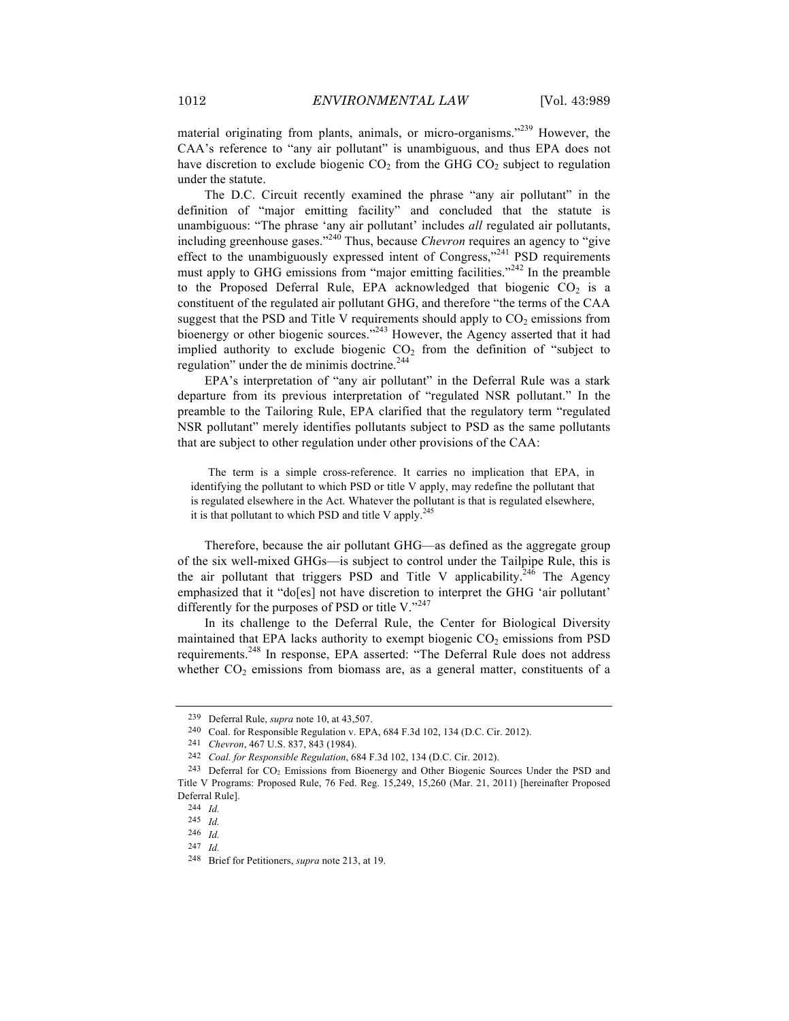material originating from plants, animals, or micro-organisms."<sup>239</sup> However, the CAA's reference to "any air pollutant" is unambiguous, and thus EPA does not have discretion to exclude biogenic  $CO<sub>2</sub>$  from the GHG  $CO<sub>2</sub>$  subject to regulation under the statute.

The D.C. Circuit recently examined the phrase "any air pollutant" in the definition of "major emitting facility" and concluded that the statute is unambiguous: "The phrase 'any air pollutant' includes *all* regulated air pollutants, including greenhouse gases."240 Thus, because *Chevron* requires an agency to "give effect to the unambiguously expressed intent of Congress,"<sup>241</sup> PSD requirements must apply to GHG emissions from "major emitting facilities."<sup>242</sup> In the preamble to the Proposed Deferral Rule, EPA acknowledged that biogenic  $CO<sub>2</sub>$  is a constituent of the regulated air pollutant GHG, and therefore "the terms of the CAA suggest that the PSD and Title V requirements should apply to  $CO<sub>2</sub>$  emissions from bioenergy or other biogenic sources."<sup>243</sup> However, the Agency asserted that it had implied authority to exclude biogenic  $CO<sub>2</sub>$  from the definition of "subject to regulation" under the de minimis doctrine.<sup>244</sup>

EPA's interpretation of "any air pollutant" in the Deferral Rule was a stark departure from its previous interpretation of "regulated NSR pollutant." In the preamble to the Tailoring Rule, EPA clarified that the regulatory term "regulated NSR pollutant" merely identifies pollutants subject to PSD as the same pollutants that are subject to other regulation under other provisions of the CAA:

The term is a simple cross-reference. It carries no implication that EPA, in identifying the pollutant to which PSD or title V apply, may redefine the pollutant that is regulated elsewhere in the Act. Whatever the pollutant is that is regulated elsewhere, it is that pollutant to which PSD and title V apply. $245$ 

Therefore, because the air pollutant GHG—as defined as the aggregate group of the six well-mixed GHGs—is subject to control under the Tailpipe Rule, this is the air pollutant that triggers PSD and Title V applicability.<sup>246</sup> The Agency emphasized that it "do[es] not have discretion to interpret the GHG 'air pollutant' differently for the purposes of PSD or title V. $^{247}$ 

In its challenge to the Deferral Rule, the Center for Biological Diversity maintained that EPA lacks authority to exempt biogenic  $CO<sub>2</sub>$  emissions from PSD requirements.<sup>248</sup> In response, EPA asserted: "The Deferral Rule does not address whether  $CO<sub>2</sub>$  emissions from biomass are, as a general matter, constituents of a

<sup>239</sup> Deferral Rule, *supra* note 10, at 43,507.

<sup>240</sup> Coal. for Responsible Regulation v. EPA, 684 F.3d 102, 134 (D.C. Cir. 2012).

<sup>241</sup> *Chevron*, 467 U.S. 837, 843 (1984).

<sup>242</sup> *Coal. for Responsible Regulation*, 684 F.3d 102, 134 (D.C. Cir. 2012).

<sup>&</sup>lt;sup>243</sup> Deferral for CO<sub>2</sub> Emissions from Bioenergy and Other Biogenic Sources Under the PSD and Title V Programs: Proposed Rule, 76 Fed. Reg. 15,249, 15,260 (Mar. 21, 2011) [hereinafter Proposed Deferral Rule].

<sup>244</sup> *Id.*

<sup>245</sup> *Id.*

<sup>246</sup> *Id.*

<sup>247</sup> *Id.*

<sup>248</sup> Brief for Petitioners, *supra* note 213, at 19.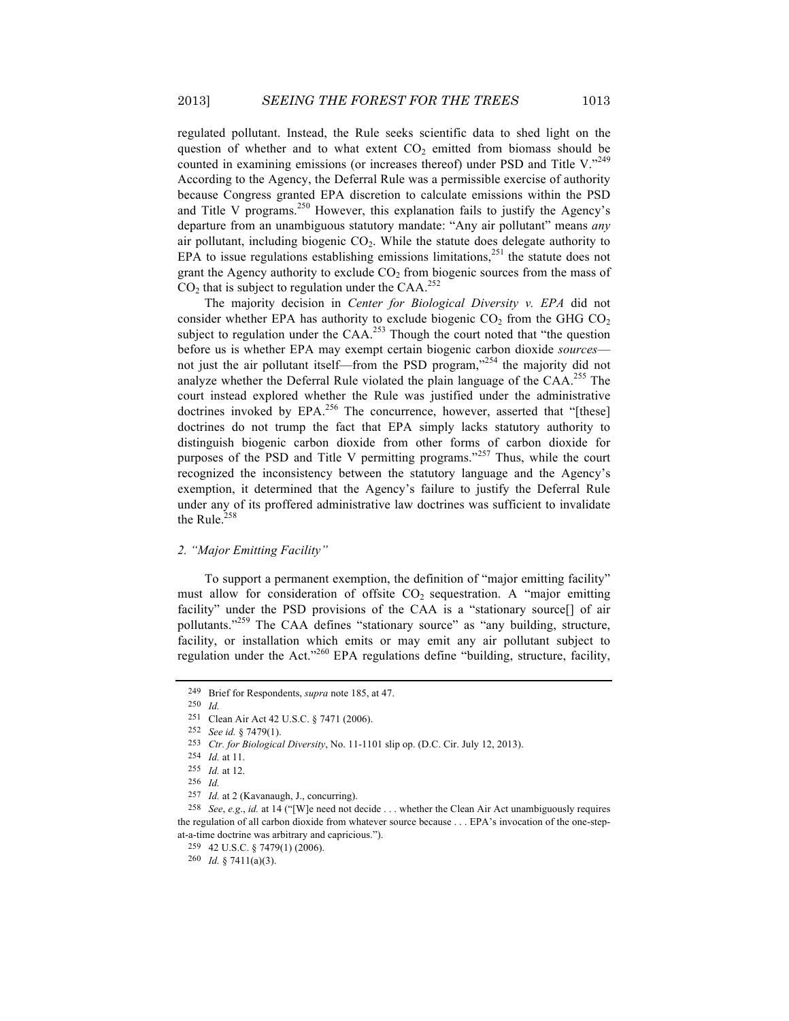regulated pollutant. Instead, the Rule seeks scientific data to shed light on the question of whether and to what extent  $CO<sub>2</sub>$  emitted from biomass should be counted in examining emissions (or increases thereof) under PSD and Title V."249 According to the Agency, the Deferral Rule was a permissible exercise of authority because Congress granted EPA discretion to calculate emissions within the PSD and Title V programs.<sup>250</sup> However, this explanation fails to justify the Agency's departure from an unambiguous statutory mandate: "Any air pollutant" means *any*  air pollutant, including biogenic  $CO<sub>2</sub>$ . While the statute does delegate authority to EPA to issue regulations establishing emissions limitations,<sup>251</sup> the statute does not grant the Agency authority to exclude  $CO<sub>2</sub>$  from biogenic sources from the mass of  $CO<sub>2</sub>$  that is subject to regulation under the CAA.<sup>252</sup>

The majority decision in *Center for Biological Diversity v. EPA* did not consider whether EPA has authority to exclude biogenic  $CO_2$  from the GHG  $CO_2$ subject to regulation under the  $CAA$ <sup>253</sup> Though the court noted that "the question" before us is whether EPA may exempt certain biogenic carbon dioxide *sources* not just the air pollutant itself—from the PSD program,<sup>3254</sup> the majority did not analyze whether the Deferral Rule violated the plain language of the CAA.<sup>255</sup> The court instead explored whether the Rule was justified under the administrative doctrines invoked by EPA.<sup>256</sup> The concurrence, however, asserted that "[these] doctrines do not trump the fact that EPA simply lacks statutory authority to distinguish biogenic carbon dioxide from other forms of carbon dioxide for purposes of the PSD and Title V permitting programs."<sup>257</sup> Thus, while the court recognized the inconsistency between the statutory language and the Agency's exemption, it determined that the Agency's failure to justify the Deferral Rule under any of its proffered administrative law doctrines was sufficient to invalidate the Rule. $258$ 

#### *2. "Major Emitting Facility"*

To support a permanent exemption, the definition of "major emitting facility" must allow for consideration of offsite  $CO<sub>2</sub>$  sequestration. A "major emitting facility" under the PSD provisions of the CAA is a "stationary source[] of air pollutants."<sup>259</sup> The CAA defines "stationary source" as "any building, structure, facility, or installation which emits or may emit any air pollutant subject to regulation under the Act."<sup>260</sup> EPA regulations define "building, structure, facility,

250 *Id.*

<sup>249</sup> Brief for Respondents, *supra* note 185, at 47.

<sup>251</sup> Clean Air Act 42 U.S.C. § 7471 (2006).

<sup>252</sup> *See id.* § 7479(1).

<sup>253</sup> *Ctr. for Biological Diversity*, No. 11-1101 slip op. (D.C. Cir. July 12, 2013).

<sup>254</sup> *Id.* at 11.

<sup>255</sup> *Id.* at 12.

<sup>256</sup> *Id.*

<sup>257</sup> *Id.* at 2 (Kavanaugh, J., concurring).

<sup>258</sup> *See*, *e.g*., *id.* at 14 ("[W]e need not decide . . . whether the Clean Air Act unambiguously requires the regulation of all carbon dioxide from whatever source because . . . EPA's invocation of the one-stepat-a-time doctrine was arbitrary and capricious.").

<sup>259</sup> 42 U.S.C. § 7479(1) (2006).

<sup>260</sup> *Id.* § 7411(a)(3).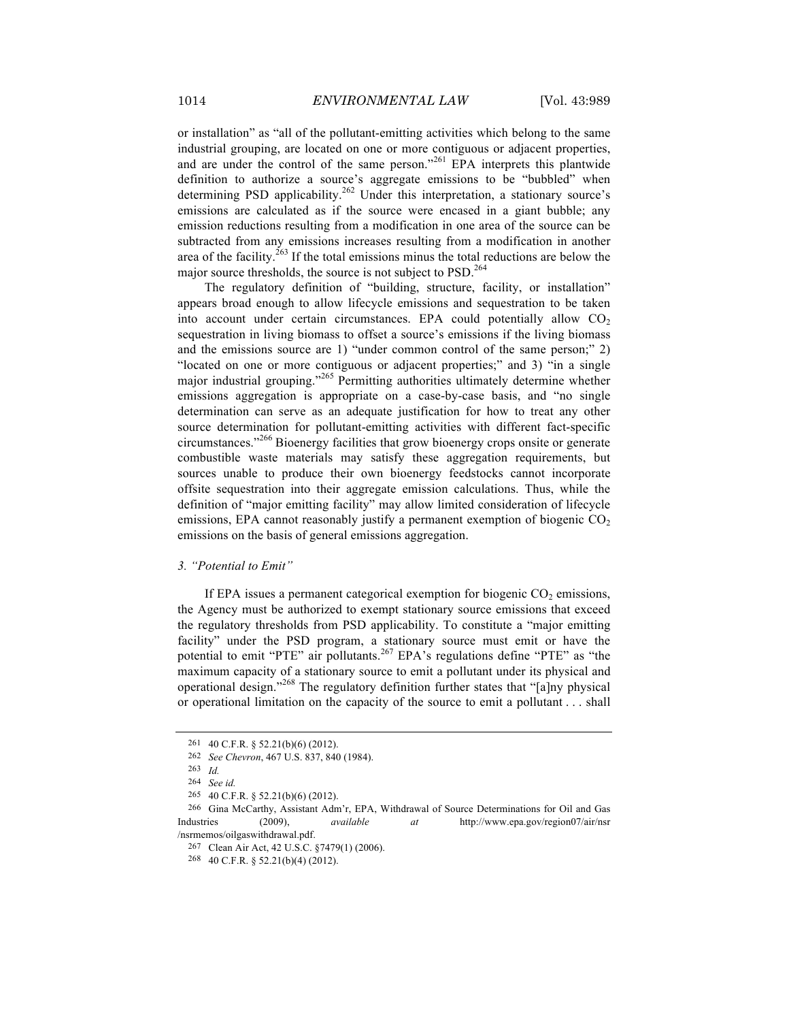or installation" as "all of the pollutant-emitting activities which belong to the same industrial grouping, are located on one or more contiguous or adjacent properties, and are under the control of the same person."<sup>261</sup> EPA interprets this plantwide definition to authorize a source's aggregate emissions to be "bubbled" when determining PSD applicability.<sup>262</sup> Under this interpretation, a stationary source's emissions are calculated as if the source were encased in a giant bubble; any emission reductions resulting from a modification in one area of the source can be subtracted from any emissions increases resulting from a modification in another area of the facility.<sup>263</sup> If the total emissions minus the total reductions are below the major source thresholds, the source is not subject to PSD.<sup>264</sup>

The regulatory definition of "building, structure, facility, or installation" appears broad enough to allow lifecycle emissions and sequestration to be taken into account under certain circumstances. EPA could potentially allow  $CO<sub>2</sub>$ sequestration in living biomass to offset a source's emissions if the living biomass and the emissions source are 1) "under common control of the same person;" 2) "located on one or more contiguous or adjacent properties;" and 3) "in a single major industrial grouping."<sup>265</sup> Permitting authorities ultimately determine whether emissions aggregation is appropriate on a case-by-case basis, and "no single determination can serve as an adequate justification for how to treat any other source determination for pollutant-emitting activities with different fact-specific circumstances."<sup>266</sup> Bioenergy facilities that grow bioenergy crops onsite or generate combustible waste materials may satisfy these aggregation requirements, but sources unable to produce their own bioenergy feedstocks cannot incorporate offsite sequestration into their aggregate emission calculations. Thus, while the definition of "major emitting facility" may allow limited consideration of lifecycle emissions, EPA cannot reasonably justify a permanent exemption of biogenic  $CO<sub>2</sub>$ emissions on the basis of general emissions aggregation.

#### *3. "Potential to Emit"*

If EPA issues a permanent categorical exemption for biogenic  $CO<sub>2</sub>$  emissions, the Agency must be authorized to exempt stationary source emissions that exceed the regulatory thresholds from PSD applicability. To constitute a "major emitting facility" under the PSD program, a stationary source must emit or have the potential to emit "PTE" air pollutants.<sup>267</sup> EPA's regulations define "PTE" as "the maximum capacity of a stationary source to emit a pollutant under its physical and operational design."<sup>268</sup> The regulatory definition further states that "[a]ny physical or operational limitation on the capacity of the source to emit a pollutant . . . shall

<sup>261</sup> 40 C.F.R. § 52.21(b)(6) (2012).

<sup>262</sup> *See Chevron*, 467 U.S. 837, 840 (1984).

<sup>263</sup> *Id.*

<sup>264</sup> *See id.*

<sup>265</sup> 40 C.F.R. § 52.21(b)(6) (2012).

<sup>266</sup> Gina McCarthy, Assistant Adm'r, EPA, Withdrawal of Source Determinations for Oil and Gas Industries (2009), *available at* http://www.epa.gov/region07/air/nsr /nsrmemos/oilgaswithdrawal.pdf.

<sup>267</sup> Clean Air Act, 42 U.S.C. §7479(1) (2006).

<sup>268</sup> 40 C.F.R. § 52.21(b)(4) (2012).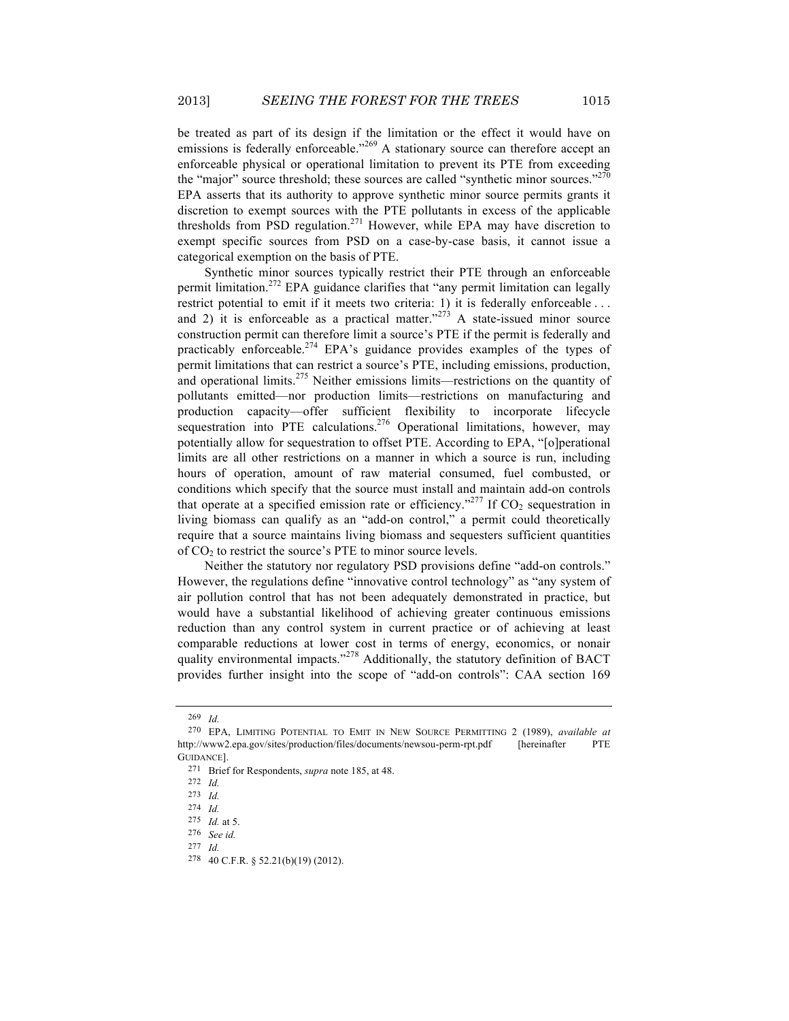be treated as part of its design if the limitation or the effect it would have on emissions is federally enforceable."<sup>269</sup> A stationary source can therefore accept an enforceable physical or operational limitation to prevent its PTE from exceeding the "major" source threshold; these sources are called "synthetic minor sources."<sup>270</sup> EPA asserts that its authority to approve synthetic minor source permits grants it discretion to exempt sources with the PTE pollutants in excess of the applicable thresholds from PSD regulation.<sup>271</sup> However, while EPA may have discretion to exempt specific sources from PSD on a case-by-case basis, it cannot issue a categorical exemption on the basis of PTE.

Synthetic minor sources typically restrict their PTE through an enforceable permit limitation.272 EPA guidance clarifies that "any permit limitation can legally restrict potential to emit if it meets two criteria: 1) it is federally enforceable . . . and 2) it is enforceable as a practical matter." $273$  A state-issued minor source construction permit can therefore limit a source's PTE if the permit is federally and practicably enforceable.<sup>274</sup> EPA's guidance provides examples of the types of permit limitations that can restrict a source's PTE, including emissions, production, and operational limits.<sup>275</sup> Neither emissions limits—restrictions on the quantity of pollutants emitted—nor production limits—restrictions on manufacturing and production capacity—offer sufficient flexibility to incorporate lifecycle sequestration into PTE calculations.<sup>276</sup> Operational limitations, however, may potentially allow for sequestration to offset PTE. According to EPA, "[o]perational limits are all other restrictions on a manner in which a source is run, including hours of operation, amount of raw material consumed, fuel combusted, or conditions which specify that the source must install and maintain add-on controls that operate at a specified emission rate or efficiency."<sup>277</sup> If  $CO_2$  sequestration in living biomass can qualify as an "add-on control," a permit could theoretically require that a source maintains living biomass and sequesters sufficient quantities of  $CO<sub>2</sub>$  to restrict the source's PTE to minor source levels.

Neither the statutory nor regulatory PSD provisions define "add-on controls." However, the regulations define "innovative control technology" as "any system of air pollution control that has not been adequately demonstrated in practice, but would have a substantial likelihood of achieving greater continuous emissions reduction than any control system in current practice or of achieving at least comparable reductions at lower cost in terms of energy, economics, or nonair quality environmental impacts."<sup>278</sup> Additionally, the statutory definition of BACT provides further insight into the scope of "add-on controls": CAA section 169

<sup>269</sup> *Id.*

<sup>270</sup> EPA, LIMITING POTENTIAL TO EMIT IN NEW SOURCE PERMITTING 2 (1989), *available at* http://www2.epa.gov/sites/production/files/documents/newsou-perm-rpt.pdf [hereinafter PTE GUIDANCE].

<sup>271</sup> Brief for Respondents, *supra* note 185, at 48.

<sup>272</sup> *Id.*

<sup>273</sup> *Id.*

<sup>274</sup> *Id.*

<sup>275</sup> *Id.* at 5.

<sup>276</sup> *See id.*

<sup>277</sup> *Id.*

<sup>278</sup> 40 C.F.R. § 52.21(b)(19) (2012).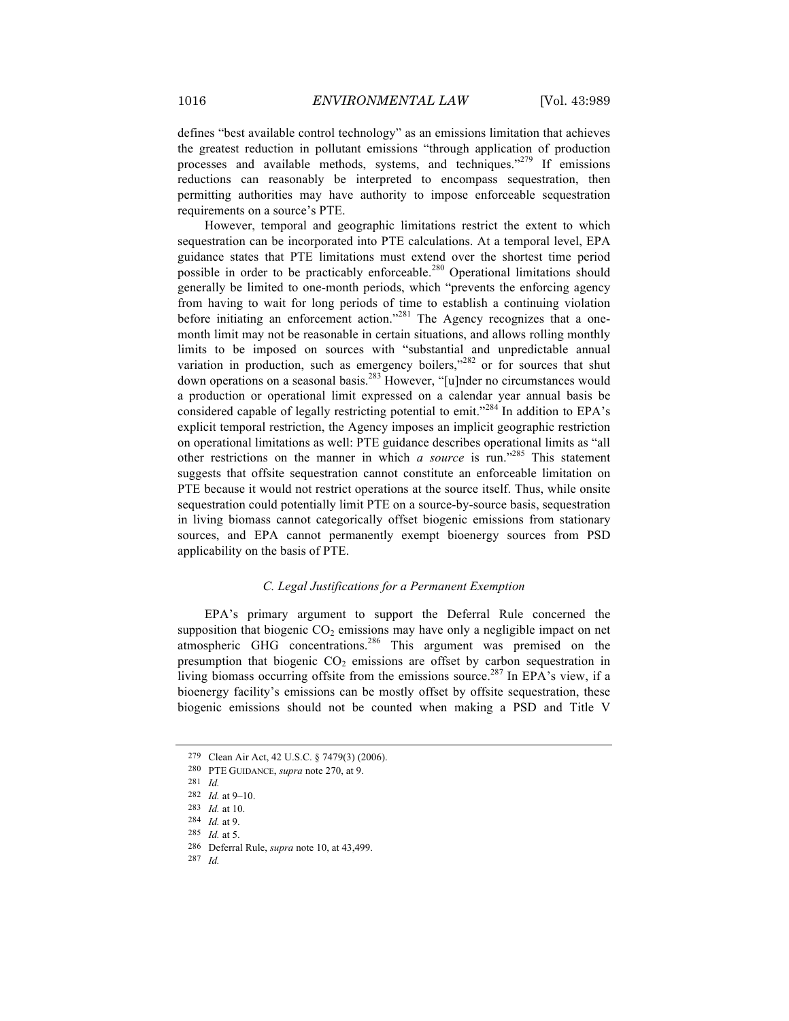defines "best available control technology" as an emissions limitation that achieves the greatest reduction in pollutant emissions "through application of production processes and available methods, systems, and techniques."<sup>279</sup> If emissions reductions can reasonably be interpreted to encompass sequestration, then permitting authorities may have authority to impose enforceable sequestration requirements on a source's PTE.

However, temporal and geographic limitations restrict the extent to which sequestration can be incorporated into PTE calculations. At a temporal level, EPA guidance states that PTE limitations must extend over the shortest time period possible in order to be practicably enforceable.<sup>280</sup> Operational limitations should generally be limited to one-month periods, which "prevents the enforcing agency from having to wait for long periods of time to establish a continuing violation before initiating an enforcement action."<sup>281</sup> The Agency recognizes that a onemonth limit may not be reasonable in certain situations, and allows rolling monthly limits to be imposed on sources with "substantial and unpredictable annual variation in production, such as emergency boilers,<sup>3282</sup> or for sources that shut down operations on a seasonal basis.<sup>283</sup> However, "[u]nder no circumstances would a production or operational limit expressed on a calendar year annual basis be considered capable of legally restricting potential to emit."<sup>284</sup> In addition to EPA's explicit temporal restriction, the Agency imposes an implicit geographic restriction on operational limitations as well: PTE guidance describes operational limits as "all other restrictions on the manner in which *a source* is run."285 This statement suggests that offsite sequestration cannot constitute an enforceable limitation on PTE because it would not restrict operations at the source itself. Thus, while onsite sequestration could potentially limit PTE on a source-by-source basis, sequestration in living biomass cannot categorically offset biogenic emissions from stationary sources, and EPA cannot permanently exempt bioenergy sources from PSD applicability on the basis of PTE.

# *C. Legal Justifications for a Permanent Exemption*

EPA's primary argument to support the Deferral Rule concerned the supposition that biogenic  $CO<sub>2</sub>$  emissions may have only a negligible impact on net atmospheric GHG concentrations.<sup>286</sup> This argument was premised on the presumption that biogenic  $CO<sub>2</sub>$  emissions are offset by carbon sequestration in living biomass occurring offsite from the emissions source.<sup>287</sup> In EPA's view, if a bioenergy facility's emissions can be mostly offset by offsite sequestration, these biogenic emissions should not be counted when making a PSD and Title V

287 *Id.*

<sup>279</sup> Clean Air Act, 42 U.S.C. § 7479(3) (2006).

<sup>280</sup> PTE GUIDANCE, *supra* note 270, at 9.

<sup>281</sup> *Id.*

<sup>282</sup> *Id.* at 9–10.

<sup>283</sup> *Id.* at 10.

<sup>284</sup> *Id.* at 9.

<sup>285</sup> *Id.* at 5.

<sup>286</sup> Deferral Rule, *supra* note 10, at 43,499.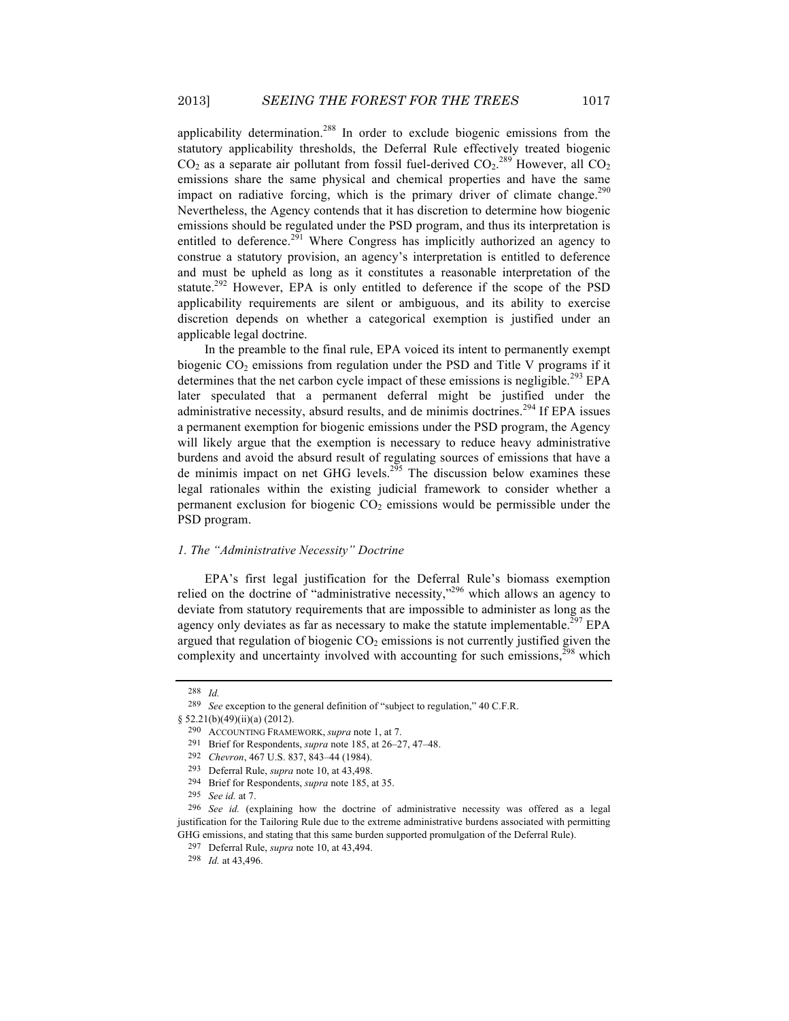applicability determination.<sup>288</sup> In order to exclude biogenic emissions from the statutory applicability thresholds, the Deferral Rule effectively treated biogenic  $CO_2$  as a separate air pollutant from fossil fuel-derived  $CO_2$ .<sup>289</sup> However, all  $CO_2$ emissions share the same physical and chemical properties and have the same impact on radiative forcing, which is the primary driver of climate change.<sup>290</sup> Nevertheless, the Agency contends that it has discretion to determine how biogenic emissions should be regulated under the PSD program, and thus its interpretation is entitled to deference.<sup>291</sup> Where Congress has implicitly authorized an agency to construe a statutory provision, an agency's interpretation is entitled to deference and must be upheld as long as it constitutes a reasonable interpretation of the statute.<sup>292</sup> However, EPA is only entitled to deference if the scope of the PSD applicability requirements are silent or ambiguous, and its ability to exercise discretion depends on whether a categorical exemption is justified under an applicable legal doctrine.

In the preamble to the final rule, EPA voiced its intent to permanently exempt biogenic  $CO<sub>2</sub>$  emissions from regulation under the PSD and Title V programs if it determines that the net carbon cycle impact of these emissions is negligible.<sup>293</sup> EPA later speculated that a permanent deferral might be justified under the administrative necessity, absurd results, and de minimis doctrines.<sup>294</sup> If EPA issues a permanent exemption for biogenic emissions under the PSD program, the Agency will likely argue that the exemption is necessary to reduce heavy administrative burdens and avoid the absurd result of regulating sources of emissions that have a de minimis impact on net GHG levels.<sup>295</sup> The discussion below examines these legal rationales within the existing judicial framework to consider whether a permanent exclusion for biogenic  $CO<sub>2</sub>$  emissions would be permissible under the PSD program.

#### *1. The "Administrative Necessity" Doctrine*

EPA's first legal justification for the Deferral Rule's biomass exemption relied on the doctrine of "administrative necessity,"296 which allows an agency to deviate from statutory requirements that are impossible to administer as long as the agency only deviates as far as necessary to make the statute implementable.<sup>297</sup> EPA argued that regulation of biogenic  $CO<sub>2</sub>$  emissions is not currently justified given the complexity and uncertainty involved with accounting for such emissions, $298$  which

<sup>288</sup> *Id.*

<sup>289</sup> *See* exception to the general definition of "subject to regulation," 40 C.F.R.

<sup>§ 52.21(</sup>b)(49)(ii)(a) (2012).

<sup>290</sup> ACCOUNTING FRAMEWORK, *supra* note 1, at 7.

<sup>291</sup> Brief for Respondents, *supra* note 185, at 26–27, 47–48.

<sup>292</sup> *Chevron*, 467 U.S. 837, 843–44 (1984).

<sup>293</sup> Deferral Rule, *supra* note 10, at 43,498.

<sup>294</sup> Brief for Respondents, *supra* note 185, at 35.

<sup>295</sup> *See id.* at 7.

<sup>296</sup> *See id.* (explaining how the doctrine of administrative necessity was offered as a legal justification for the Tailoring Rule due to the extreme administrative burdens associated with permitting GHG emissions, and stating that this same burden supported promulgation of the Deferral Rule).

<sup>297</sup> Deferral Rule, *supra* note 10, at 43,494.

<sup>298</sup> *Id.* at 43,496.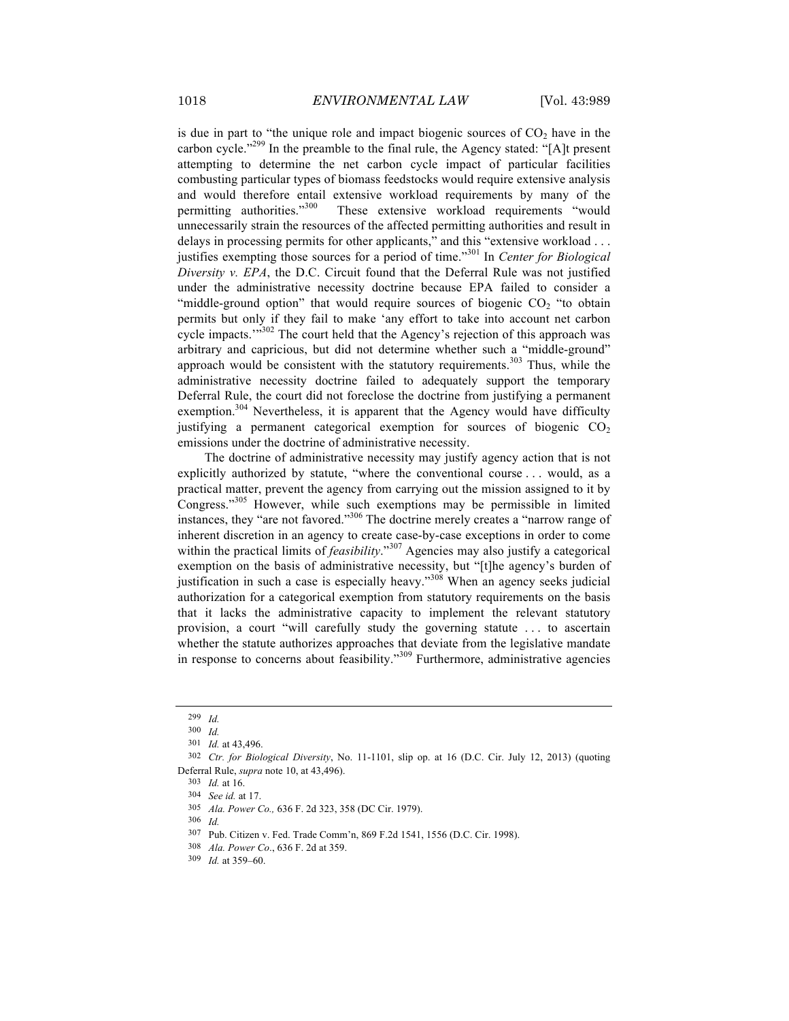is due in part to "the unique role and impact biogenic sources of  $CO<sub>2</sub>$  have in the carbon cycle."<sup>299</sup> In the preamble to the final rule, the Agency stated: "[A]t present attempting to determine the net carbon cycle impact of particular facilities combusting particular types of biomass feedstocks would require extensive analysis and would therefore entail extensive workload requirements by many of the permitting authorities."<sup>300</sup> These extensive workload requirements "would These extensive workload requirements "would unnecessarily strain the resources of the affected permitting authorities and result in delays in processing permits for other applicants," and this "extensive workload . . . justifies exempting those sources for a period of time."<sup>301</sup> In *Center for Biological Diversity v. EPA*, the D.C. Circuit found that the Deferral Rule was not justified under the administrative necessity doctrine because EPA failed to consider a "middle-ground option" that would require sources of biogenic  $CO<sub>2</sub>$  "to obtain" permits but only if they fail to make 'any effort to take into account net carbon cycle impacts.'"<sup>302</sup> The court held that the Agency's rejection of this approach was arbitrary and capricious, but did not determine whether such a "middle-ground" approach would be consistent with the statutory requirements.<sup>303</sup> Thus, while the administrative necessity doctrine failed to adequately support the temporary Deferral Rule, the court did not foreclose the doctrine from justifying a permanent exemption.<sup>304</sup> Nevertheless, it is apparent that the Agency would have difficulty justifying a permanent categorical exemption for sources of biogenic  $CO<sub>2</sub>$ emissions under the doctrine of administrative necessity.

The doctrine of administrative necessity may justify agency action that is not explicitly authorized by statute, "where the conventional course . . . would, as a practical matter, prevent the agency from carrying out the mission assigned to it by Congress."<sup>305</sup> However, while such exemptions may be permissible in limited instances, they "are not favored."306 The doctrine merely creates a "narrow range of inherent discretion in an agency to create case-by-case exceptions in order to come within the practical limits of *feasibility*."<sup>307</sup> Agencies may also justify a categorical exemption on the basis of administrative necessity, but "[t]he agency's burden of justification in such a case is especially heavy."<sup>308</sup> When an agency seeks judicial authorization for a categorical exemption from statutory requirements on the basis that it lacks the administrative capacity to implement the relevant statutory provision, a court "will carefully study the governing statute . . . to ascertain whether the statute authorizes approaches that deviate from the legislative mandate in response to concerns about feasibility."<sup>309</sup> Furthermore, administrative agencies

306 *Id.*

<sup>299</sup> *Id.*

<sup>300</sup> *Id.*

<sup>301</sup> *Id.* at 43,496.

<sup>302</sup> *Ctr. for Biological Diversity*, No. 11-1101, slip op. at 16 (D.C. Cir. July 12, 2013) (quoting Deferral Rule, *supra* note 10, at 43,496).

<sup>303</sup> *Id.* at 16.

<sup>304</sup> *See id.* at 17.

<sup>305</sup> *Ala. Power Co.,* 636 F. 2d 323, 358 (DC Cir. 1979).

<sup>307</sup> Pub. Citizen v. Fed. Trade Comm'n, 869 F.2d 1541, 1556 (D.C. Cir. 1998).

<sup>308</sup> *Ala. Power Co*., 636 F. 2d at 359.

<sup>309</sup> *Id.* at 359–60.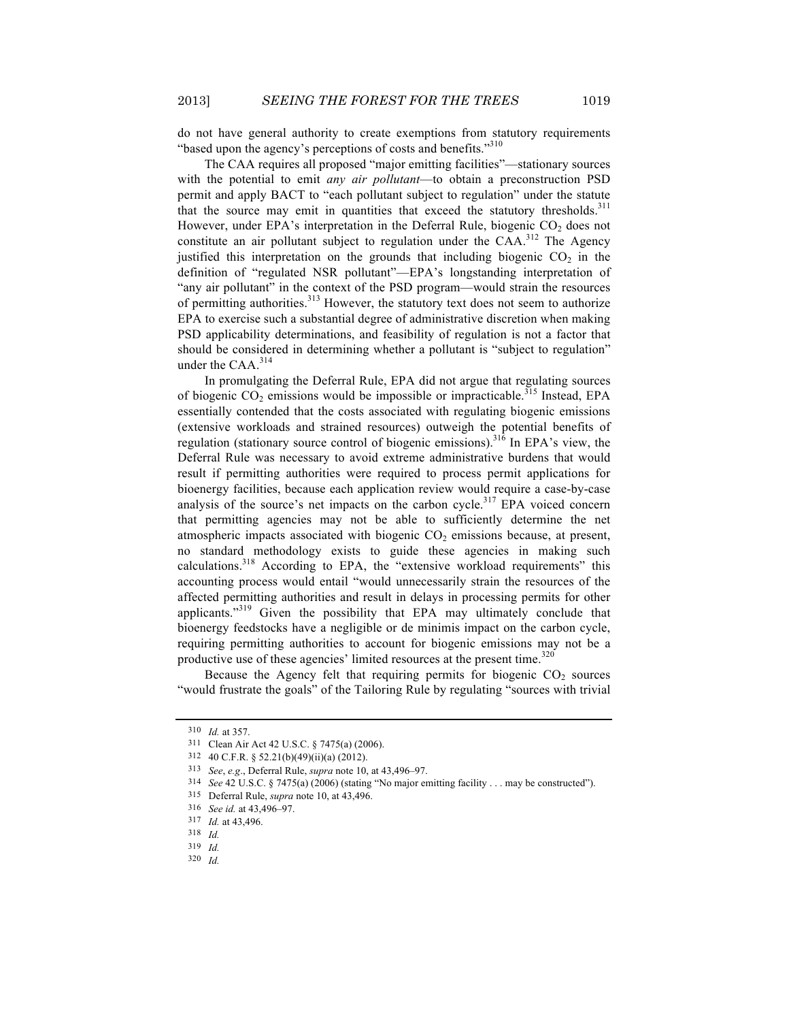do not have general authority to create exemptions from statutory requirements "based upon the agency's perceptions of costs and benefits."<sup>310</sup>

The CAA requires all proposed "major emitting facilities"—stationary sources with the potential to emit *any air pollutant*—to obtain a preconstruction PSD permit and apply BACT to "each pollutant subject to regulation" under the statute that the source may emit in quantities that exceed the statutory thresholds. $311$ However, under EPA's interpretation in the Deferral Rule, biogenic  $CO<sub>2</sub>$  does not constitute an air pollutant subject to regulation under the CAA.<sup>312</sup> The Agency justified this interpretation on the grounds that including biogenic  $CO<sub>2</sub>$  in the definition of "regulated NSR pollutant"—EPA's longstanding interpretation of "any air pollutant" in the context of the PSD program—would strain the resources of permitting authorities.<sup>313</sup> However, the statutory text does not seem to authorize EPA to exercise such a substantial degree of administrative discretion when making PSD applicability determinations, and feasibility of regulation is not a factor that should be considered in determining whether a pollutant is "subject to regulation" under the CAA.<sup>314</sup>

In promulgating the Deferral Rule, EPA did not argue that regulating sources of biogenic  $CO_2$  emissions would be impossible or impracticable.<sup>315</sup> Instead, EPA essentially contended that the costs associated with regulating biogenic emissions (extensive workloads and strained resources) outweigh the potential benefits of regulation (stationary source control of biogenic emissions).<sup>316</sup> In EPA's view, the Deferral Rule was necessary to avoid extreme administrative burdens that would result if permitting authorities were required to process permit applications for bioenergy facilities, because each application review would require a case-by-case analysis of the source's net impacts on the carbon cycle. $317$  EPA voiced concern that permitting agencies may not be able to sufficiently determine the net atmospheric impacts associated with biogenic  $CO<sub>2</sub>$  emissions because, at present, no standard methodology exists to guide these agencies in making such calculations.<sup>318</sup> According to EPA, the "extensive workload requirements" this accounting process would entail "would unnecessarily strain the resources of the affected permitting authorities and result in delays in processing permits for other applicants."<sup>319</sup> Given the possibility that EPA may ultimately conclude that bioenergy feedstocks have a negligible or de minimis impact on the carbon cycle, requiring permitting authorities to account for biogenic emissions may not be a productive use of these agencies' limited resources at the present time.<sup>320</sup>

Because the Agency felt that requiring permits for biogenic  $CO<sub>2</sub>$  sources "would frustrate the goals" of the Tailoring Rule by regulating "sources with trivial

<sup>310</sup> *Id.* at 357.

<sup>311</sup> Clean Air Act 42 U.S.C. § 7475(a) (2006).

<sup>312</sup> 40 C.F.R. § 52.21(b)(49)(ii)(a) (2012).

<sup>313</sup> *See*, *e.g*., Deferral Rule, *supra* note 10, at 43,496–97.

<sup>314</sup> *See* 42 U.S.C. § 7475(a) (2006) (stating "No major emitting facility . . . may be constructed").

<sup>315</sup> Deferral Rule, *supra* note 10, at 43,496.

<sup>316</sup> *See id.* at 43,496–97.

<sup>317</sup> *Id.* at 43,496.

<sup>318</sup> *Id.*

<sup>319</sup> *Id.*

<sup>320</sup> *Id.*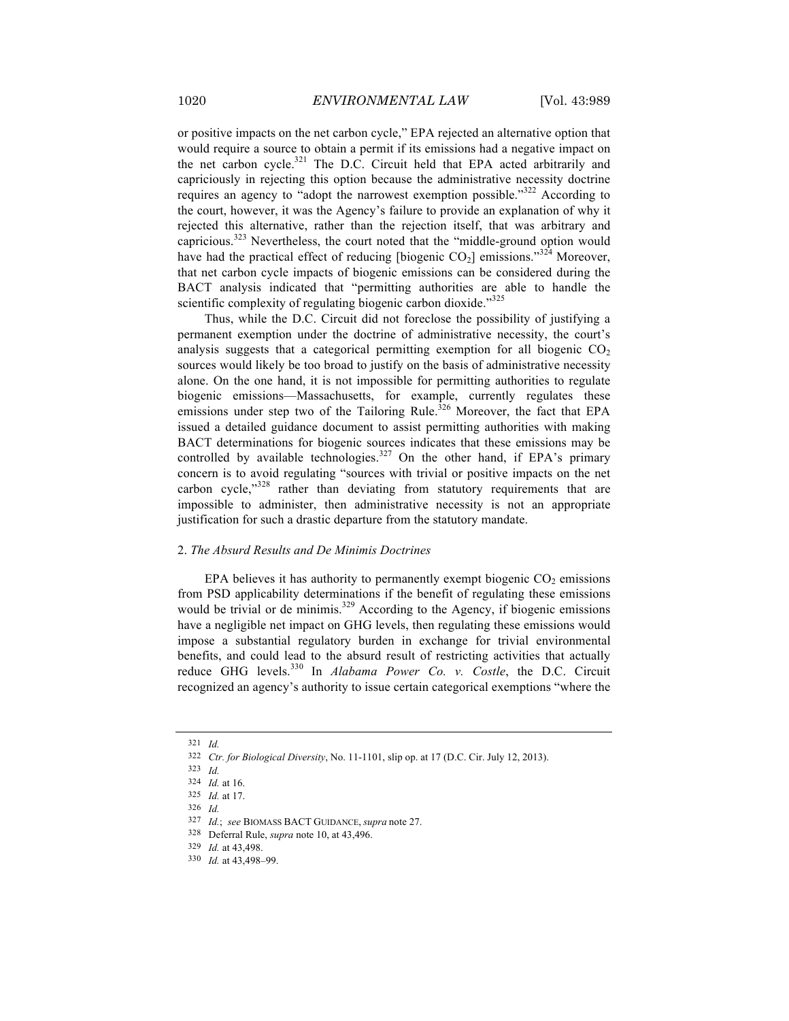or positive impacts on the net carbon cycle," EPA rejected an alternative option that would require a source to obtain a permit if its emissions had a negative impact on the net carbon cycle.<sup>321</sup> The D.C. Circuit held that EPA acted arbitrarily and capriciously in rejecting this option because the administrative necessity doctrine requires an agency to "adopt the narrowest exemption possible."<sup>322</sup> According to the court, however, it was the Agency's failure to provide an explanation of why it rejected this alternative, rather than the rejection itself, that was arbitrary and capricious.<sup>323</sup> Nevertheless, the court noted that the "middle-ground option would have had the practical effect of reducing [biogenic  $CO<sub>2</sub>$ ] emissions."<sup>324</sup> Moreover, that net carbon cycle impacts of biogenic emissions can be considered during the BACT analysis indicated that "permitting authorities are able to handle the scientific complexity of regulating biogenic carbon dioxide."<sup>325</sup>

Thus, while the D.C. Circuit did not foreclose the possibility of justifying a permanent exemption under the doctrine of administrative necessity, the court's analysis suggests that a categorical permitting exemption for all biogenic  $CO<sub>2</sub>$ sources would likely be too broad to justify on the basis of administrative necessity alone. On the one hand, it is not impossible for permitting authorities to regulate biogenic emissions—Massachusetts, for example, currently regulates these emissions under step two of the Tailoring Rule.<sup>326</sup> Moreover, the fact that EPA issued a detailed guidance document to assist permitting authorities with making BACT determinations for biogenic sources indicates that these emissions may be controlled by available technologies.<sup>327</sup> On the other hand, if EPA's primary concern is to avoid regulating "sources with trivial or positive impacts on the net carbon cycle,"328 rather than deviating from statutory requirements that are impossible to administer, then administrative necessity is not an appropriate justification for such a drastic departure from the statutory mandate.

#### 2. *The Absurd Results and De Minimis Doctrines*

EPA believes it has authority to permanently exempt biogenic  $CO<sub>2</sub>$  emissions from PSD applicability determinations if the benefit of regulating these emissions would be trivial or de minimis.<sup>329</sup> According to the Agency, if biogenic emissions have a negligible net impact on GHG levels, then regulating these emissions would impose a substantial regulatory burden in exchange for trivial environmental benefits, and could lead to the absurd result of restricting activities that actually reduce GHG levels.<sup>330</sup> In *Alabama Power Co. v. Costle*, the D.C. Circuit recognized an agency's authority to issue certain categorical exemptions "where the

<sup>321</sup> *Id.*

<sup>322</sup> *Ctr. for Biological Diversity*, No. 11-1101, slip op. at 17 (D.C. Cir. July 12, 2013).

<sup>323</sup> *Id.*

<sup>324</sup> *Id.* at 16.

<sup>325</sup> *Id.* at 17.

<sup>326</sup> *Id.*

<sup>327</sup> *Id.*; *see* BIOMASS BACT GUIDANCE, *supra* note 27.

<sup>328</sup> Deferral Rule, *supra* note 10, at 43,496.

<sup>329</sup> *Id.* at 43,498.

<sup>330</sup> *Id.* at 43,498–99.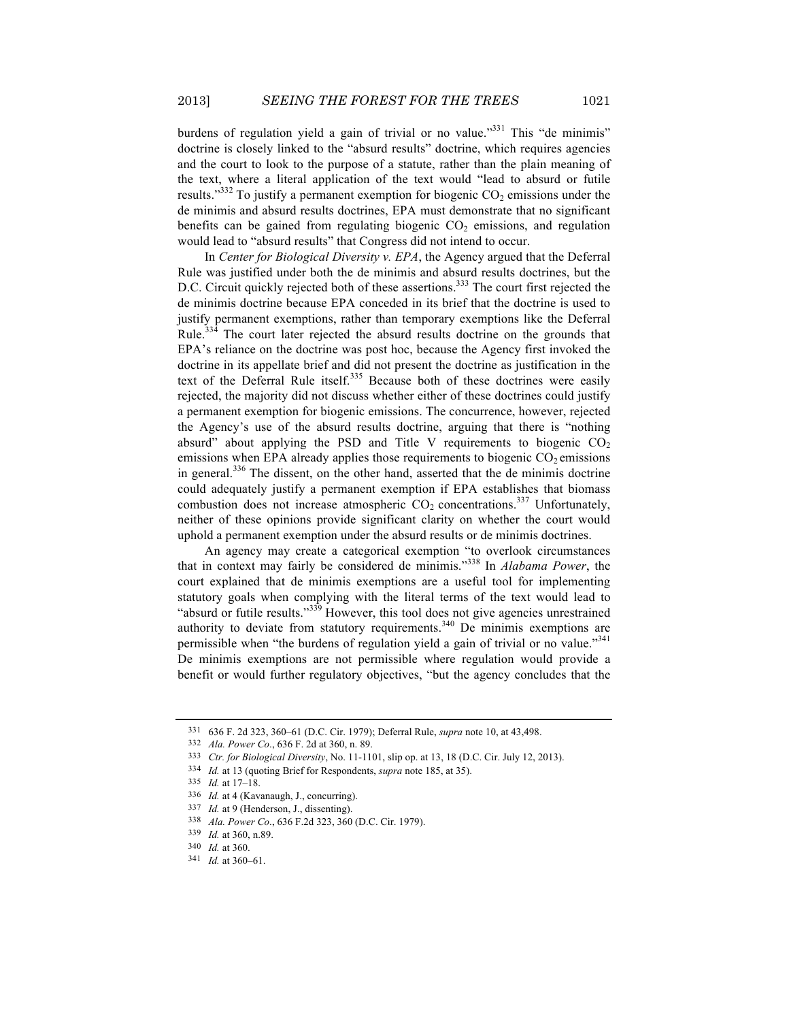burdens of regulation yield a gain of trivial or no value."<sup>331</sup> This "de minimis" doctrine is closely linked to the "absurd results" doctrine, which requires agencies and the court to look to the purpose of a statute, rather than the plain meaning of the text, where a literal application of the text would "lead to absurd or futile results."<sup>332</sup> To justify a permanent exemption for biogenic  $CO<sub>2</sub>$  emissions under the de minimis and absurd results doctrines, EPA must demonstrate that no significant benefits can be gained from regulating biogenic  $CO<sub>2</sub>$  emissions, and regulation would lead to "absurd results" that Congress did not intend to occur.

In *Center for Biological Diversity v. EPA*, the Agency argued that the Deferral Rule was justified under both the de minimis and absurd results doctrines, but the D.C. Circuit quickly rejected both of these assertions.<sup>333</sup> The court first rejected the de minimis doctrine because EPA conceded in its brief that the doctrine is used to justify permanent exemptions, rather than temporary exemptions like the Deferral Rule.<sup>334</sup> The court later rejected the absurd results doctrine on the grounds that EPA's reliance on the doctrine was post hoc, because the Agency first invoked the doctrine in its appellate brief and did not present the doctrine as justification in the text of the Deferral Rule itself.<sup>335</sup> Because both of these doctrines were easily rejected, the majority did not discuss whether either of these doctrines could justify a permanent exemption for biogenic emissions. The concurrence, however, rejected the Agency's use of the absurd results doctrine, arguing that there is "nothing absurd" about applying the PSD and Title V requirements to biogenic  $CO<sub>2</sub>$ emissions when EPA already applies those requirements to biogenic  $CO<sub>2</sub>$  emissions in general.<sup>336</sup> The dissent, on the other hand, asserted that the de minimis doctrine could adequately justify a permanent exemption if EPA establishes that biomass combustion does not increase atmospheric  $CO_2$  concentrations.<sup>337</sup> Unfortunately, neither of these opinions provide significant clarity on whether the court would uphold a permanent exemption under the absurd results or de minimis doctrines.

An agency may create a categorical exemption "to overlook circumstances that in context may fairly be considered de minimis."<sup>338</sup> In *Alabama Power*, the court explained that de minimis exemptions are a useful tool for implementing statutory goals when complying with the literal terms of the text would lead to "absurd or futile results."<sup>339</sup> However, this tool does not give agencies unrestrained authority to deviate from statutory requirements.<sup>340</sup> De minimis exemptions are permissible when "the burdens of regulation yield a gain of trivial or no value."<sup>341</sup> De minimis exemptions are not permissible where regulation would provide a benefit or would further regulatory objectives, "but the agency concludes that the

<sup>331</sup> 636 F. 2d 323, 360–61 (D.C. Cir. 1979); Deferral Rule, *supra* note 10, at 43,498.

<sup>332</sup> *Ala. Power Co*., 636 F. 2d at 360, n. 89.

<sup>333</sup> *Ctr. for Biological Diversity*, No. 11-1101, slip op. at 13, 18 (D.C. Cir. July 12, 2013).

<sup>334</sup> *Id.* at 13 (quoting Brief for Respondents, *supra* note 185, at 35).

<sup>335</sup> *Id.* at 17–18.

<sup>336</sup> *Id.* at 4 (Kavanaugh, J., concurring).

<sup>337</sup> *Id.* at 9 (Henderson, J., dissenting).

<sup>338</sup> *Ala. Power Co*., 636 F.2d 323, 360 (D.C. Cir. 1979).

<sup>339</sup> *Id.* at 360, n.89.

<sup>340</sup> *Id.* at 360.

<sup>341</sup> *Id.* at 360–61.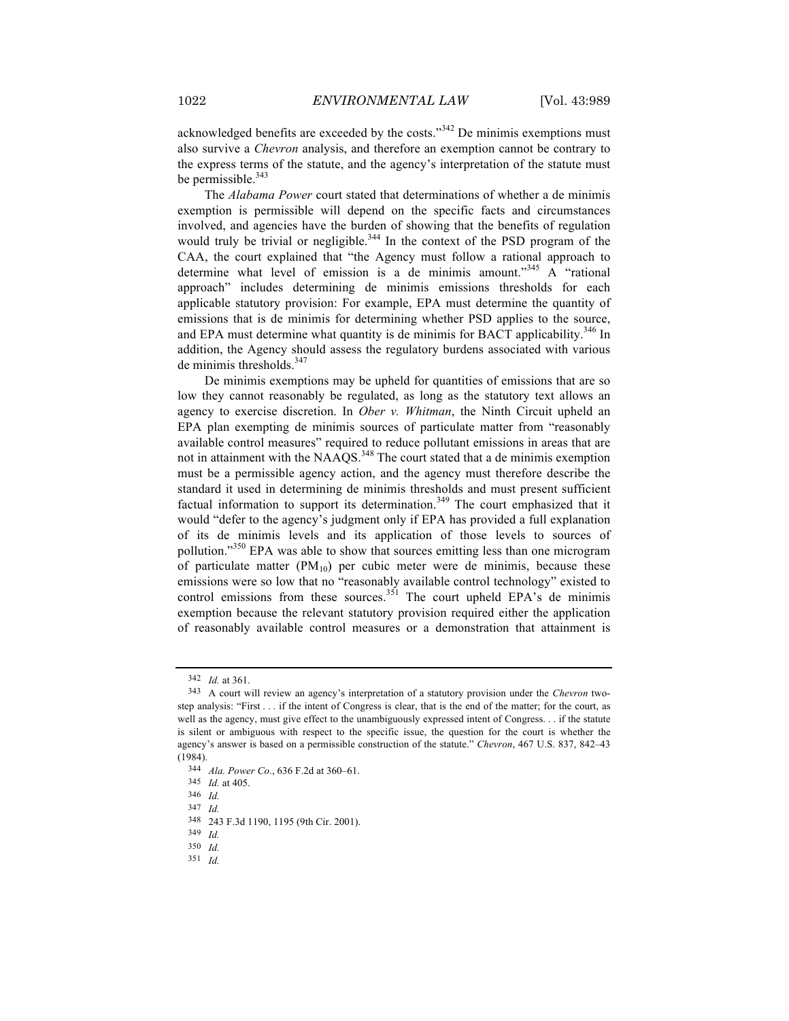acknowledged benefits are exceeded by the costs."<sup>342</sup> De minimis exemptions must also survive a *Chevron* analysis, and therefore an exemption cannot be contrary to the express terms of the statute, and the agency's interpretation of the statute must be permissible. $343$ 

The *Alabama Power* court stated that determinations of whether a de minimis exemption is permissible will depend on the specific facts and circumstances involved, and agencies have the burden of showing that the benefits of regulation would truly be trivial or negligible.<sup>344</sup> In the context of the PSD program of the CAA, the court explained that "the Agency must follow a rational approach to determine what level of emission is a de minimis amount."<sup>345</sup> A "rational approach" includes determining de minimis emissions thresholds for each applicable statutory provision: For example, EPA must determine the quantity of emissions that is de minimis for determining whether PSD applies to the source, and EPA must determine what quantity is de minimis for BACT applicability.<sup>346</sup> In addition, the Agency should assess the regulatory burdens associated with various de minimis thresholds. $347$ 

De minimis exemptions may be upheld for quantities of emissions that are so low they cannot reasonably be regulated, as long as the statutory text allows an agency to exercise discretion. In *Ober v. Whitman*, the Ninth Circuit upheld an EPA plan exempting de minimis sources of particulate matter from "reasonably available control measures" required to reduce pollutant emissions in areas that are not in attainment with the NAAQS.<sup>348</sup> The court stated that a de minimis exemption must be a permissible agency action, and the agency must therefore describe the standard it used in determining de minimis thresholds and must present sufficient factual information to support its determination.<sup>349</sup> The court emphasized that it would "defer to the agency's judgment only if EPA has provided a full explanation of its de minimis levels and its application of those levels to sources of pollution."350 EPA was able to show that sources emitting less than one microgram of particulate matter  $(PM_{10})$  per cubic meter were de minimis, because these emissions were so low that no "reasonably available control technology" existed to control emissions from these sources.<sup>351</sup> The court upheld EPA's de minimis exemption because the relevant statutory provision required either the application of reasonably available control measures or a demonstration that attainment is

<sup>342</sup> *Id.* at 361.

<sup>343</sup> A court will review an agency's interpretation of a statutory provision under the *Chevron* twostep analysis: "First . . . if the intent of Congress is clear, that is the end of the matter; for the court, as well as the agency, must give effect to the unambiguously expressed intent of Congress. . . if the statute is silent or ambiguous with respect to the specific issue, the question for the court is whether the agency's answer is based on a permissible construction of the statute." *Chevron*, 467 U.S. 837, 842–43 (1984).

<sup>344</sup> *Ala. Power Co*., 636 F.2d at 360*–*61.

<sup>345</sup> *Id.* at 405.

<sup>346</sup> *Id.*

<sup>347</sup> *Id.*

<sup>348</sup> 243 F.3d 1190, 1195 (9th Cir. 2001).

<sup>349</sup> *Id.*

<sup>350</sup> *Id.*

<sup>351</sup> *Id.*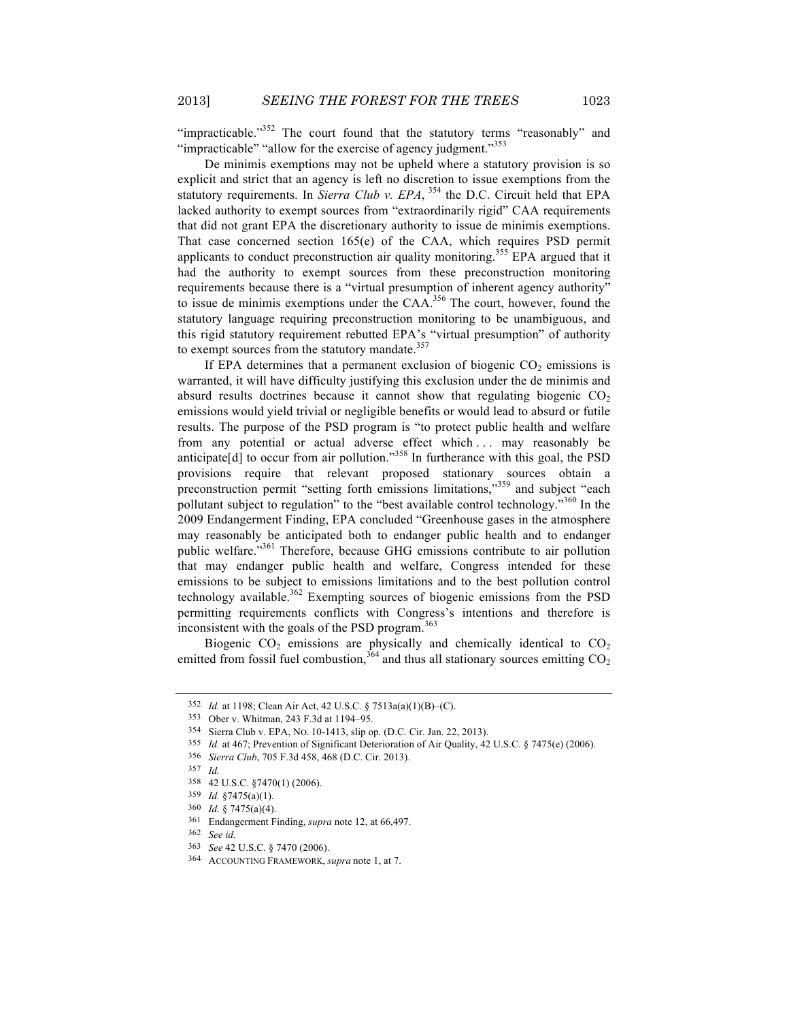"impracticable."<sup>352</sup> The court found that the statutory terms "reasonably" and "impracticable" "allow for the exercise of agency judgment."<sup>353</sup>

De minimis exemptions may not be upheld where a statutory provision is so explicit and strict that an agency is left no discretion to issue exemptions from the statutory requirements. In *Sierra Club v. EPA*,  $354$  the D.C. Circuit held that EPA lacked authority to exempt sources from "extraordinarily rigid" CAA requirements that did not grant EPA the discretionary authority to issue de minimis exemptions. That case concerned section 165(e) of the CAA, which requires PSD permit applicants to conduct preconstruction air quality monitoring.<sup>355</sup> EPA argued that it had the authority to exempt sources from these preconstruction monitoring requirements because there is a "virtual presumption of inherent agency authority" to issue de minimis exemptions under the  $CAA$ <sup>356</sup>. The court, however, found the statutory language requiring preconstruction monitoring to be unambiguous, and this rigid statutory requirement rebutted EPA's "virtual presumption" of authority to exempt sources from the statutory mandate.<sup>357</sup>

If EPA determines that a permanent exclusion of biogenic  $CO<sub>2</sub>$  emissions is warranted, it will have difficulty justifying this exclusion under the de minimis and absurd results doctrines because it cannot show that regulating biogenic  $CO<sub>2</sub>$ emissions would yield trivial or negligible benefits or would lead to absurd or futile results. The purpose of the PSD program is "to protect public health and welfare from any potential or actual adverse effect which ... may reasonably be anticipate $[d]$  to occur from air pollution."<sup>358</sup> In furtherance with this goal, the PSD provisions require that relevant proposed stationary sources obtain a preconstruction permit "setting forth emissions limitations,"<sup>359</sup> and subject "each pollutant subject to regulation" to the "best available control technology."<sup>360</sup> In the 2009 Endangerment Finding, EPA concluded "Greenhouse gases in the atmosphere may reasonably be anticipated both to endanger public health and to endanger public welfare."<sup>361</sup> Therefore, because GHG emissions contribute to air pollution that may endanger public health and welfare, Congress intended for these emissions to be subject to emissions limitations and to the best pollution control technology available.<sup>362</sup> Exempting sources of biogenic emissions from the PSD permitting requirements conflicts with Congress's intentions and therefore is inconsistent with the goals of the PSD program. $363$ 

Biogenic  $CO_2$  emissions are physically and chemically identical to  $CO_2$ emitted from fossil fuel combustion,  $364$  and thus all stationary sources emitting  $CO<sub>2</sub>$ 

<sup>352</sup> *Id.* at 1198; Clean Air Act, 42 U.S.C. § 7513a(a)(1)(B)–(C).

<sup>353</sup> Ober v. Whitman, 243 F.3d at 1194–95.

<sup>354</sup> Sierra Club v. EPA, NO. 10-1413, slip op. (D.C. Cir. Jan. 22, 2013).

<sup>355</sup> *Id.* at 467; Prevention of Significant Deterioration of Air Quality, 42 U.S.C. § 7475(e) (2006).

<sup>356</sup> *Sierra Club*, 705 F.3d 458, 468 (D.C. Cir. 2013).

<sup>357</sup> *Id.*

<sup>358</sup> 42 U.S.C. §7470(1) (2006).

<sup>359</sup> *Id.* §7475(a)(1).

<sup>360</sup> *Id.* § 7475(a)(4).

<sup>361</sup> Endangerment Finding, *supra* note 12, at 66,497.

<sup>362</sup> *See id.*

<sup>363</sup> *See* 42 U.S.C. § 7470 (2006).

<sup>364</sup> ACCOUNTING FRAMEWORK, *supra* note 1, at 7.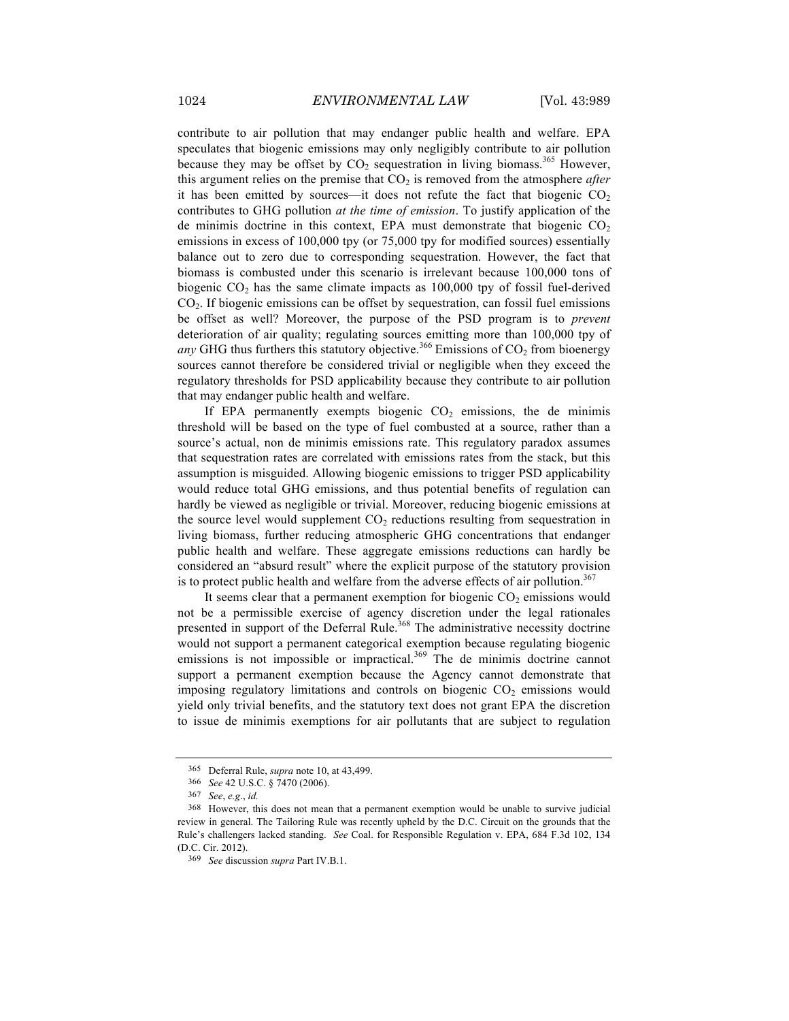contribute to air pollution that may endanger public health and welfare. EPA speculates that biogenic emissions may only negligibly contribute to air pollution because they may be offset by  $CO_2$  sequestration in living biomass.<sup>365</sup> However, this argument relies on the premise that  $CO<sub>2</sub>$  is removed from the atmosphere *after* it has been emitted by sources—it does not refute the fact that biogenic  $CO<sub>2</sub>$ contributes to GHG pollution *at the time of emission*. To justify application of the de minimis doctrine in this context, EPA must demonstrate that biogenic  $CO<sub>2</sub>$ emissions in excess of 100,000 tpy (or 75,000 tpy for modified sources) essentially balance out to zero due to corresponding sequestration. However, the fact that biomass is combusted under this scenario is irrelevant because 100,000 tons of biogenic  $CO<sub>2</sub>$  has the same climate impacts as 100,000 tpy of fossil fuel-derived CO2. If biogenic emissions can be offset by sequestration, can fossil fuel emissions be offset as well? Moreover, the purpose of the PSD program is to *prevent* deterioration of air quality; regulating sources emitting more than 100,000 tpy of *any* GHG thus furthers this statutory objective.<sup>366</sup> Emissions of  $CO<sub>2</sub>$  from bioenergy sources cannot therefore be considered trivial or negligible when they exceed the regulatory thresholds for PSD applicability because they contribute to air pollution that may endanger public health and welfare.

If EPA permanently exempts biogenic  $CO<sub>2</sub>$  emissions, the de minimis threshold will be based on the type of fuel combusted at a source, rather than a source's actual, non de minimis emissions rate. This regulatory paradox assumes that sequestration rates are correlated with emissions rates from the stack, but this assumption is misguided. Allowing biogenic emissions to trigger PSD applicability would reduce total GHG emissions, and thus potential benefits of regulation can hardly be viewed as negligible or trivial. Moreover, reducing biogenic emissions at the source level would supplement  $CO<sub>2</sub>$  reductions resulting from sequestration in living biomass, further reducing atmospheric GHG concentrations that endanger public health and welfare. These aggregate emissions reductions can hardly be considered an "absurd result" where the explicit purpose of the statutory provision is to protect public health and welfare from the adverse effects of air pollution.<sup>367</sup>

It seems clear that a permanent exemption for biogenic  $CO<sub>2</sub>$  emissions would not be a permissible exercise of agency discretion under the legal rationales presented in support of the Deferral Rule.<sup>368</sup> The administrative necessity doctrine would not support a permanent categorical exemption because regulating biogenic emissions is not impossible or impractical.<sup>369</sup> The de minimis doctrine cannot support a permanent exemption because the Agency cannot demonstrate that imposing regulatory limitations and controls on biogenic  $CO<sub>2</sub>$  emissions would yield only trivial benefits, and the statutory text does not grant EPA the discretion to issue de minimis exemptions for air pollutants that are subject to regulation

<sup>365</sup> Deferral Rule, *supra* note 10, at 43,499.

<sup>366</sup> *See* 42 U.S.C. § 7470 (2006).

<sup>367</sup> *See*, *e.g*., *id.*

<sup>368</sup> However, this does not mean that a permanent exemption would be unable to survive judicial review in general. The Tailoring Rule was recently upheld by the D.C. Circuit on the grounds that the Rule's challengers lacked standing. *See* Coal. for Responsible Regulation v. EPA, 684 F.3d 102, 134 (D.C. Cir. 2012).

<sup>369</sup> *See* discussion *supra* Part IV.B.1.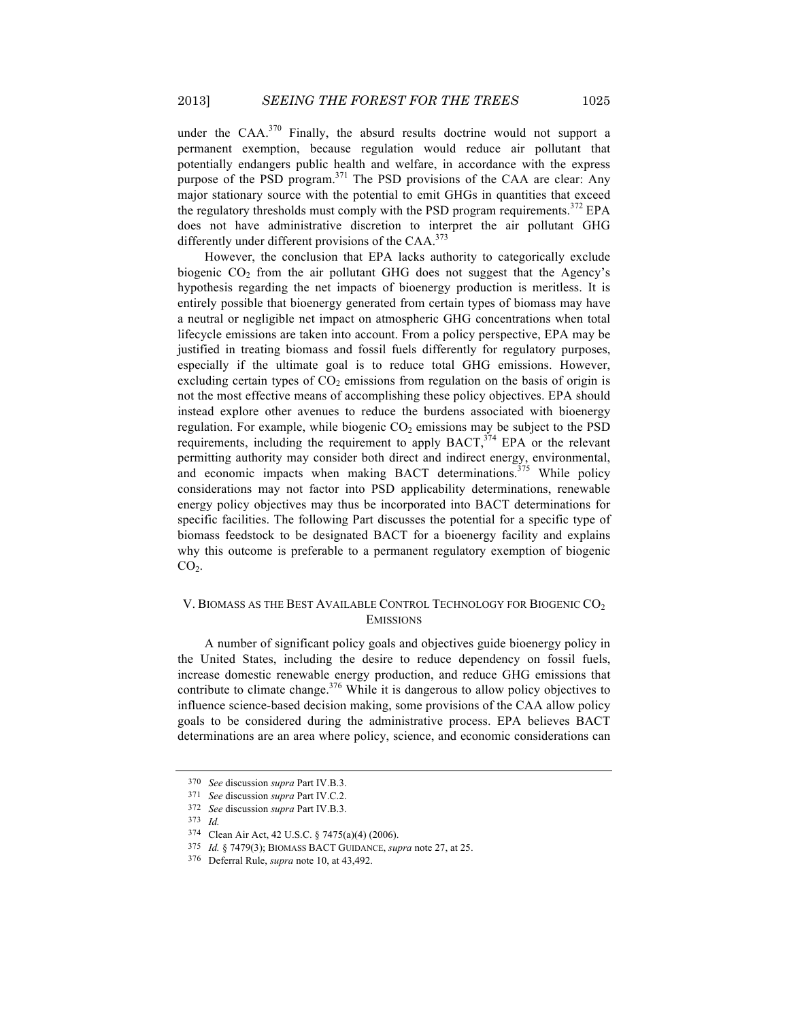under the  $CAA$ <sup>370</sup> Finally, the absurd results doctrine would not support a permanent exemption, because regulation would reduce air pollutant that potentially endangers public health and welfare, in accordance with the express purpose of the PSD program.<sup>371</sup> The PSD provisions of the CAA are clear: Any major stationary source with the potential to emit GHGs in quantities that exceed the regulatory thresholds must comply with the PSD program requirements.<sup>372</sup> EPA does not have administrative discretion to interpret the air pollutant GHG differently under different provisions of the CAA.<sup>373</sup>

However, the conclusion that EPA lacks authority to categorically exclude biogenic  $CO<sub>2</sub>$  from the air pollutant GHG does not suggest that the Agency's hypothesis regarding the net impacts of bioenergy production is meritless. It is entirely possible that bioenergy generated from certain types of biomass may have a neutral or negligible net impact on atmospheric GHG concentrations when total lifecycle emissions are taken into account. From a policy perspective, EPA may be justified in treating biomass and fossil fuels differently for regulatory purposes, especially if the ultimate goal is to reduce total GHG emissions. However, excluding certain types of  $CO<sub>2</sub>$  emissions from regulation on the basis of origin is not the most effective means of accomplishing these policy objectives. EPA should instead explore other avenues to reduce the burdens associated with bioenergy regulation. For example, while biogenic  $CO<sub>2</sub>$  emissions may be subject to the PSD requirements, including the requirement to apply BACT,<sup>374</sup> EPA or the relevant permitting authority may consider both direct and indirect energy, environmental, and economic impacts when making BACT determinations.<sup>375</sup> While policy considerations may not factor into PSD applicability determinations, renewable energy policy objectives may thus be incorporated into BACT determinations for specific facilities. The following Part discusses the potential for a specific type of biomass feedstock to be designated BACT for a bioenergy facility and explains why this outcome is preferable to a permanent regulatory exemption of biogenic  $CO<sub>2</sub>$ .

# V. BIOMASS AS THE BEST AVAILABLE CONTROL TECHNOLOGY FOR BIOGENIC CO<sub>2</sub> EMISSIONS

A number of significant policy goals and objectives guide bioenergy policy in the United States, including the desire to reduce dependency on fossil fuels, increase domestic renewable energy production, and reduce GHG emissions that contribute to climate change.<sup>376</sup> While it is dangerous to allow policy objectives to influence science-based decision making, some provisions of the CAA allow policy goals to be considered during the administrative process. EPA believes BACT determinations are an area where policy, science, and economic considerations can

<sup>370</sup> *See* discussion *supra* Part IV.B.3.

<sup>371</sup> *See* discussion *supra* Part IV.C.2.

<sup>372</sup> *See* discussion *supra* Part IV.B.3.

<sup>373</sup> *Id.*

<sup>374</sup> Clean Air Act, 42 U.S.C. § 7475(a)(4) (2006).

<sup>375</sup> *Id.* § 7479(3); BIOMASS BACT GUIDANCE, *supra* note 27, at 25.

<sup>376</sup> Deferral Rule, *supra* note 10, at 43,492.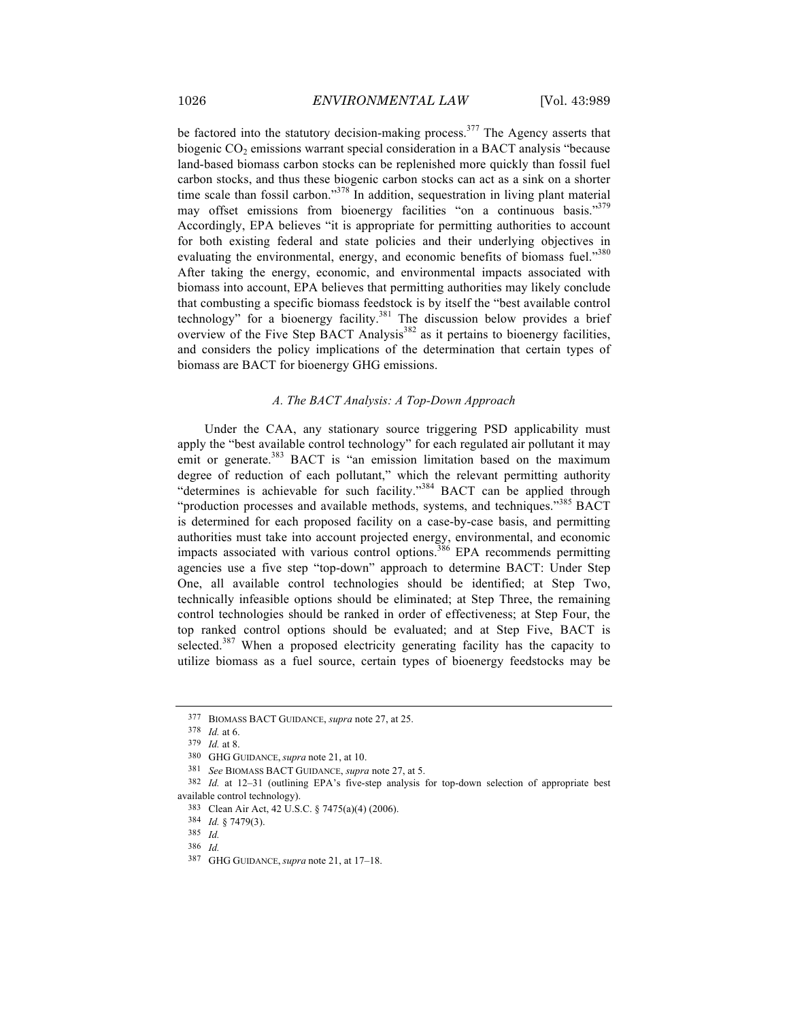be factored into the statutory decision-making process.<sup>377</sup> The Agency asserts that biogenic CO<sub>2</sub> emissions warrant special consideration in a BACT analysis "because land-based biomass carbon stocks can be replenished more quickly than fossil fuel carbon stocks, and thus these biogenic carbon stocks can act as a sink on a shorter time scale than fossil carbon."<sup>378</sup> In addition, sequestration in living plant material may offset emissions from bioenergy facilities "on a continuous basis."<sup>379</sup> Accordingly, EPA believes "it is appropriate for permitting authorities to account for both existing federal and state policies and their underlying objectives in evaluating the environmental, energy, and economic benefits of biomass fuel."<sup>380</sup> After taking the energy, economic, and environmental impacts associated with biomass into account, EPA believes that permitting authorities may likely conclude that combusting a specific biomass feedstock is by itself the "best available control technology" for a bioenergy facility.<sup>381</sup> The discussion below provides a brief overview of the Five Step BACT Analysis $382$  as it pertains to bioenergy facilities, and considers the policy implications of the determination that certain types of biomass are BACT for bioenergy GHG emissions.

## *A. The BACT Analysis: A Top-Down Approach*

Under the CAA, any stationary source triggering PSD applicability must apply the "best available control technology" for each regulated air pollutant it may emit or generate.<sup>383</sup> BACT is "an emission limitation based on the maximum degree of reduction of each pollutant," which the relevant permitting authority "determines is achievable for such facility."<sup>384</sup> BACT can be applied through "production processes and available methods, systems, and techniques."<sup>385</sup> BACT is determined for each proposed facility on a case-by-case basis, and permitting authorities must take into account projected energy, environmental, and economic impacts associated with various control options.<sup>386</sup> EPA recommends permitting agencies use a five step "top-down" approach to determine BACT: Under Step One, all available control technologies should be identified; at Step Two, technically infeasible options should be eliminated; at Step Three, the remaining control technologies should be ranked in order of effectiveness; at Step Four, the top ranked control options should be evaluated; and at Step Five, BACT is selected.<sup>387</sup> When a proposed electricity generating facility has the capacity to utilize biomass as a fuel source, certain types of bioenergy feedstocks may be

<sup>377</sup> BIOMASS BACT GUIDANCE, *supra* note 27, at 25.

<sup>378</sup> *Id.* at 6.

<sup>379</sup> *Id.* at 8.

<sup>380</sup> GHG GUIDANCE, *supra* note 21, at 10.

<sup>381</sup> *See* BIOMASS BACT GUIDANCE, *supra* note 27, at 5.

<sup>382</sup> *Id.* at 12*–*31 (outlining EPA's five-step analysis for top-down selection of appropriate best available control technology).

<sup>383</sup> Clean Air Act, 42 U.S.C. § 7475(a)(4) (2006).

<sup>384</sup> *Id.* § 7479(3).

<sup>385</sup> *Id.*

<sup>386</sup> *Id.*

<sup>387</sup> GHG GUIDANCE, *supra* note 21, at 17–18.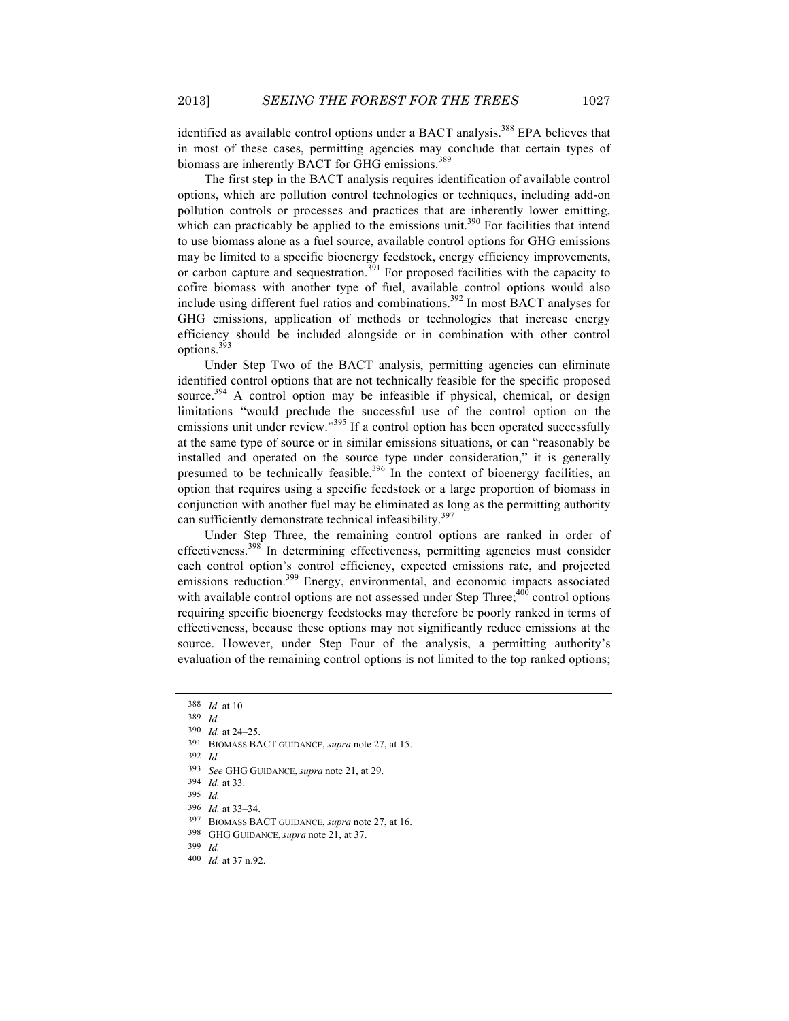identified as available control options under a BACT analysis.<sup>388</sup> EPA believes that in most of these cases, permitting agencies may conclude that certain types of biomass are inherently BACT for GHG emissions.<sup>389</sup>

The first step in the BACT analysis requires identification of available control options, which are pollution control technologies or techniques, including add-on pollution controls or processes and practices that are inherently lower emitting, which can practicably be applied to the emissions unit.<sup>390</sup> For facilities that intend to use biomass alone as a fuel source, available control options for GHG emissions may be limited to a specific bioenergy feedstock, energy efficiency improvements, or carbon capture and sequestration.<sup>391</sup> For proposed facilities with the capacity to cofire biomass with another type of fuel, available control options would also include using different fuel ratios and combinations.<sup>392</sup> In most BACT analyses for GHG emissions, application of methods or technologies that increase energy efficiency should be included alongside or in combination with other control options.<sup>393</sup>

Under Step Two of the BACT analysis, permitting agencies can eliminate identified control options that are not technically feasible for the specific proposed source.<sup>394</sup> A control option may be infeasible if physical, chemical, or design limitations "would preclude the successful use of the control option on the emissions unit under review."<sup>395</sup> If a control option has been operated successfully at the same type of source or in similar emissions situations, or can "reasonably be installed and operated on the source type under consideration," it is generally presumed to be technically feasible.<sup>396</sup> In the context of bioenergy facilities, an option that requires using a specific feedstock or a large proportion of biomass in conjunction with another fuel may be eliminated as long as the permitting authority can sufficiently demonstrate technical infeasibility.<sup>397</sup>

Under Step Three, the remaining control options are ranked in order of effectiveness.<sup>398</sup> In determining effectiveness, permitting agencies must consider each control option's control efficiency, expected emissions rate, and projected emissions reduction.<sup>399</sup> Energy, environmental, and economic impacts associated with available control options are not assessed under Step Three; $400$  control options requiring specific bioenergy feedstocks may therefore be poorly ranked in terms of effectiveness, because these options may not significantly reduce emissions at the source. However, under Step Four of the analysis, a permitting authority's evaluation of the remaining control options is not limited to the top ranked options;

<sup>388</sup> *Id.* at 10.

<sup>389</sup> *Id.*

<sup>390</sup> *Id.* at 24–25.

<sup>391</sup> BIOMASS BACT GUIDANCE, *supra* note 27, at 15.

<sup>392</sup> *Id.*

<sup>393</sup> *See* GHG GUIDANCE, *supra* note 21, at 29.

<sup>394</sup> *Id.* at 33.

<sup>395</sup> *Id.*

<sup>396</sup> *Id.* at 33–34.

<sup>397</sup> BIOMASS BACT GUIDANCE, *supra* note 27, at 16.

<sup>398</sup> GHG GUIDANCE, *supra* note 21, at 37.

<sup>399</sup> *Id.*

<sup>400</sup> *Id.* at 37 n.92.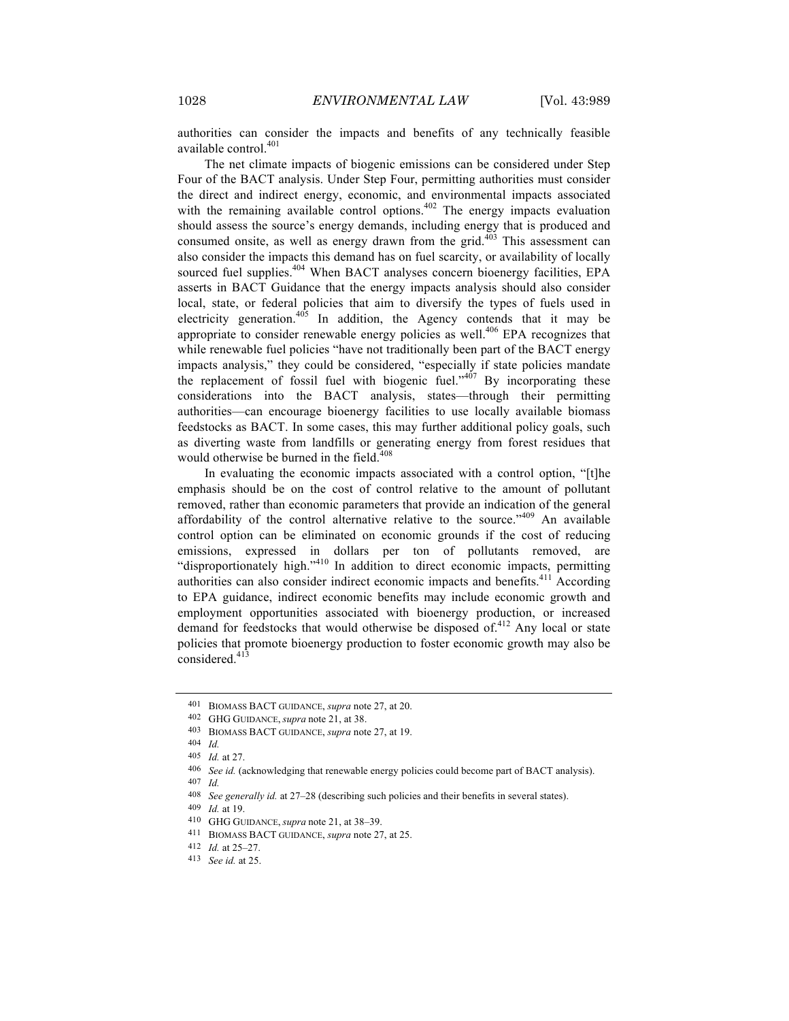authorities can consider the impacts and benefits of any technically feasible available control.<sup>401</sup>

The net climate impacts of biogenic emissions can be considered under Step Four of the BACT analysis. Under Step Four, permitting authorities must consider the direct and indirect energy, economic, and environmental impacts associated with the remaining available control options. $402$  The energy impacts evaluation should assess the source's energy demands, including energy that is produced and consumed onsite, as well as energy drawn from the grid. $403$  This assessment can also consider the impacts this demand has on fuel scarcity, or availability of locally sourced fuel supplies.<sup>404</sup> When BACT analyses concern bioenergy facilities, EPA asserts in BACT Guidance that the energy impacts analysis should also consider local, state, or federal policies that aim to diversify the types of fuels used in electricity generation.<sup>405</sup> In addition, the Agency contends that it may be appropriate to consider renewable energy policies as well.406 EPA recognizes that while renewable fuel policies "have not traditionally been part of the BACT energy impacts analysis," they could be considered, "especially if state policies mandate the replacement of fossil fuel with biogenic fuel." $407$  By incorporating these considerations into the BACT analysis, states—through their permitting authorities—can encourage bioenergy facilities to use locally available biomass feedstocks as BACT. In some cases, this may further additional policy goals, such as diverting waste from landfills or generating energy from forest residues that would otherwise be burned in the field.<sup>408</sup>

In evaluating the economic impacts associated with a control option, "[t]he emphasis should be on the cost of control relative to the amount of pollutant removed, rather than economic parameters that provide an indication of the general affordability of the control alternative relative to the source."<sup>409</sup> An available control option can be eliminated on economic grounds if the cost of reducing emissions, expressed in dollars per ton of pollutants removed, are "disproportionately high."<sup>410</sup> In addition to direct economic impacts, permitting authorities can also consider indirect economic impacts and benefits.<sup>411</sup> According to EPA guidance, indirect economic benefits may include economic growth and employment opportunities associated with bioenergy production, or increased demand for feedstocks that would otherwise be disposed of.<sup>412</sup> Any local or state policies that promote bioenergy production to foster economic growth may also be considered.<sup>413</sup>

<sup>401</sup> BIOMASS BACT GUIDANCE, *supra* note 27, at 20.

<sup>402</sup> GHG GUIDANCE, *supra* note 21, at 38.

<sup>403</sup> BIOMASS BACT GUIDANCE, *supra* note 27, at 19.

<sup>404</sup> *Id.*

<sup>405</sup> *Id.* at 27.

<sup>406</sup> *See id.* (acknowledging that renewable energy policies could become part of BACT analysis).

<sup>407</sup> *Id.*

<sup>408</sup> *See generally id.* at 27–28 (describing such policies and their benefits in several states).

<sup>409</sup> *Id.* at 19.

<sup>410</sup> GHG GUIDANCE, *supra* note 21, at 38–39.

<sup>411</sup> BIOMASS BACT GUIDANCE, *supra* note 27, at 25.

<sup>412</sup> *Id.* at 25–27.

<sup>413</sup> *See id.* at 25.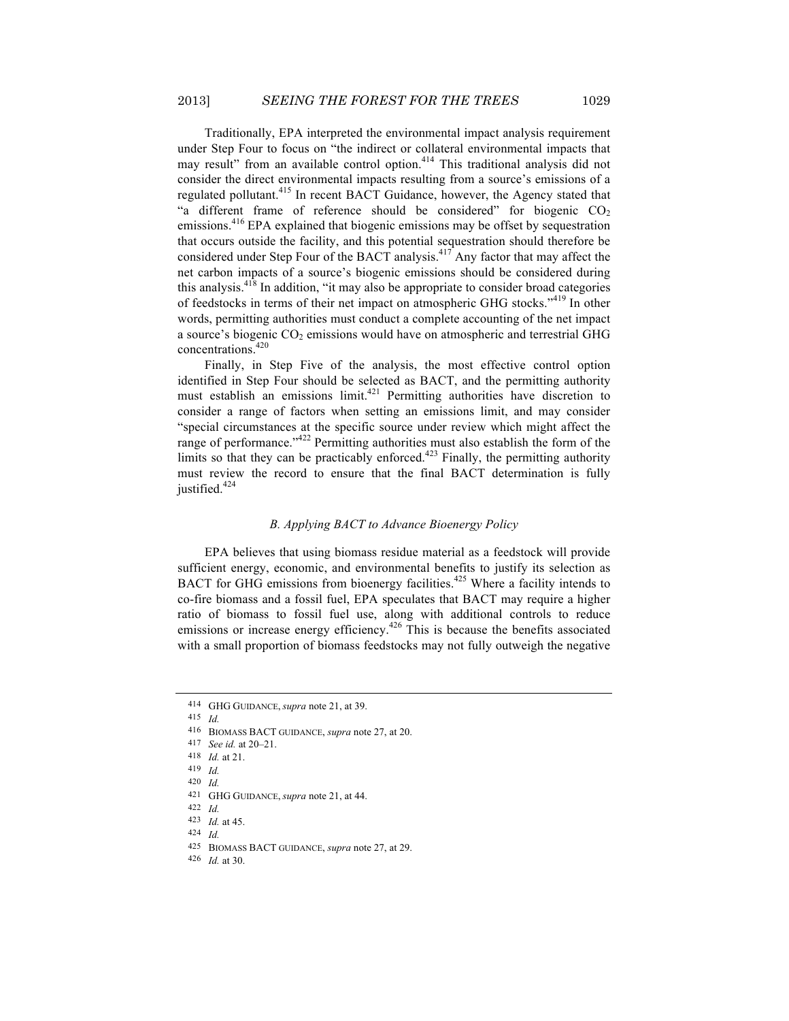Traditionally, EPA interpreted the environmental impact analysis requirement under Step Four to focus on "the indirect or collateral environmental impacts that may result" from an available control option.414 This traditional analysis did not consider the direct environmental impacts resulting from a source's emissions of a regulated pollutant.<sup>415</sup> In recent BACT Guidance, however, the Agency stated that "a different frame of reference should be considered" for biogenic  $CO<sub>2</sub>$ emissions.<sup>416</sup> EPA explained that biogenic emissions may be offset by sequestration that occurs outside the facility, and this potential sequestration should therefore be considered under Step Four of the BACT analysis.<sup>417</sup> Any factor that may affect the net carbon impacts of a source's biogenic emissions should be considered during this analysis.418 In addition, "it may also be appropriate to consider broad categories of feedstocks in terms of their net impact on atmospheric GHG stocks."<sup>419</sup> In other words, permitting authorities must conduct a complete accounting of the net impact a source's biogenic  $CO<sub>2</sub>$  emissions would have on atmospheric and terrestrial GHG concentrations.<sup>420</sup>

Finally, in Step Five of the analysis, the most effective control option identified in Step Four should be selected as BACT, and the permitting authority must establish an emissions limit.421 Permitting authorities have discretion to consider a range of factors when setting an emissions limit, and may consider "special circumstances at the specific source under review which might affect the range of performance."<sup>422</sup> Permitting authorities must also establish the form of the limits so that they can be practicably enforced. $423$  Finally, the permitting authority must review the record to ensure that the final BACT determination is fully justified.<sup>424</sup>

#### *B. Applying BACT to Advance Bioenergy Policy*

EPA believes that using biomass residue material as a feedstock will provide sufficient energy, economic, and environmental benefits to justify its selection as BACT for GHG emissions from bioenergy facilities.<sup>425</sup> Where a facility intends to co-fire biomass and a fossil fuel, EPA speculates that BACT may require a higher ratio of biomass to fossil fuel use, along with additional controls to reduce emissions or increase energy efficiency.<sup>426</sup> This is because the benefits associated with a small proportion of biomass feedstocks may not fully outweigh the negative

<sup>414</sup> GHG GUIDANCE, *supra* note 21, at 39.

<sup>415</sup> *Id.*

<sup>416</sup> BIOMASS BACT GUIDANCE, *supra* note 27, at 20.

<sup>417</sup> *See id.* at 20–21.

<sup>418</sup> *Id.* at 21.

<sup>419</sup> *Id.*

<sup>420</sup> *Id.*

<sup>421</sup> GHG GUIDANCE, *supra* note 21, at 44.

<sup>422</sup> *Id.*

<sup>423</sup> *Id.* at 45. 424 *Id.*

<sup>425</sup> BIOMASS BACT GUIDANCE, *supra* note 27, at 29.

<sup>426</sup> *Id.* at 30.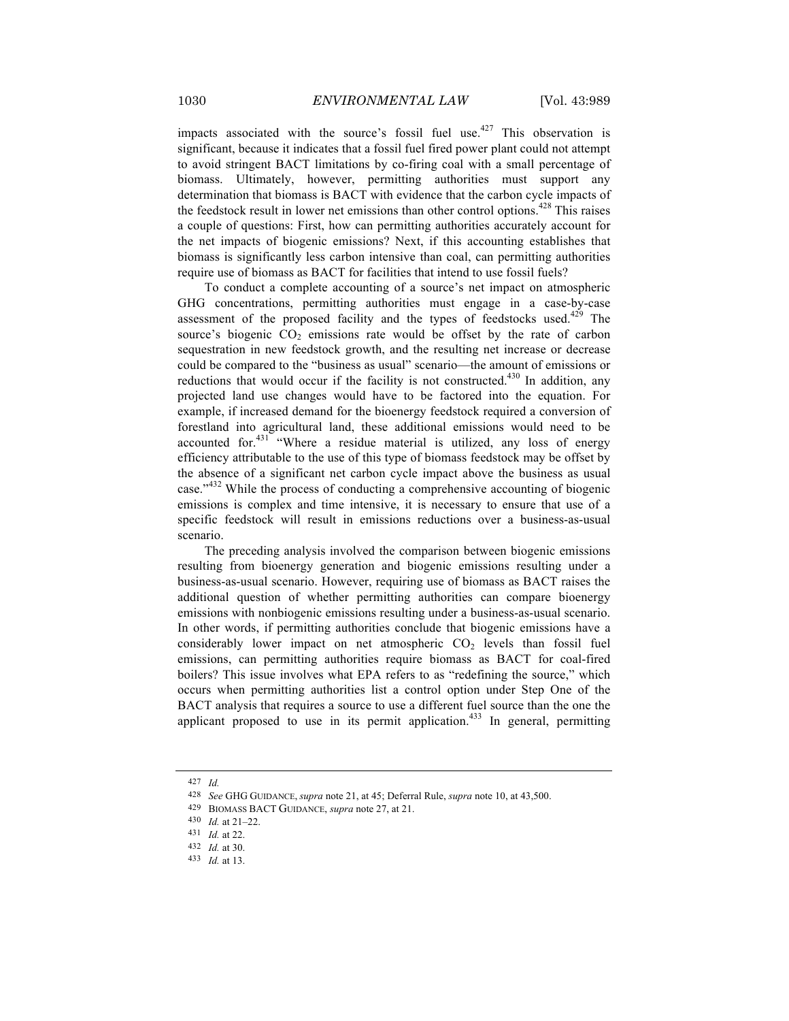impacts associated with the source's fossil fuel use.<sup>427</sup> This observation is significant, because it indicates that a fossil fuel fired power plant could not attempt to avoid stringent BACT limitations by co-firing coal with a small percentage of biomass. Ultimately, however, permitting authorities must support any determination that biomass is BACT with evidence that the carbon cycle impacts of the feedstock result in lower net emissions than other control options.<sup> $428$ </sup> This raises a couple of questions: First, how can permitting authorities accurately account for the net impacts of biogenic emissions? Next, if this accounting establishes that biomass is significantly less carbon intensive than coal, can permitting authorities require use of biomass as BACT for facilities that intend to use fossil fuels?

To conduct a complete accounting of a source's net impact on atmospheric GHG concentrations, permitting authorities must engage in a case-by-case assessment of the proposed facility and the types of feedstocks used. $429$  The source's biogenic  $CO<sub>2</sub>$  emissions rate would be offset by the rate of carbon sequestration in new feedstock growth, and the resulting net increase or decrease could be compared to the "business as usual" scenario—the amount of emissions or reductions that would occur if the facility is not constructed.<sup>430</sup> In addition, any projected land use changes would have to be factored into the equation. For example, if increased demand for the bioenergy feedstock required a conversion of forestland into agricultural land, these additional emissions would need to be accounted for. $431$  "Where a residue material is utilized, any loss of energy efficiency attributable to the use of this type of biomass feedstock may be offset by the absence of a significant net carbon cycle impact above the business as usual case."<sup>432</sup> While the process of conducting a comprehensive accounting of biogenic emissions is complex and time intensive, it is necessary to ensure that use of a specific feedstock will result in emissions reductions over a business-as-usual scenario.

The preceding analysis involved the comparison between biogenic emissions resulting from bioenergy generation and biogenic emissions resulting under a business-as-usual scenario. However, requiring use of biomass as BACT raises the additional question of whether permitting authorities can compare bioenergy emissions with nonbiogenic emissions resulting under a business-as-usual scenario. In other words, if permitting authorities conclude that biogenic emissions have a considerably lower impact on net atmospheric  $CO<sub>2</sub>$  levels than fossil fuel emissions, can permitting authorities require biomass as BACT for coal-fired boilers? This issue involves what EPA refers to as "redefining the source," which occurs when permitting authorities list a control option under Step One of the BACT analysis that requires a source to use a different fuel source than the one the applicant proposed to use in its permit application.<sup> $433$ </sup> In general, permitting

<sup>427</sup> *Id.*

<sup>428</sup> *See* GHG GUIDANCE, *supra* note 21, at 45; Deferral Rule, *supra* note 10, at 43,500.

<sup>429</sup> BIOMASS BACT GUIDANCE, *supra* note 27, at 21.

<sup>430</sup> *Id.* at 21–22.

<sup>431</sup> *Id.* at 22.

<sup>432</sup> *Id.* at 30.

<sup>433</sup> *Id.* at 13.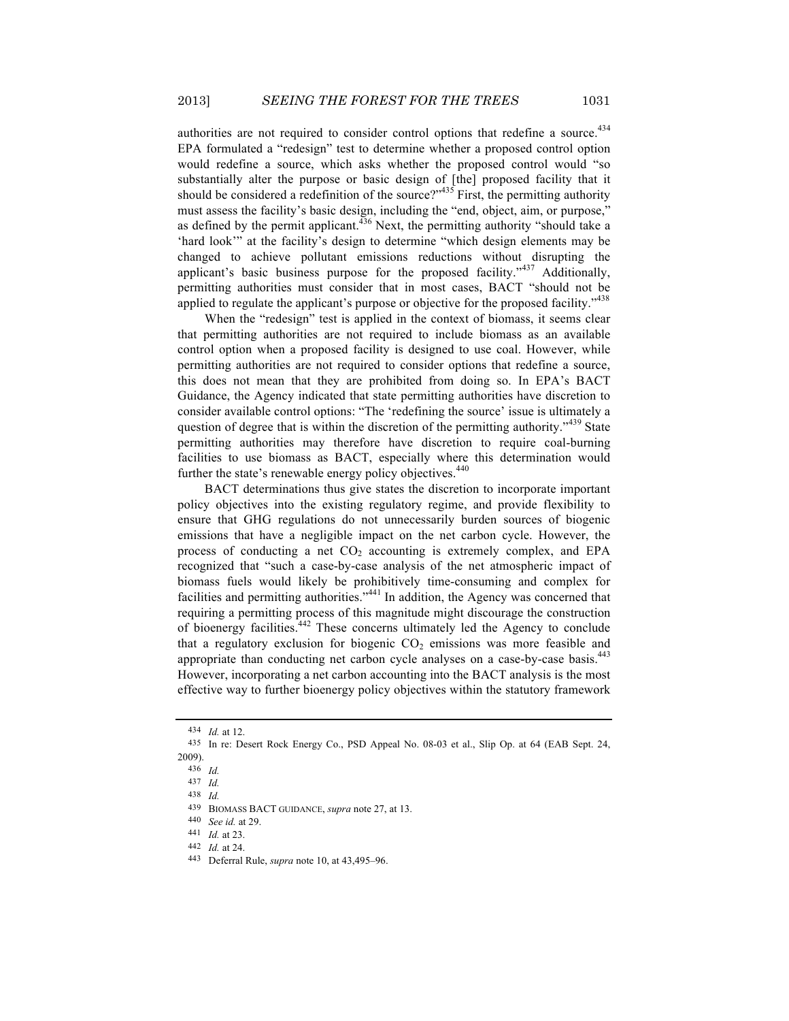authorities are not required to consider control options that redefine a source.<sup>434</sup> EPA formulated a "redesign" test to determine whether a proposed control option would redefine a source, which asks whether the proposed control would "so substantially alter the purpose or basic design of [the] proposed facility that it should be considered a redefinition of the source?" $435$  First, the permitting authority must assess the facility's basic design, including the "end, object, aim, or purpose," as defined by the permit applicant.  $436$  Next, the permitting authority "should take a 'hard look'" at the facility's design to determine "which design elements may be changed to achieve pollutant emissions reductions without disrupting the applicant's basic business purpose for the proposed facility."<sup>437</sup> Additionally, permitting authorities must consider that in most cases, BACT "should not be applied to regulate the applicant's purpose or objective for the proposed facility."<sup>438</sup>

When the "redesign" test is applied in the context of biomass, it seems clear that permitting authorities are not required to include biomass as an available control option when a proposed facility is designed to use coal. However, while permitting authorities are not required to consider options that redefine a source, this does not mean that they are prohibited from doing so. In EPA's BACT Guidance, the Agency indicated that state permitting authorities have discretion to consider available control options: "The 'redefining the source' issue is ultimately a question of degree that is within the discretion of the permitting authority."<sup>439</sup> State permitting authorities may therefore have discretion to require coal-burning facilities to use biomass as BACT, especially where this determination would further the state's renewable energy policy objectives.<sup>440</sup>

BACT determinations thus give states the discretion to incorporate important policy objectives into the existing regulatory regime, and provide flexibility to ensure that GHG regulations do not unnecessarily burden sources of biogenic emissions that have a negligible impact on the net carbon cycle. However, the process of conducting a net  $CO<sub>2</sub>$  accounting is extremely complex, and EPA recognized that "such a case-by-case analysis of the net atmospheric impact of biomass fuels would likely be prohibitively time-consuming and complex for facilities and permitting authorities."<sup>441</sup> In addition, the Agency was concerned that requiring a permitting process of this magnitude might discourage the construction of bioenergy facilities.<sup>442</sup> These concerns ultimately led the Agency to conclude that a regulatory exclusion for biogenic  $CO<sub>2</sub>$  emissions was more feasible and appropriate than conducting net carbon cycle analyses on a case-by-case basis.<sup>443</sup> However, incorporating a net carbon accounting into the BACT analysis is the most effective way to further bioenergy policy objectives within the statutory framework

<sup>434</sup> *Id.* at 12.

<sup>435</sup> In re: Desert Rock Energy Co., PSD Appeal No. 08-03 et al., Slip Op. at 64 (EAB Sept. 24, 2009).

<sup>436</sup> *Id.*

<sup>437</sup> *Id.*

<sup>438</sup> *Id.*

<sup>439</sup> BIOMASS BACT GUIDANCE, *supra* note 27, at 13.

<sup>440</sup> *See id.* at 29.

<sup>441</sup> *Id.* at 23.

<sup>442</sup> *Id.* at 24.

<sup>443</sup> Deferral Rule, *supra* note 10, at 43,495–96.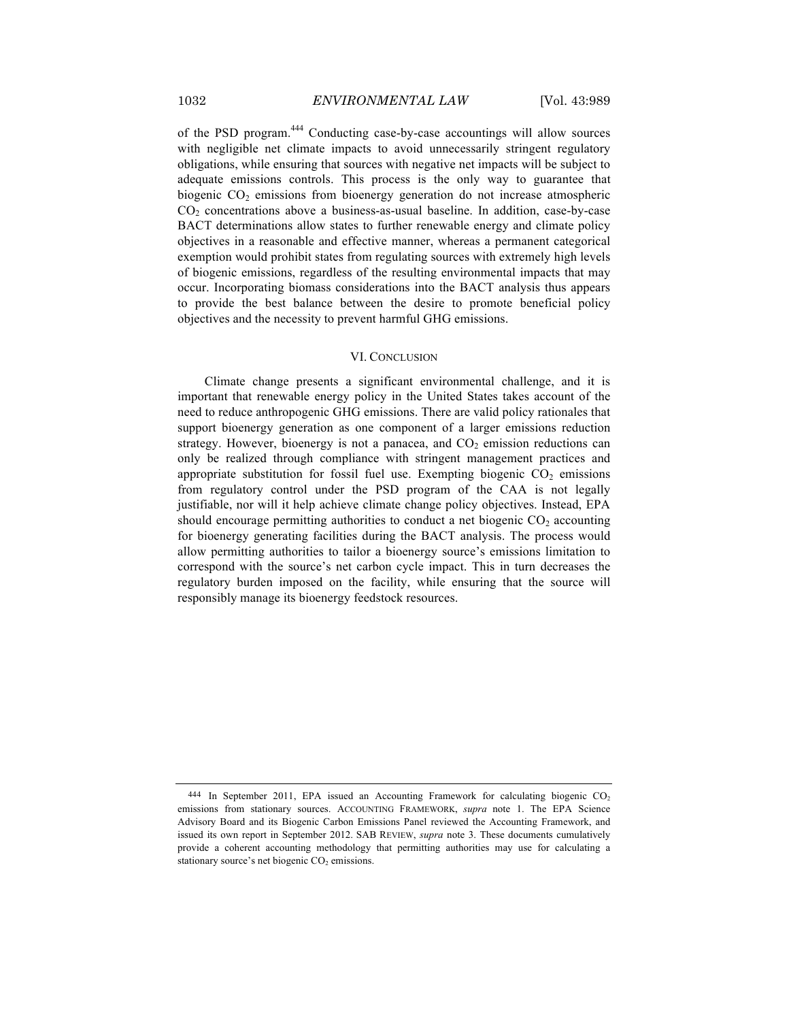of the PSD program.<sup>444</sup> Conducting case-by-case accountings will allow sources with negligible net climate impacts to avoid unnecessarily stringent regulatory obligations, while ensuring that sources with negative net impacts will be subject to adequate emissions controls. This process is the only way to guarantee that biogenic CO<sub>2</sub> emissions from bioenergy generation do not increase atmospheric  $CO<sub>2</sub>$  concentrations above a business-as-usual baseline. In addition, case-by-case BACT determinations allow states to further renewable energy and climate policy objectives in a reasonable and effective manner, whereas a permanent categorical exemption would prohibit states from regulating sources with extremely high levels of biogenic emissions, regardless of the resulting environmental impacts that may occur. Incorporating biomass considerations into the BACT analysis thus appears to provide the best balance between the desire to promote beneficial policy objectives and the necessity to prevent harmful GHG emissions.

#### VI. CONCLUSION

Climate change presents a significant environmental challenge, and it is important that renewable energy policy in the United States takes account of the need to reduce anthropogenic GHG emissions. There are valid policy rationales that support bioenergy generation as one component of a larger emissions reduction strategy. However, bioenergy is not a panacea, and  $CO<sub>2</sub>$  emission reductions can only be realized through compliance with stringent management practices and appropriate substitution for fossil fuel use. Exempting biogenic  $CO<sub>2</sub>$  emissions from regulatory control under the PSD program of the CAA is not legally justifiable, nor will it help achieve climate change policy objectives. Instead, EPA should encourage permitting authorities to conduct a net biogenic  $CO<sub>2</sub>$  accounting for bioenergy generating facilities during the BACT analysis. The process would allow permitting authorities to tailor a bioenergy source's emissions limitation to correspond with the source's net carbon cycle impact. This in turn decreases the regulatory burden imposed on the facility, while ensuring that the source will responsibly manage its bioenergy feedstock resources.

 $444$  In September 2011, EPA issued an Accounting Framework for calculating biogenic CO<sub>2</sub> emissions from stationary sources. ACCOUNTING FRAMEWORK, *supra* note 1. The EPA Science Advisory Board and its Biogenic Carbon Emissions Panel reviewed the Accounting Framework, and issued its own report in September 2012. SAB REVIEW, *supra* note 3. These documents cumulatively provide a coherent accounting methodology that permitting authorities may use for calculating a stationary source's net biogenic  $CO<sub>2</sub>$  emissions.